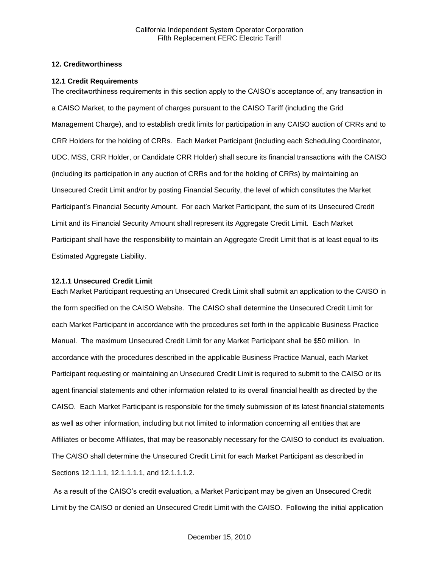## **12. Creditworthiness**

#### **12.1 Credit Requirements**

The creditworthiness requirements in this section apply to the CAISO's acceptance of, any transaction in a CAISO Market, to the payment of charges pursuant to the CAISO Tariff (including the Grid Management Charge), and to establish credit limits for participation in any CAISO auction of CRRs and to CRR Holders for the holding of CRRs. Each Market Participant (including each Scheduling Coordinator, UDC, MSS, CRR Holder, or Candidate CRR Holder) shall secure its financial transactions with the CAISO (including its participation in any auction of CRRs and for the holding of CRRs) by maintaining an Unsecured Credit Limit and/or by posting Financial Security, the level of which constitutes the Market Participant's Financial Security Amount. For each Market Participant, the sum of its Unsecured Credit Limit and its Financial Security Amount shall represent its Aggregate Credit Limit. Each Market Participant shall have the responsibility to maintain an Aggregate Credit Limit that is at least equal to its Estimated Aggregate Liability.

#### **12.1.1 Unsecured Credit Limit**

Each Market Participant requesting an Unsecured Credit Limit shall submit an application to the CAISO in the form specified on the CAISO Website. The CAISO shall determine the Unsecured Credit Limit for each Market Participant in accordance with the procedures set forth in the applicable Business Practice Manual. The maximum Unsecured Credit Limit for any Market Participant shall be \$50 million. In accordance with the procedures described in the applicable Business Practice Manual, each Market Participant requesting or maintaining an Unsecured Credit Limit is required to submit to the CAISO or its agent financial statements and other information related to its overall financial health as directed by the CAISO. Each Market Participant is responsible for the timely submission of its latest financial statements as well as other information, including but not limited to information concerning all entities that are Affiliates or become Affiliates, that may be reasonably necessary for the CAISO to conduct its evaluation. The CAISO shall determine the Unsecured Credit Limit for each Market Participant as described in Sections 12.1.1.1, 12.1.1.1.1, and 12.1.1.1.2.

As a result of the CAISO's credit evaluation, a Market Participant may be given an Unsecured Credit Limit by the CAISO or denied an Unsecured Credit Limit with the CAISO. Following the initial application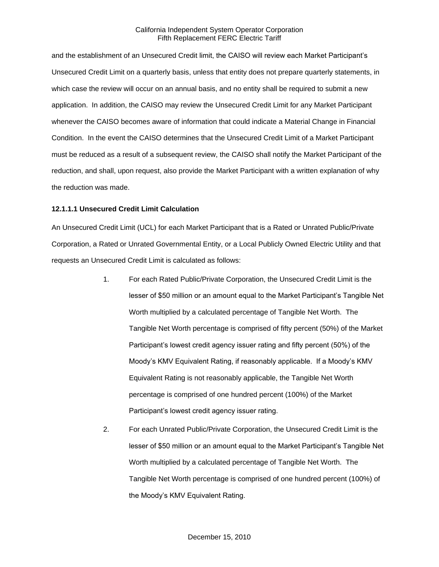and the establishment of an Unsecured Credit limit, the CAISO will review each Market Participant's Unsecured Credit Limit on a quarterly basis, unless that entity does not prepare quarterly statements, in which case the review will occur on an annual basis, and no entity shall be required to submit a new application. In addition, the CAISO may review the Unsecured Credit Limit for any Market Participant whenever the CAISO becomes aware of information that could indicate a Material Change in Financial Condition. In the event the CAISO determines that the Unsecured Credit Limit of a Market Participant must be reduced as a result of a subsequent review, the CAISO shall notify the Market Participant of the reduction, and shall, upon request, also provide the Market Participant with a written explanation of why the reduction was made.

## **12.1.1.1 Unsecured Credit Limit Calculation**

An Unsecured Credit Limit (UCL) for each Market Participant that is a Rated or Unrated Public/Private Corporation, a Rated or Unrated Governmental Entity, or a Local Publicly Owned Electric Utility and that requests an Unsecured Credit Limit is calculated as follows:

- 1. For each Rated Public/Private Corporation, the Unsecured Credit Limit is the lesser of \$50 million or an amount equal to the Market Participant's Tangible Net Worth multiplied by a calculated percentage of Tangible Net Worth. The Tangible Net Worth percentage is comprised of fifty percent (50%) of the Market Participant's lowest credit agency issuer rating and fifty percent (50%) of the Moody's KMV Equivalent Rating, if reasonably applicable. If a Moody's KMV Equivalent Rating is not reasonably applicable, the Tangible Net Worth percentage is comprised of one hundred percent (100%) of the Market Participant's lowest credit agency issuer rating.
- 2. For each Unrated Public/Private Corporation, the Unsecured Credit Limit is the lesser of \$50 million or an amount equal to the Market Participant's Tangible Net Worth multiplied by a calculated percentage of Tangible Net Worth. The Tangible Net Worth percentage is comprised of one hundred percent (100%) of the Moody's KMV Equivalent Rating.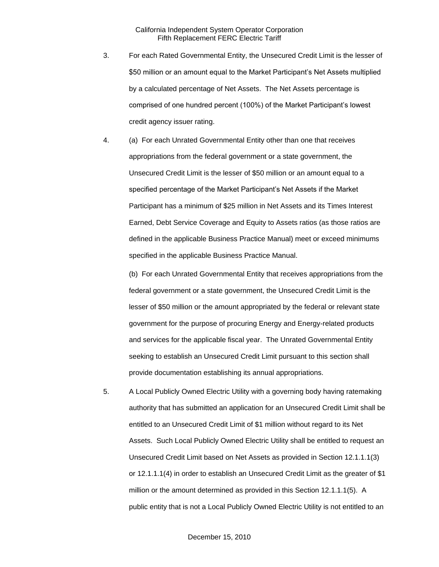- 3. For each Rated Governmental Entity, the Unsecured Credit Limit is the lesser of \$50 million or an amount equal to the Market Participant's Net Assets multiplied by a calculated percentage of Net Assets. The Net Assets percentage is comprised of one hundred percent (100%) of the Market Participant's lowest credit agency issuer rating.
- 4. (a) For each Unrated Governmental Entity other than one that receives appropriations from the federal government or a state government, the Unsecured Credit Limit is the lesser of \$50 million or an amount equal to a specified percentage of the Market Participant's Net Assets if the Market Participant has a minimum of \$25 million in Net Assets and its Times Interest Earned, Debt Service Coverage and Equity to Assets ratios (as those ratios are defined in the applicable Business Practice Manual) meet or exceed minimums specified in the applicable Business Practice Manual.

(b) For each Unrated Governmental Entity that receives appropriations from the federal government or a state government, the Unsecured Credit Limit is the lesser of \$50 million or the amount appropriated by the federal or relevant state government for the purpose of procuring Energy and Energy-related products and services for the applicable fiscal year. The Unrated Governmental Entity seeking to establish an Unsecured Credit Limit pursuant to this section shall provide documentation establishing its annual appropriations.

5. A Local Publicly Owned Electric Utility with a governing body having ratemaking authority that has submitted an application for an Unsecured Credit Limit shall be entitled to an Unsecured Credit Limit of \$1 million without regard to its Net Assets. Such Local Publicly Owned Electric Utility shall be entitled to request an Unsecured Credit Limit based on Net Assets as provided in Section 12.1.1.1(3) or 12.1.1.1(4) in order to establish an Unsecured Credit Limit as the greater of \$1 million or the amount determined as provided in this Section 12.1.1.1(5). A public entity that is not a Local Publicly Owned Electric Utility is not entitled to an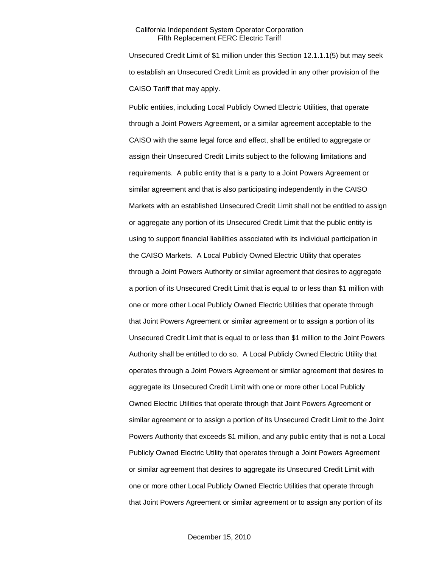Unsecured Credit Limit of \$1 million under this Section 12.1.1.1(5) but may seek to establish an Unsecured Credit Limit as provided in any other provision of the CAISO Tariff that may apply.

Public entities, including Local Publicly Owned Electric Utilities, that operate through a Joint Powers Agreement, or a similar agreement acceptable to the CAISO with the same legal force and effect, shall be entitled to aggregate or assign their Unsecured Credit Limits subject to the following limitations and requirements. A public entity that is a party to a Joint Powers Agreement or similar agreement and that is also participating independently in the CAISO Markets with an established Unsecured Credit Limit shall not be entitled to assign or aggregate any portion of its Unsecured Credit Limit that the public entity is using to support financial liabilities associated with its individual participation in the CAISO Markets. A Local Publicly Owned Electric Utility that operates through a Joint Powers Authority or similar agreement that desires to aggregate a portion of its Unsecured Credit Limit that is equal to or less than \$1 million with one or more other Local Publicly Owned Electric Utilities that operate through that Joint Powers Agreement or similar agreement or to assign a portion of its Unsecured Credit Limit that is equal to or less than \$1 million to the Joint Powers Authority shall be entitled to do so. A Local Publicly Owned Electric Utility that operates through a Joint Powers Agreement or similar agreement that desires to aggregate its Unsecured Credit Limit with one or more other Local Publicly Owned Electric Utilities that operate through that Joint Powers Agreement or similar agreement or to assign a portion of its Unsecured Credit Limit to the Joint Powers Authority that exceeds \$1 million, and any public entity that is not a Local Publicly Owned Electric Utility that operates through a Joint Powers Agreement or similar agreement that desires to aggregate its Unsecured Credit Limit with one or more other Local Publicly Owned Electric Utilities that operate through that Joint Powers Agreement or similar agreement or to assign any portion of its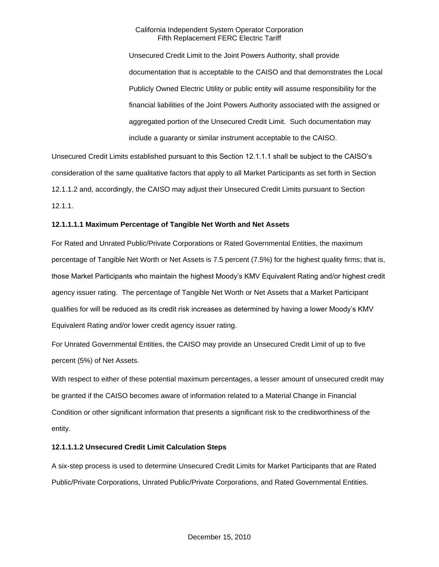Unsecured Credit Limit to the Joint Powers Authority, shall provide documentation that is acceptable to the CAISO and that demonstrates the Local Publicly Owned Electric Utility or public entity will assume responsibility for the financial liabilities of the Joint Powers Authority associated with the assigned or aggregated portion of the Unsecured Credit Limit. Such documentation may include a guaranty or similar instrument acceptable to the CAISO.

Unsecured Credit Limits established pursuant to this Section 12.1.1.1 shall be subject to the CAISO's consideration of the same qualitative factors that apply to all Market Participants as set forth in Section 12.1.1.2 and, accordingly, the CAISO may adjust their Unsecured Credit Limits pursuant to Section 12.1.1.

# **12.1.1.1.1 Maximum Percentage of Tangible Net Worth and Net Assets**

For Rated and Unrated Public/Private Corporations or Rated Governmental Entities, the maximum percentage of Tangible Net Worth or Net Assets is 7.5 percent (7.5%) for the highest quality firms; that is, those Market Participants who maintain the highest Moody's KMV Equivalent Rating and/or highest credit agency issuer rating. The percentage of Tangible Net Worth or Net Assets that a Market Participant qualifies for will be reduced as its credit risk increases as determined by having a lower Moody's KMV Equivalent Rating and/or lower credit agency issuer rating.

For Unrated Governmental Entities, the CAISO may provide an Unsecured Credit Limit of up to five percent (5%) of Net Assets.

With respect to either of these potential maximum percentages, a lesser amount of unsecured credit may be granted if the CAISO becomes aware of information related to a Material Change in Financial Condition or other significant information that presents a significant risk to the creditworthiness of the entity.

# **12.1.1.1.2 Unsecured Credit Limit Calculation Steps**

A six-step process is used to determine Unsecured Credit Limits for Market Participants that are Rated Public/Private Corporations, Unrated Public/Private Corporations, and Rated Governmental Entities.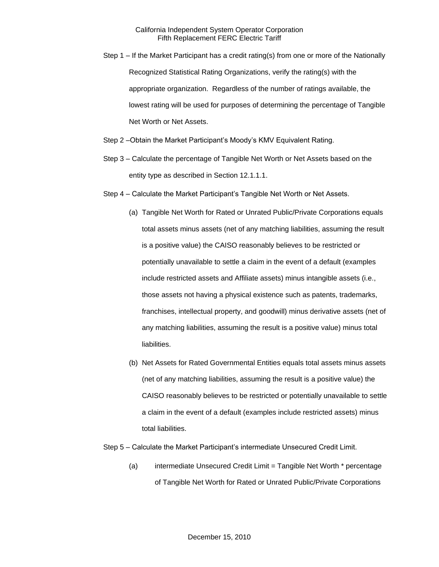- Step 1 If the Market Participant has a credit rating(s) from one or more of the Nationally Recognized Statistical Rating Organizations, verify the rating(s) with the appropriate organization. Regardless of the number of ratings available, the lowest rating will be used for purposes of determining the percentage of Tangible Net Worth or Net Assets.
- Step 2 –Obtain the Market Participant's Moody's KMV Equivalent Rating.
- Step 3 Calculate the percentage of Tangible Net Worth or Net Assets based on the entity type as described in Section 12.1.1.1.
- Step 4 Calculate the Market Participant's Tangible Net Worth or Net Assets.
	- (a) Tangible Net Worth for Rated or Unrated Public/Private Corporations equals total assets minus assets (net of any matching liabilities, assuming the result is a positive value) the CAISO reasonably believes to be restricted or potentially unavailable to settle a claim in the event of a default (examples include restricted assets and Affiliate assets) minus intangible assets (i.e., those assets not having a physical existence such as patents, trademarks, franchises, intellectual property, and goodwill) minus derivative assets (net of any matching liabilities, assuming the result is a positive value) minus total liabilities.
	- (b) Net Assets for Rated Governmental Entities equals total assets minus assets (net of any matching liabilities, assuming the result is a positive value) the CAISO reasonably believes to be restricted or potentially unavailable to settle a claim in the event of a default (examples include restricted assets) minus total liabilities.

#### Step 5 – Calculate the Market Participant's intermediate Unsecured Credit Limit.

(a) intermediate Unsecured Credit Limit = Tangible Net Worth \* percentage of Tangible Net Worth for Rated or Unrated Public/Private Corporations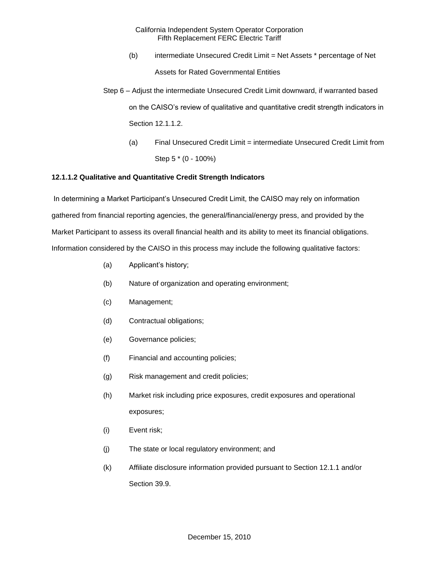- (b) intermediate Unsecured Credit Limit = Net Assets \* percentage of Net Assets for Rated Governmental Entities
- Step 6 Adjust the intermediate Unsecured Credit Limit downward, if warranted based on the CAISO's review of qualitative and quantitative credit strength indicators in Section 12.1.1.2.
	- (a) Final Unsecured Credit Limit = intermediate Unsecured Credit Limit from Step 5 \* (0 - 100%)

# **12.1.1.2 Qualitative and Quantitative Credit Strength Indicators**

In determining a Market Participant's Unsecured Credit Limit, the CAISO may rely on information gathered from financial reporting agencies, the general/financial/energy press, and provided by the Market Participant to assess its overall financial health and its ability to meet its financial obligations. Information considered by the CAISO in this process may include the following qualitative factors:

- (a) Applicant's history;
- (b) Nature of organization and operating environment;
- (c) Management;
- (d) Contractual obligations;
- (e) Governance policies;
- (f) Financial and accounting policies;
- (g) Risk management and credit policies;
- (h) Market risk including price exposures, credit exposures and operational exposures;
- (i) Event risk;
- (j) The state or local regulatory environment; and
- (k) Affiliate disclosure information provided pursuant to Section 12.1.1 and/or Section 39.9.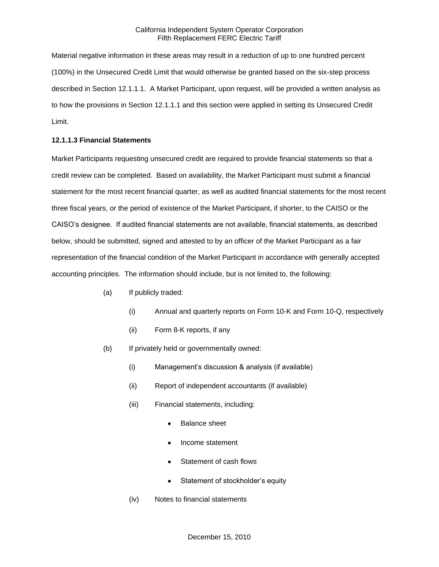Material negative information in these areas may result in a reduction of up to one hundred percent (100%) in the Unsecured Credit Limit that would otherwise be granted based on the six-step process described in Section 12.1.1.1. A Market Participant, upon request, will be provided a written analysis as to how the provisions in Section 12.1.1.1 and this section were applied in setting its Unsecured Credit Limit.

#### **12.1.1.3 Financial Statements**

Market Participants requesting unsecured credit are required to provide financial statements so that a credit review can be completed. Based on availability, the Market Participant must submit a financial statement for the most recent financial quarter, as well as audited financial statements for the most recent three fiscal years, or the period of existence of the Market Participant, if shorter, to the CAISO or the CAISO's designee. If audited financial statements are not available, financial statements, as described below, should be submitted, signed and attested to by an officer of the Market Participant as a fair representation of the financial condition of the Market Participant in accordance with generally accepted accounting principles. The information should include, but is not limited to, the following:

- (a) If publicly traded:
	- (i) Annual and quarterly reports on Form 10-K and Form 10-Q, respectively
	- (ii) Form 8-K reports, if any
- (b) If privately held or governmentally owned:
	- (i) Management's discussion & analysis (if available)
	- (ii) Report of independent accountants (if available)
	- (iii) Financial statements, including:
		- Balance sheet
		- Income statement
		- Statement of cash flows
		- Statement of stockholder's equity
	- (iv) Notes to financial statements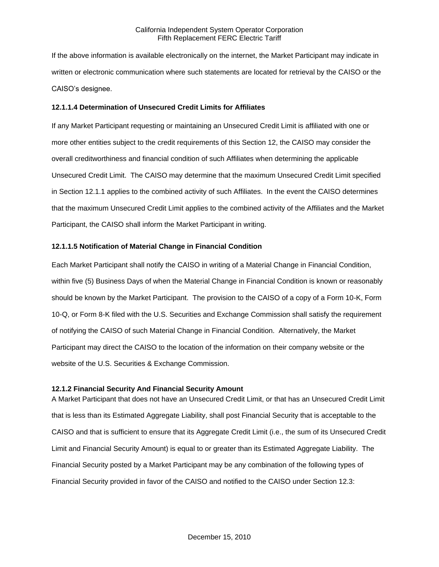If the above information is available electronically on the internet, the Market Participant may indicate in written or electronic communication where such statements are located for retrieval by the CAISO or the CAISO's designee.

## **12.1.1.4 Determination of Unsecured Credit Limits for Affiliates**

If any Market Participant requesting or maintaining an Unsecured Credit Limit is affiliated with one or more other entities subject to the credit requirements of this Section 12, the CAISO may consider the overall creditworthiness and financial condition of such Affiliates when determining the applicable Unsecured Credit Limit. The CAISO may determine that the maximum Unsecured Credit Limit specified in Section 12.1.1 applies to the combined activity of such Affiliates. In the event the CAISO determines that the maximum Unsecured Credit Limit applies to the combined activity of the Affiliates and the Market Participant, the CAISO shall inform the Market Participant in writing.

## **12.1.1.5 Notification of Material Change in Financial Condition**

Each Market Participant shall notify the CAISO in writing of a Material Change in Financial Condition, within five (5) Business Days of when the Material Change in Financial Condition is known or reasonably should be known by the Market Participant. The provision to the CAISO of a copy of a Form 10-K, Form 10-Q, or Form 8-K filed with the U.S. Securities and Exchange Commission shall satisfy the requirement of notifying the CAISO of such Material Change in Financial Condition. Alternatively, the Market Participant may direct the CAISO to the location of the information on their company website or the website of the U.S. Securities & Exchange Commission.

#### **12.1.2 Financial Security And Financial Security Amount**

A Market Participant that does not have an Unsecured Credit Limit, or that has an Unsecured Credit Limit that is less than its Estimated Aggregate Liability, shall post Financial Security that is acceptable to the CAISO and that is sufficient to ensure that its Aggregate Credit Limit (i.e., the sum of its Unsecured Credit Limit and Financial Security Amount) is equal to or greater than its Estimated Aggregate Liability. The Financial Security posted by a Market Participant may be any combination of the following types of Financial Security provided in favor of the CAISO and notified to the CAISO under Section 12.3: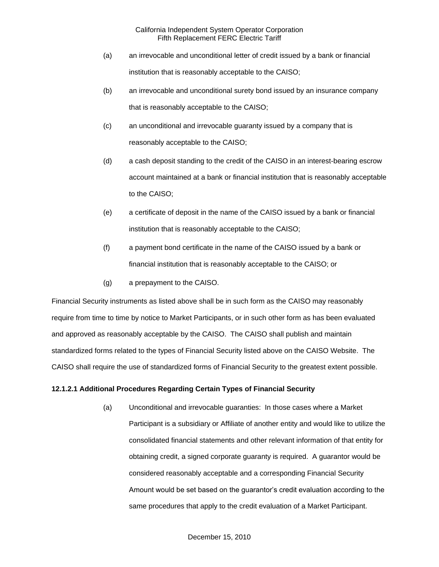- (a) an irrevocable and unconditional letter of credit issued by a bank or financial institution that is reasonably acceptable to the CAISO;
- (b) an irrevocable and unconditional surety bond issued by an insurance company that is reasonably acceptable to the CAISO;
- (c) an unconditional and irrevocable guaranty issued by a company that is reasonably acceptable to the CAISO;
- (d) a cash deposit standing to the credit of the CAISO in an interest-bearing escrow account maintained at a bank or financial institution that is reasonably acceptable to the CAISO;
- (e) a certificate of deposit in the name of the CAISO issued by a bank or financial institution that is reasonably acceptable to the CAISO;
- (f) a payment bond certificate in the name of the CAISO issued by a bank or financial institution that is reasonably acceptable to the CAISO; or
- (g) a prepayment to the CAISO.

Financial Security instruments as listed above shall be in such form as the CAISO may reasonably require from time to time by notice to Market Participants, or in such other form as has been evaluated and approved as reasonably acceptable by the CAISO. The CAISO shall publish and maintain standardized forms related to the types of Financial Security listed above on the CAISO Website. The CAISO shall require the use of standardized forms of Financial Security to the greatest extent possible.

# **12.1.2.1 Additional Procedures Regarding Certain Types of Financial Security**

(a) Unconditional and irrevocable guaranties: In those cases where a Market Participant is a subsidiary or Affiliate of another entity and would like to utilize the consolidated financial statements and other relevant information of that entity for obtaining credit, a signed corporate guaranty is required. A guarantor would be considered reasonably acceptable and a corresponding Financial Security Amount would be set based on the guarantor's credit evaluation according to the same procedures that apply to the credit evaluation of a Market Participant.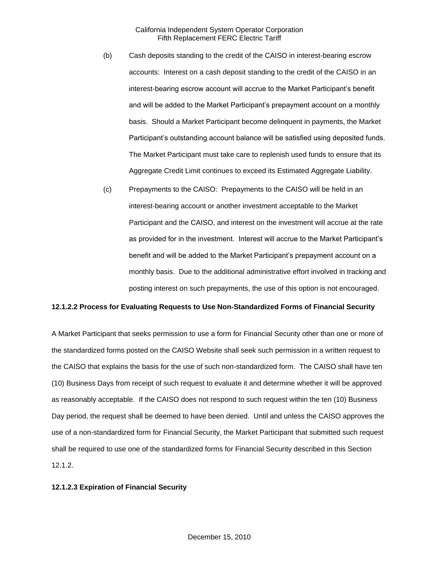- (b) Cash deposits standing to the credit of the CAISO in interest-bearing escrow accounts: Interest on a cash deposit standing to the credit of the CAISO in an interest-bearing escrow account will accrue to the Market Participant's benefit and will be added to the Market Participant's prepayment account on a monthly basis. Should a Market Participant become delinquent in payments, the Market Participant's outstanding account balance will be satisfied using deposited funds. The Market Participant must take care to replenish used funds to ensure that its Aggregate Credit Limit continues to exceed its Estimated Aggregate Liability.
- (c) Prepayments to the CAISO: Prepayments to the CAISO will be held in an interest-bearing account or another investment acceptable to the Market Participant and the CAISO, and interest on the investment will accrue at the rate as provided for in the investment. Interest will accrue to the Market Participant's benefit and will be added to the Market Participant's prepayment account on a monthly basis. Due to the additional administrative effort involved in tracking and posting interest on such prepayments, the use of this option is not encouraged.

# **12.1.2.2 Process for Evaluating Requests to Use Non-Standardized Forms of Financial Security**

A Market Participant that seeks permission to use a form for Financial Security other than one or more of the standardized forms posted on the CAISO Website shall seek such permission in a written request to the CAISO that explains the basis for the use of such non-standardized form. The CAISO shall have ten (10) Business Days from receipt of such request to evaluate it and determine whether it will be approved as reasonably acceptable. If the CAISO does not respond to such request within the ten (10) Business Day period, the request shall be deemed to have been denied. Until and unless the CAISO approves the use of a non-standardized form for Financial Security, the Market Participant that submitted such request shall be required to use one of the standardized forms for Financial Security described in this Section 12.1.2.

#### **12.1.2.3 Expiration of Financial Security**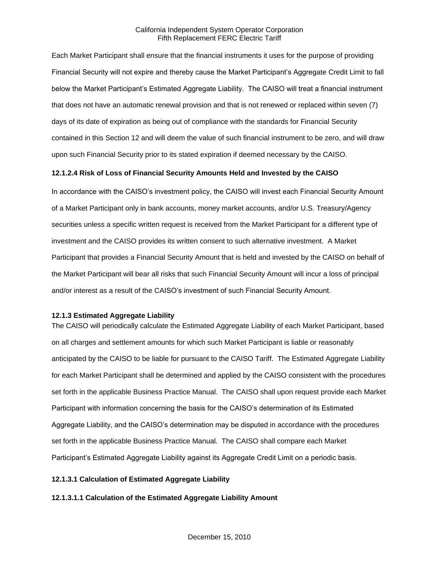Each Market Participant shall ensure that the financial instruments it uses for the purpose of providing Financial Security will not expire and thereby cause the Market Participant's Aggregate Credit Limit to fall below the Market Participant's Estimated Aggregate Liability. The CAISO will treat a financial instrument that does not have an automatic renewal provision and that is not renewed or replaced within seven (7) days of its date of expiration as being out of compliance with the standards for Financial Security contained in this Section 12 and will deem the value of such financial instrument to be zero, and will draw upon such Financial Security prior to its stated expiration if deemed necessary by the CAISO.

# **12.1.2.4 Risk of Loss of Financial Security Amounts Held and Invested by the CAISO**

In accordance with the CAISO's investment policy, the CAISO will invest each Financial Security Amount of a Market Participant only in bank accounts, money market accounts, and/or U.S. Treasury/Agency securities unless a specific written request is received from the Market Participant for a different type of investment and the CAISO provides its written consent to such alternative investment. A Market Participant that provides a Financial Security Amount that is held and invested by the CAISO on behalf of the Market Participant will bear all risks that such Financial Security Amount will incur a loss of principal and/or interest as a result of the CAISO's investment of such Financial Security Amount.

# **12.1.3 Estimated Aggregate Liability**

The CAISO will periodically calculate the Estimated Aggregate Liability of each Market Participant, based on all charges and settlement amounts for which such Market Participant is liable or reasonably anticipated by the CAISO to be liable for pursuant to the CAISO Tariff. The Estimated Aggregate Liability for each Market Participant shall be determined and applied by the CAISO consistent with the procedures set forth in the applicable Business Practice Manual. The CAISO shall upon request provide each Market Participant with information concerning the basis for the CAISO's determination of its Estimated Aggregate Liability, and the CAISO's determination may be disputed in accordance with the procedures set forth in the applicable Business Practice Manual. The CAISO shall compare each Market Participant's Estimated Aggregate Liability against its Aggregate Credit Limit on a periodic basis.

# **12.1.3.1 Calculation of Estimated Aggregate Liability**

#### **12.1.3.1.1 Calculation of the Estimated Aggregate Liability Amount**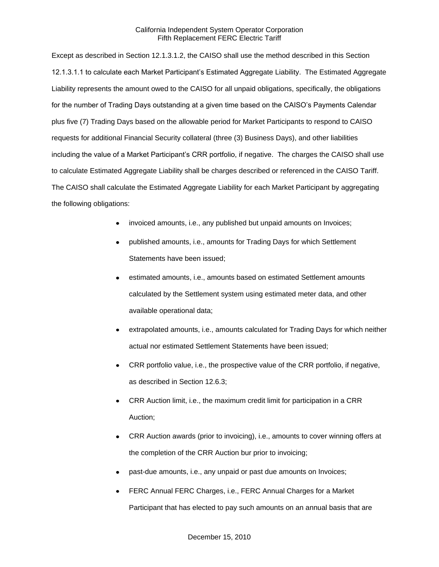Except as described in Section 12.1.3.1.2, the CAISO shall use the method described in this Section 12.1.3.1.1 to calculate each Market Participant's Estimated Aggregate Liability. The Estimated Aggregate Liability represents the amount owed to the CAISO for all unpaid obligations, specifically, the obligations for the number of Trading Days outstanding at a given time based on the CAISO's Payments Calendar plus five (7) Trading Days based on the allowable period for Market Participants to respond to CAISO requests for additional Financial Security collateral (three (3) Business Days), and other liabilities including the value of a Market Participant's CRR portfolio, if negative. The charges the CAISO shall use to calculate Estimated Aggregate Liability shall be charges described or referenced in the CAISO Tariff. The CAISO shall calculate the Estimated Aggregate Liability for each Market Participant by aggregating the following obligations:

- invoiced amounts, i.e., any published but unpaid amounts on Invoices;
- published amounts, i.e., amounts for Trading Days for which Settlement Statements have been issued;
- estimated amounts, i.e., amounts based on estimated Settlement amounts calculated by the Settlement system using estimated meter data, and other available operational data;
- extrapolated amounts, i.e., amounts calculated for Trading Days for which neither actual nor estimated Settlement Statements have been issued;
- CRR portfolio value, i.e., the prospective value of the CRR portfolio, if negative, as described in Section 12.6.3;
- CRR Auction limit, i.e., the maximum credit limit for participation in a CRR Auction;
- CRR Auction awards (prior to invoicing), i.e., amounts to cover winning offers at the completion of the CRR Auction bur prior to invoicing;
- past-due amounts, i.e., any unpaid or past due amounts on Invoices;
- FERC Annual FERC Charges, i.e., FERC Annual Charges for a Market Participant that has elected to pay such amounts on an annual basis that are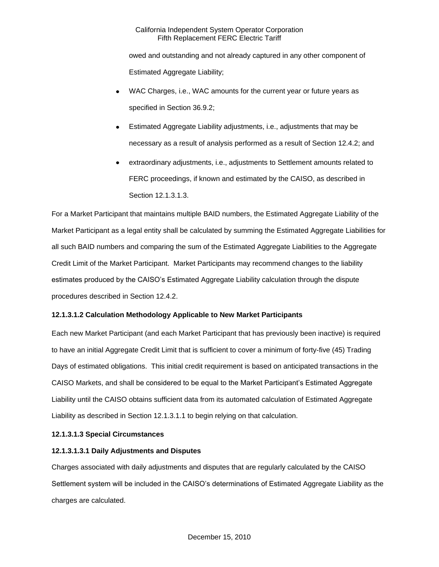owed and outstanding and not already captured in any other component of Estimated Aggregate Liability;

- WAC Charges, i.e., WAC amounts for the current year or future years as specified in Section 36.9.2;
- Estimated Aggregate Liability adjustments, i.e., adjustments that may be necessary as a result of analysis performed as a result of Section 12.4.2; and
- extraordinary adjustments, i.e., adjustments to Settlement amounts related to FERC proceedings, if known and estimated by the CAISO, as described in Section 12.1.3.1.3.

For a Market Participant that maintains multiple BAID numbers, the Estimated Aggregate Liability of the Market Participant as a legal entity shall be calculated by summing the Estimated Aggregate Liabilities for all such BAID numbers and comparing the sum of the Estimated Aggregate Liabilities to the Aggregate Credit Limit of the Market Participant. Market Participants may recommend changes to the liability estimates produced by the CAISO's Estimated Aggregate Liability calculation through the dispute procedures described in Section 12.4.2.

# **12.1.3.1.2 Calculation Methodology Applicable to New Market Participants**

Each new Market Participant (and each Market Participant that has previously been inactive) is required to have an initial Aggregate Credit Limit that is sufficient to cover a minimum of forty-five (45) Trading Days of estimated obligations. This initial credit requirement is based on anticipated transactions in the CAISO Markets, and shall be considered to be equal to the Market Participant's Estimated Aggregate Liability until the CAISO obtains sufficient data from its automated calculation of Estimated Aggregate Liability as described in Section 12.1.3.1.1 to begin relying on that calculation.

# **12.1.3.1.3 Special Circumstances**

# **12.1.3.1.3.1 Daily Adjustments and Disputes**

Charges associated with daily adjustments and disputes that are regularly calculated by the CAISO Settlement system will be included in the CAISO's determinations of Estimated Aggregate Liability as the charges are calculated.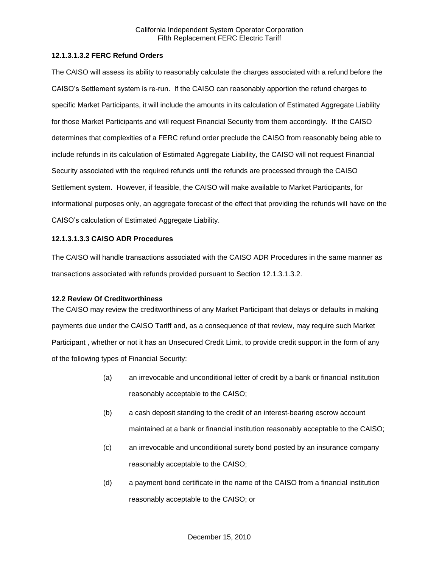## **12.1.3.1.3.2 FERC Refund Orders**

The CAISO will assess its ability to reasonably calculate the charges associated with a refund before the CAISO's Settlement system is re-run. If the CAISO can reasonably apportion the refund charges to specific Market Participants, it will include the amounts in its calculation of Estimated Aggregate Liability for those Market Participants and will request Financial Security from them accordingly. If the CAISO determines that complexities of a FERC refund order preclude the CAISO from reasonably being able to include refunds in its calculation of Estimated Aggregate Liability, the CAISO will not request Financial Security associated with the required refunds until the refunds are processed through the CAISO Settlement system. However, if feasible, the CAISO will make available to Market Participants, for informational purposes only, an aggregate forecast of the effect that providing the refunds will have on the CAISO's calculation of Estimated Aggregate Liability.

## **12.1.3.1.3.3 CAISO ADR Procedures**

The CAISO will handle transactions associated with the CAISO ADR Procedures in the same manner as transactions associated with refunds provided pursuant to Section 12.1.3.1.3.2.

#### **12.2 Review Of Creditworthiness**

The CAISO may review the creditworthiness of any Market Participant that delays or defaults in making payments due under the CAISO Tariff and, as a consequence of that review, may require such Market Participant , whether or not it has an Unsecured Credit Limit, to provide credit support in the form of any of the following types of Financial Security:

- (a) an irrevocable and unconditional letter of credit by a bank or financial institution reasonably acceptable to the CAISO;
- (b) a cash deposit standing to the credit of an interest-bearing escrow account maintained at a bank or financial institution reasonably acceptable to the CAISO;
- (c) an irrevocable and unconditional surety bond posted by an insurance company reasonably acceptable to the CAISO;
- (d) a payment bond certificate in the name of the CAISO from a financial institution reasonably acceptable to the CAISO; or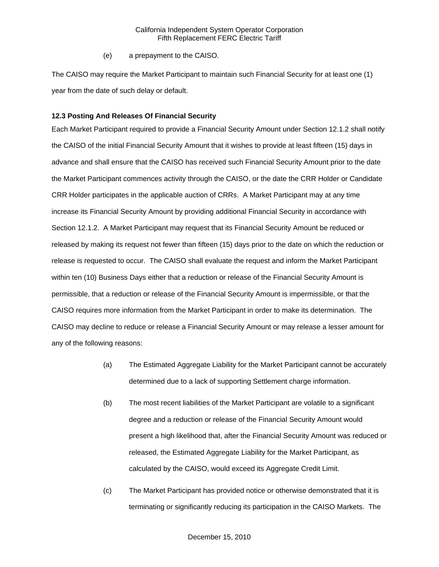(e) a prepayment to the CAISO.

The CAISO may require the Market Participant to maintain such Financial Security for at least one (1) year from the date of such delay or default.

## **12.3 Posting And Releases Of Financial Security**

Each Market Participant required to provide a Financial Security Amount under Section 12.1.2 shall notify the CAISO of the initial Financial Security Amount that it wishes to provide at least fifteen (15) days in advance and shall ensure that the CAISO has received such Financial Security Amount prior to the date the Market Participant commences activity through the CAISO, or the date the CRR Holder or Candidate CRR Holder participates in the applicable auction of CRRs. A Market Participant may at any time increase its Financial Security Amount by providing additional Financial Security in accordance with Section 12.1.2. A Market Participant may request that its Financial Security Amount be reduced or released by making its request not fewer than fifteen (15) days prior to the date on which the reduction or release is requested to occur. The CAISO shall evaluate the request and inform the Market Participant within ten (10) Business Days either that a reduction or release of the Financial Security Amount is permissible, that a reduction or release of the Financial Security Amount is impermissible, or that the CAISO requires more information from the Market Participant in order to make its determination. The CAISO may decline to reduce or release a Financial Security Amount or may release a lesser amount for any of the following reasons:

- (a) The Estimated Aggregate Liability for the Market Participant cannot be accurately determined due to a lack of supporting Settlement charge information.
- (b) The most recent liabilities of the Market Participant are volatile to a significant degree and a reduction or release of the Financial Security Amount would present a high likelihood that, after the Financial Security Amount was reduced or released, the Estimated Aggregate Liability for the Market Participant, as calculated by the CAISO, would exceed its Aggregate Credit Limit.
- (c) The Market Participant has provided notice or otherwise demonstrated that it is terminating or significantly reducing its participation in the CAISO Markets. The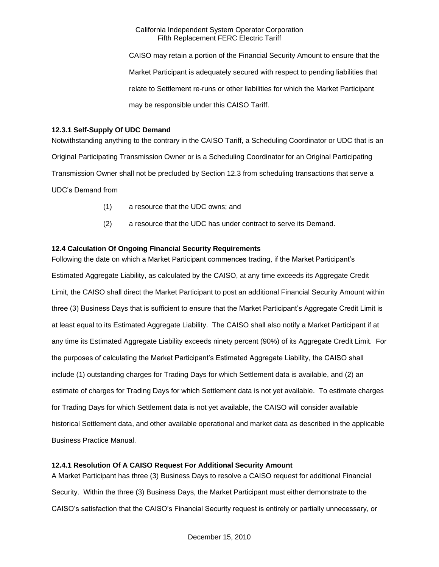CAISO may retain a portion of the Financial Security Amount to ensure that the Market Participant is adequately secured with respect to pending liabilities that relate to Settlement re-runs or other liabilities for which the Market Participant may be responsible under this CAISO Tariff.

## **12.3.1 Self-Supply Of UDC Demand**

Notwithstanding anything to the contrary in the CAISO Tariff, a Scheduling Coordinator or UDC that is an Original Participating Transmission Owner or is a Scheduling Coordinator for an Original Participating Transmission Owner shall not be precluded by Section 12.3 from scheduling transactions that serve a UDC's Demand from

- (1) a resource that the UDC owns; and
- (2) a resource that the UDC has under contract to serve its Demand.

# **12.4 Calculation Of Ongoing Financial Security Requirements**

Following the date on which a Market Participant commences trading, if the Market Participant's Estimated Aggregate Liability, as calculated by the CAISO, at any time exceeds its Aggregate Credit Limit, the CAISO shall direct the Market Participant to post an additional Financial Security Amount within three (3) Business Days that is sufficient to ensure that the Market Participant's Aggregate Credit Limit is at least equal to its Estimated Aggregate Liability. The CAISO shall also notify a Market Participant if at any time its Estimated Aggregate Liability exceeds ninety percent (90%) of its Aggregate Credit Limit. For the purposes of calculating the Market Participant's Estimated Aggregate Liability, the CAISO shall include (1) outstanding charges for Trading Days for which Settlement data is available, and (2) an estimate of charges for Trading Days for which Settlement data is not yet available. To estimate charges for Trading Days for which Settlement data is not yet available, the CAISO will consider available historical Settlement data, and other available operational and market data as described in the applicable Business Practice Manual.

# **12.4.1 Resolution Of A CAISO Request For Additional Security Amount**

A Market Participant has three (3) Business Days to resolve a CAISO request for additional Financial Security. Within the three (3) Business Days, the Market Participant must either demonstrate to the CAISO's satisfaction that the CAISO's Financial Security request is entirely or partially unnecessary, or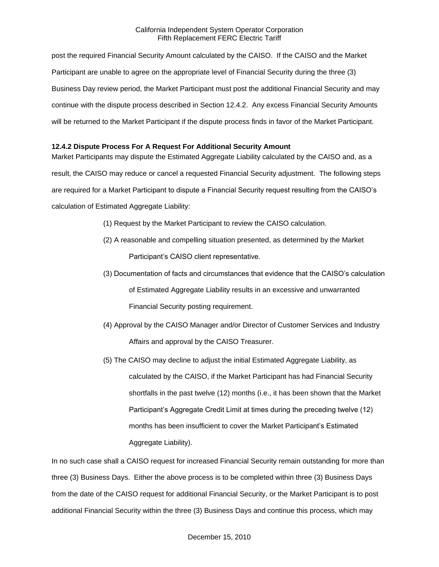post the required Financial Security Amount calculated by the CAISO. If the CAISO and the Market Participant are unable to agree on the appropriate level of Financial Security during the three (3) Business Day review period, the Market Participant must post the additional Financial Security and may continue with the dispute process described in Section 12.4.2. Any excess Financial Security Amounts will be returned to the Market Participant if the dispute process finds in favor of the Market Participant.

# **12.4.2 Dispute Process For A Request For Additional Security Amount**

Market Participants may dispute the Estimated Aggregate Liability calculated by the CAISO and, as a result, the CAISO may reduce or cancel a requested Financial Security adjustment. The following steps are required for a Market Participant to dispute a Financial Security request resulting from the CAISO's calculation of Estimated Aggregate Liability:

- (1) Request by the Market Participant to review the CAISO calculation.
- (2) A reasonable and compelling situation presented, as determined by the Market Participant's CAISO client representative.
- (3) Documentation of facts and circumstances that evidence that the CAISO's calculation of Estimated Aggregate Liability results in an excessive and unwarranted Financial Security posting requirement.
- (4) Approval by the CAISO Manager and/or Director of Customer Services and Industry Affairs and approval by the CAISO Treasurer.
- (5) The CAISO may decline to adjust the initial Estimated Aggregate Liability, as calculated by the CAISO, if the Market Participant has had Financial Security shortfalls in the past twelve (12) months (i.e., it has been shown that the Market Participant's Aggregate Credit Limit at times during the preceding twelve (12) months has been insufficient to cover the Market Participant's Estimated Aggregate Liability).

In no such case shall a CAISO request for increased Financial Security remain outstanding for more than three (3) Business Days. Either the above process is to be completed within three (3) Business Days from the date of the CAISO request for additional Financial Security, or the Market Participant is to post additional Financial Security within the three (3) Business Days and continue this process, which may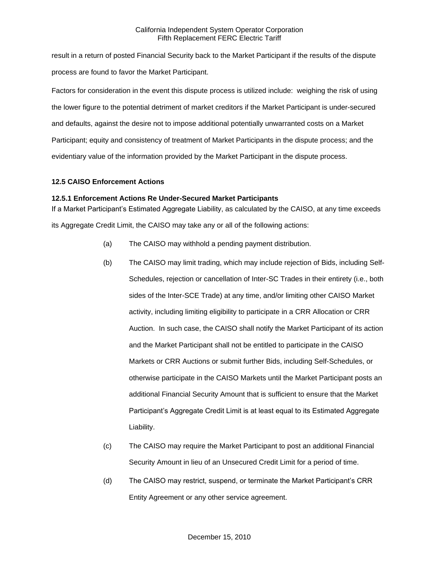result in a return of posted Financial Security back to the Market Participant if the results of the dispute process are found to favor the Market Participant.

Factors for consideration in the event this dispute process is utilized include: weighing the risk of using the lower figure to the potential detriment of market creditors if the Market Participant is under-secured and defaults, against the desire not to impose additional potentially unwarranted costs on a Market Participant; equity and consistency of treatment of Market Participants in the dispute process; and the evidentiary value of the information provided by the Market Participant in the dispute process.

# **12.5 CAISO Enforcement Actions**

# **12.5.1 Enforcement Actions Re Under-Secured Market Participants**

If a Market Participant's Estimated Aggregate Liability, as calculated by the CAISO, at any time exceeds its Aggregate Credit Limit, the CAISO may take any or all of the following actions:

- (a) The CAISO may withhold a pending payment distribution.
- (b) The CAISO may limit trading, which may include rejection of Bids, including Self-Schedules, rejection or cancellation of Inter-SC Trades in their entirety (i.e., both sides of the Inter-SCE Trade) at any time, and/or limiting other CAISO Market activity, including limiting eligibility to participate in a CRR Allocation or CRR Auction. In such case, the CAISO shall notify the Market Participant of its action and the Market Participant shall not be entitled to participate in the CAISO Markets or CRR Auctions or submit further Bids, including Self-Schedules, or otherwise participate in the CAISO Markets until the Market Participant posts an additional Financial Security Amount that is sufficient to ensure that the Market Participant's Aggregate Credit Limit is at least equal to its Estimated Aggregate Liability.
- (c) The CAISO may require the Market Participant to post an additional Financial Security Amount in lieu of an Unsecured Credit Limit for a period of time.
- (d) The CAISO may restrict, suspend, or terminate the Market Participant's CRR Entity Agreement or any other service agreement.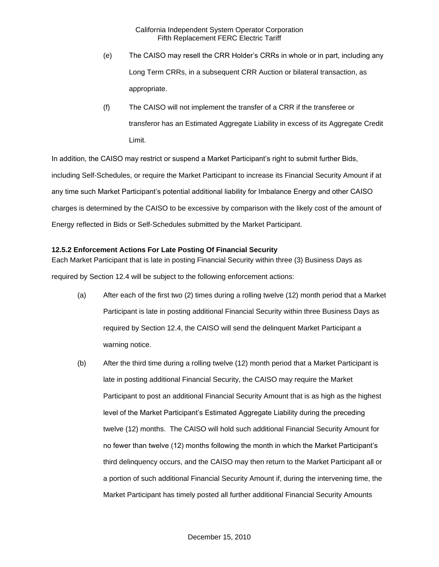- (e) The CAISO may resell the CRR Holder's CRRs in whole or in part, including any Long Term CRRs, in a subsequent CRR Auction or bilateral transaction, as appropriate.
- (f) The CAISO will not implement the transfer of a CRR if the transferee or transferor has an Estimated Aggregate Liability in excess of its Aggregate Credit Limit.

In addition, the CAISO may restrict or suspend a Market Participant's right to submit further Bids, including Self-Schedules, or require the Market Participant to increase its Financial Security Amount if at any time such Market Participant's potential additional liability for Imbalance Energy and other CAISO charges is determined by the CAISO to be excessive by comparison with the likely cost of the amount of Energy reflected in Bids or Self-Schedules submitted by the Market Participant.

# **12.5.2 Enforcement Actions For Late Posting Of Financial Security**

Each Market Participant that is late in posting Financial Security within three (3) Business Days as required by Section 12.4 will be subject to the following enforcement actions:

- (a) After each of the first two (2) times during a rolling twelve (12) month period that a Market Participant is late in posting additional Financial Security within three Business Days as required by Section 12.4, the CAISO will send the delinquent Market Participant a warning notice.
- (b) After the third time during a rolling twelve (12) month period that a Market Participant is late in posting additional Financial Security, the CAISO may require the Market Participant to post an additional Financial Security Amount that is as high as the highest level of the Market Participant's Estimated Aggregate Liability during the preceding twelve (12) months. The CAISO will hold such additional Financial Security Amount for no fewer than twelve (12) months following the month in which the Market Participant's third delinquency occurs, and the CAISO may then return to the Market Participant all or a portion of such additional Financial Security Amount if, during the intervening time, the Market Participant has timely posted all further additional Financial Security Amounts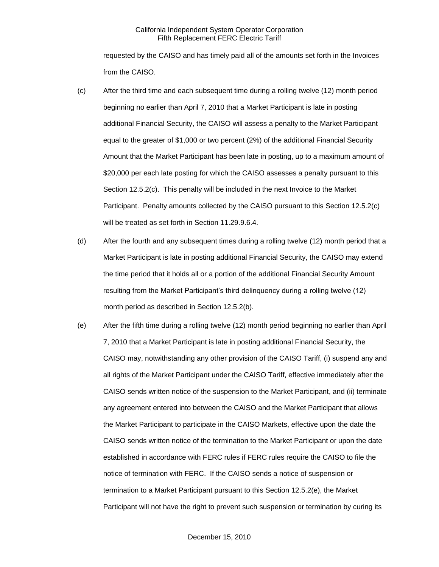requested by the CAISO and has timely paid all of the amounts set forth in the Invoices from the CAISO.

- (c) After the third time and each subsequent time during a rolling twelve (12) month period beginning no earlier than April 7, 2010 that a Market Participant is late in posting additional Financial Security, the CAISO will assess a penalty to the Market Participant equal to the greater of \$1,000 or two percent (2%) of the additional Financial Security Amount that the Market Participant has been late in posting, up to a maximum amount of \$20,000 per each late posting for which the CAISO assesses a penalty pursuant to this Section 12.5.2(c). This penalty will be included in the next Invoice to the Market Participant. Penalty amounts collected by the CAISO pursuant to this Section 12.5.2(c) will be treated as set forth in Section 11.29.9.6.4.
- (d) After the fourth and any subsequent times during a rolling twelve (12) month period that a Market Participant is late in posting additional Financial Security, the CAISO may extend the time period that it holds all or a portion of the additional Financial Security Amount resulting from the Market Participant's third delinquency during a rolling twelve (12) month period as described in Section 12.5.2(b).
- (e) After the fifth time during a rolling twelve (12) month period beginning no earlier than April 7, 2010 that a Market Participant is late in posting additional Financial Security, the CAISO may, notwithstanding any other provision of the CAISO Tariff, (i) suspend any and all rights of the Market Participant under the CAISO Tariff, effective immediately after the CAISO sends written notice of the suspension to the Market Participant, and (ii) terminate any agreement entered into between the CAISO and the Market Participant that allows the Market Participant to participate in the CAISO Markets, effective upon the date the CAISO sends written notice of the termination to the Market Participant or upon the date established in accordance with FERC rules if FERC rules require the CAISO to file the notice of termination with FERC. If the CAISO sends a notice of suspension or termination to a Market Participant pursuant to this Section 12.5.2(e), the Market Participant will not have the right to prevent such suspension or termination by curing its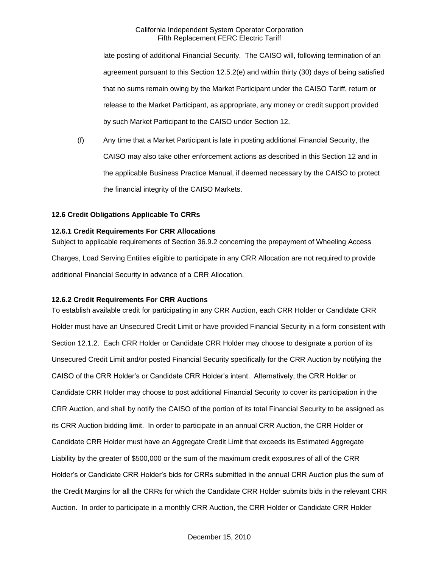late posting of additional Financial Security. The CAISO will, following termination of an agreement pursuant to this Section 12.5.2(e) and within thirty (30) days of being satisfied that no sums remain owing by the Market Participant under the CAISO Tariff, return or release to the Market Participant, as appropriate, any money or credit support provided by such Market Participant to the CAISO under Section 12.

(f) Any time that a Market Participant is late in posting additional Financial Security, the CAISO may also take other enforcement actions as described in this Section 12 and in the applicable Business Practice Manual, if deemed necessary by the CAISO to protect the financial integrity of the CAISO Markets.

#### **12.6 Credit Obligations Applicable To CRRs**

## **12.6.1 Credit Requirements For CRR Allocations**

Subject to applicable requirements of Section 36.9.2 concerning the prepayment of Wheeling Access Charges, Load Serving Entities eligible to participate in any CRR Allocation are not required to provide additional Financial Security in advance of a CRR Allocation.

#### **12.6.2 Credit Requirements For CRR Auctions**

To establish available credit for participating in any CRR Auction, each CRR Holder or Candidate CRR Holder must have an Unsecured Credit Limit or have provided Financial Security in a form consistent with Section 12.1.2. Each CRR Holder or Candidate CRR Holder may choose to designate a portion of its Unsecured Credit Limit and/or posted Financial Security specifically for the CRR Auction by notifying the CAISO of the CRR Holder's or Candidate CRR Holder's intent. Alternatively, the CRR Holder or Candidate CRR Holder may choose to post additional Financial Security to cover its participation in the CRR Auction, and shall by notify the CAISO of the portion of its total Financial Security to be assigned as its CRR Auction bidding limit. In order to participate in an annual CRR Auction, the CRR Holder or Candidate CRR Holder must have an Aggregate Credit Limit that exceeds its Estimated Aggregate Liability by the greater of \$500,000 or the sum of the maximum credit exposures of all of the CRR Holder's or Candidate CRR Holder's bids for CRRs submitted in the annual CRR Auction plus the sum of the Credit Margins for all the CRRs for which the Candidate CRR Holder submits bids in the relevant CRR Auction. In order to participate in a monthly CRR Auction, the CRR Holder or Candidate CRR Holder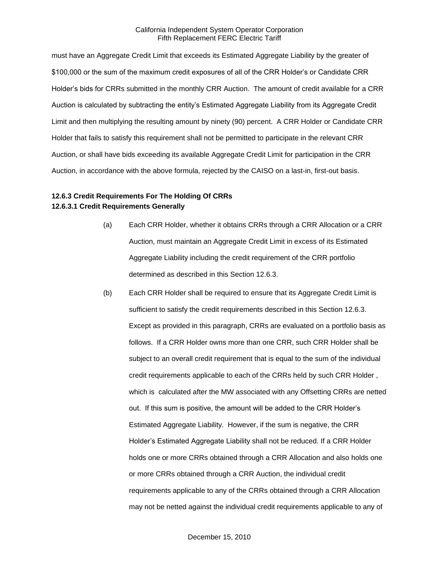must have an Aggregate Credit Limit that exceeds its Estimated Aggregate Liability by the greater of \$100,000 or the sum of the maximum credit exposures of all of the CRR Holder's or Candidate CRR Holder's bids for CRRs submitted in the monthly CRR Auction. The amount of credit available for a CRR Auction is calculated by subtracting the entity's Estimated Aggregate Liability from its Aggregate Credit Limit and then multiplying the resulting amount by ninety (90) percent. A CRR Holder or Candidate CRR Holder that fails to satisfy this requirement shall not be permitted to participate in the relevant CRR Auction, or shall have bids exceeding its available Aggregate Credit Limit for participation in the CRR Auction, in accordance with the above formula, rejected by the CAISO on a last-in, first-out basis.

# **12.6.3 Credit Requirements For The Holding Of CRRs 12.6.3.1 Credit Requirements Generally**

- (a) Each CRR Holder, whether it obtains CRRs through a CRR Allocation or a CRR Auction, must maintain an Aggregate Credit Limit in excess of its Estimated Aggregate Liability including the credit requirement of the CRR portfolio determined as described in this Section 12.6.3.
- (b) Each CRR Holder shall be required to ensure that its Aggregate Credit Limit is sufficient to satisfy the credit requirements described in this Section 12.6.3. Except as provided in this paragraph, CRRs are evaluated on a portfolio basis as follows. If a CRR Holder owns more than one CRR, such CRR Holder shall be subject to an overall credit requirement that is equal to the sum of the individual credit requirements applicable to each of the CRRs held by such CRR Holder , which is calculated after the MW associated with any Offsetting CRRs are netted out. If this sum is positive, the amount will be added to the CRR Holder's Estimated Aggregate Liability. However, if the sum is negative, the CRR Holder's Estimated Aggregate Liability shall not be reduced. If a CRR Holder holds one or more CRRs obtained through a CRR Allocation and also holds one or more CRRs obtained through a CRR Auction, the individual credit requirements applicable to any of the CRRs obtained through a CRR Allocation may not be netted against the individual credit requirements applicable to any of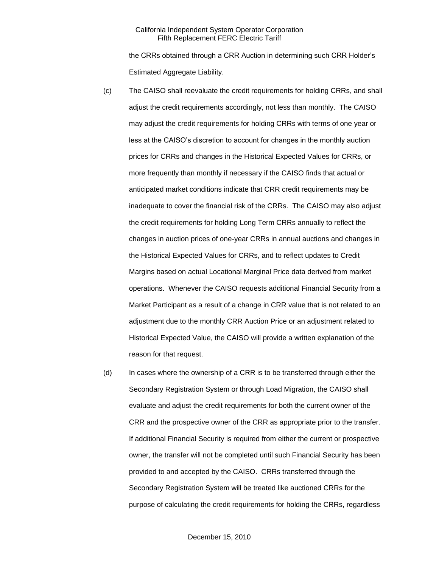the CRRs obtained through a CRR Auction in determining such CRR Holder's Estimated Aggregate Liability.

- (c) The CAISO shall reevaluate the credit requirements for holding CRRs, and shall adjust the credit requirements accordingly, not less than monthly. The CAISO may adjust the credit requirements for holding CRRs with terms of one year or less at the CAISO's discretion to account for changes in the monthly auction prices for CRRs and changes in the Historical Expected Values for CRRs, or more frequently than monthly if necessary if the CAISO finds that actual or anticipated market conditions indicate that CRR credit requirements may be inadequate to cover the financial risk of the CRRs. The CAISO may also adjust the credit requirements for holding Long Term CRRs annually to reflect the changes in auction prices of one-year CRRs in annual auctions and changes in the Historical Expected Values for CRRs, and to reflect updates to Credit Margins based on actual Locational Marginal Price data derived from market operations. Whenever the CAISO requests additional Financial Security from a Market Participant as a result of a change in CRR value that is not related to an adjustment due to the monthly CRR Auction Price or an adjustment related to Historical Expected Value, the CAISO will provide a written explanation of the reason for that request.
- (d) In cases where the ownership of a CRR is to be transferred through either the Secondary Registration System or through Load Migration, the CAISO shall evaluate and adjust the credit requirements for both the current owner of the CRR and the prospective owner of the CRR as appropriate prior to the transfer. If additional Financial Security is required from either the current or prospective owner, the transfer will not be completed until such Financial Security has been provided to and accepted by the CAISO. CRRs transferred through the Secondary Registration System will be treated like auctioned CRRs for the purpose of calculating the credit requirements for holding the CRRs, regardless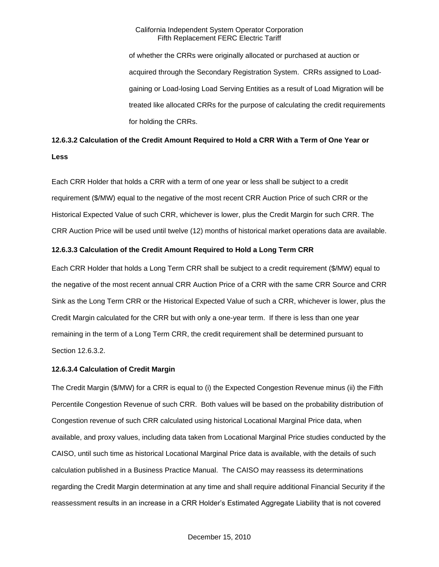of whether the CRRs were originally allocated or purchased at auction or acquired through the Secondary Registration System. CRRs assigned to Loadgaining or Load-losing Load Serving Entities as a result of Load Migration will be treated like allocated CRRs for the purpose of calculating the credit requirements for holding the CRRs.

# **12.6.3.2 Calculation of the Credit Amount Required to Hold a CRR With a Term of One Year or Less**

Each CRR Holder that holds a CRR with a term of one year or less shall be subject to a credit requirement (\$/MW) equal to the negative of the most recent CRR Auction Price of such CRR or the Historical Expected Value of such CRR, whichever is lower, plus the Credit Margin for such CRR. The CRR Auction Price will be used until twelve (12) months of historical market operations data are available.

## **12.6.3.3 Calculation of the Credit Amount Required to Hold a Long Term CRR**

Each CRR Holder that holds a Long Term CRR shall be subject to a credit requirement (\$/MW) equal to the negative of the most recent annual CRR Auction Price of a CRR with the same CRR Source and CRR Sink as the Long Term CRR or the Historical Expected Value of such a CRR, whichever is lower, plus the Credit Margin calculated for the CRR but with only a one-year term. If there is less than one year remaining in the term of a Long Term CRR, the credit requirement shall be determined pursuant to Section 12.6.3.2.

# **12.6.3.4 Calculation of Credit Margin**

The Credit Margin (\$/MW) for a CRR is equal to (i) the Expected Congestion Revenue minus (ii) the Fifth Percentile Congestion Revenue of such CRR. Both values will be based on the probability distribution of Congestion revenue of such CRR calculated using historical Locational Marginal Price data, when available, and proxy values, including data taken from Locational Marginal Price studies conducted by the CAISO, until such time as historical Locational Marginal Price data is available, with the details of such calculation published in a Business Practice Manual. The CAISO may reassess its determinations regarding the Credit Margin determination at any time and shall require additional Financial Security if the reassessment results in an increase in a CRR Holder's Estimated Aggregate Liability that is not covered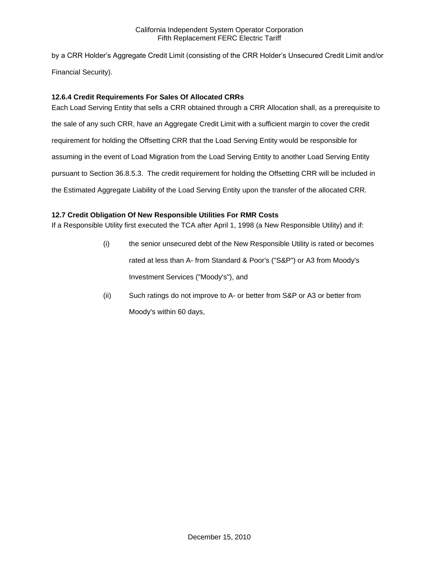by a CRR Holder's Aggregate Credit Limit (consisting of the CRR Holder's Unsecured Credit Limit and/or Financial Security).

# **12.6.4 Credit Requirements For Sales Of Allocated CRRs**

Each Load Serving Entity that sells a CRR obtained through a CRR Allocation shall, as a prerequisite to the sale of any such CRR, have an Aggregate Credit Limit with a sufficient margin to cover the credit requirement for holding the Offsetting CRR that the Load Serving Entity would be responsible for assuming in the event of Load Migration from the Load Serving Entity to another Load Serving Entity pursuant to Section 36.8.5.3. The credit requirement for holding the Offsetting CRR will be included in the Estimated Aggregate Liability of the Load Serving Entity upon the transfer of the allocated CRR.

# **12.7 Credit Obligation Of New Responsible Utilities For RMR Costs**

If a Responsible Utility first executed the TCA after April 1, 1998 (a New Responsible Utility) and if:

- (i) the senior unsecured debt of the New Responsible Utility is rated or becomes rated at less than A- from Standard & Poor's ("S&P") or A3 from Moody's Investment Services ("Moody's"), and
- (ii) Such ratings do not improve to A- or better from S&P or A3 or better from Moody's within 60 days,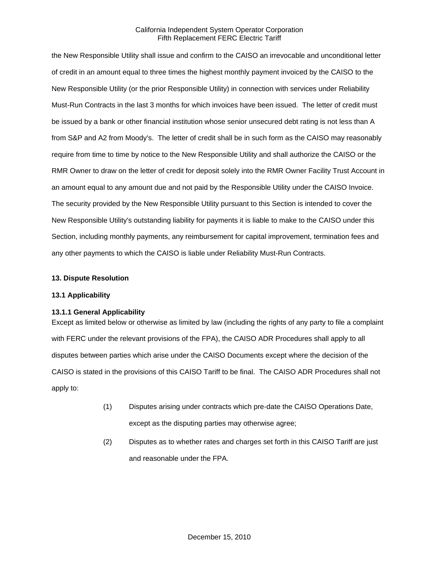the New Responsible Utility shall issue and confirm to the CAISO an irrevocable and unconditional letter of credit in an amount equal to three times the highest monthly payment invoiced by the CAISO to the New Responsible Utility (or the prior Responsible Utility) in connection with services under Reliability Must-Run Contracts in the last 3 months for which invoices have been issued. The letter of credit must be issued by a bank or other financial institution whose senior unsecured debt rating is not less than A from S&P and A2 from Moody's. The letter of credit shall be in such form as the CAISO may reasonably require from time to time by notice to the New Responsible Utility and shall authorize the CAISO or the RMR Owner to draw on the letter of credit for deposit solely into the RMR Owner Facility Trust Account in an amount equal to any amount due and not paid by the Responsible Utility under the CAISO Invoice. The security provided by the New Responsible Utility pursuant to this Section is intended to cover the New Responsible Utility's outstanding liability for payments it is liable to make to the CAISO under this Section, including monthly payments, any reimbursement for capital improvement, termination fees and any other payments to which the CAISO is liable under Reliability Must-Run Contracts.

#### **13. Dispute Resolution**

#### **13.1 Applicability**

#### **13.1.1 General Applicability**

Except as limited below or otherwise as limited by law (including the rights of any party to file a complaint with FERC under the relevant provisions of the FPA), the CAISO ADR Procedures shall apply to all disputes between parties which arise under the CAISO Documents except where the decision of the CAISO is stated in the provisions of this CAISO Tariff to be final. The CAISO ADR Procedures shall not apply to:

- (1) Disputes arising under contracts which pre-date the CAISO Operations Date, except as the disputing parties may otherwise agree;
- (2) Disputes as to whether rates and charges set forth in this CAISO Tariff are just and reasonable under the FPA.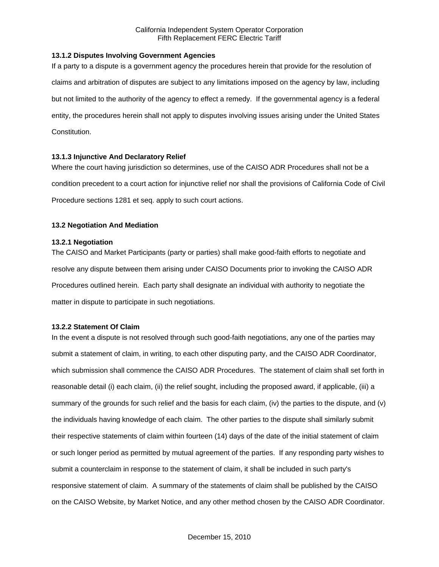## **13.1.2 Disputes Involving Government Agencies**

If a party to a dispute is a government agency the procedures herein that provide for the resolution of claims and arbitration of disputes are subject to any limitations imposed on the agency by law, including but not limited to the authority of the agency to effect a remedy. If the governmental agency is a federal entity, the procedures herein shall not apply to disputes involving issues arising under the United States Constitution.

## **13.1.3 Injunctive And Declaratory Relief**

Where the court having jurisdiction so determines, use of the CAISO ADR Procedures shall not be a condition precedent to a court action for injunctive relief nor shall the provisions of California Code of Civil Procedure sections 1281 et seq. apply to such court actions.

# **13.2 Negotiation And Mediation**

## **13.2.1 Negotiation**

The CAISO and Market Participants (party or parties) shall make good-faith efforts to negotiate and resolve any dispute between them arising under CAISO Documents prior to invoking the CAISO ADR Procedures outlined herein. Each party shall designate an individual with authority to negotiate the matter in dispute to participate in such negotiations.

#### **13.2.2 Statement Of Claim**

In the event a dispute is not resolved through such good-faith negotiations, any one of the parties may submit a statement of claim, in writing, to each other disputing party, and the CAISO ADR Coordinator, which submission shall commence the CAISO ADR Procedures. The statement of claim shall set forth in reasonable detail (i) each claim, (ii) the relief sought, including the proposed award, if applicable, (iii) a summary of the grounds for such relief and the basis for each claim, (iv) the parties to the dispute, and (v) the individuals having knowledge of each claim. The other parties to the dispute shall similarly submit their respective statements of claim within fourteen (14) days of the date of the initial statement of claim or such longer period as permitted by mutual agreement of the parties. If any responding party wishes to submit a counterclaim in response to the statement of claim, it shall be included in such party's responsive statement of claim. A summary of the statements of claim shall be published by the CAISO on the CAISO Website, by Market Notice, and any other method chosen by the CAISO ADR Coordinator.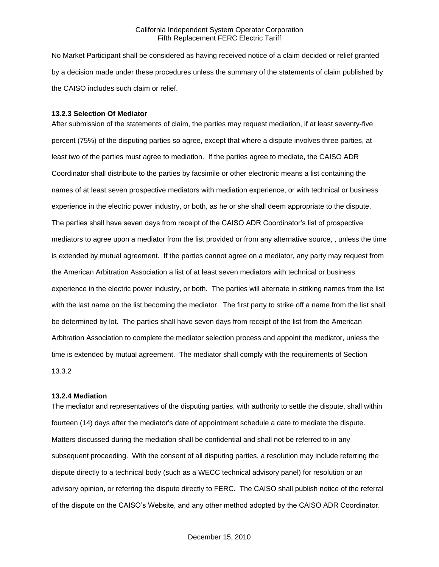No Market Participant shall be considered as having received notice of a claim decided or relief granted by a decision made under these procedures unless the summary of the statements of claim published by the CAISO includes such claim or relief.

#### **13.2.3 Selection Of Mediator**

After submission of the statements of claim, the parties may request mediation, if at least seventy-five percent (75%) of the disputing parties so agree, except that where a dispute involves three parties, at least two of the parties must agree to mediation. If the parties agree to mediate, the CAISO ADR Coordinator shall distribute to the parties by facsimile or other electronic means a list containing the names of at least seven prospective mediators with mediation experience, or with technical or business experience in the electric power industry, or both, as he or she shall deem appropriate to the dispute. The parties shall have seven days from receipt of the CAISO ADR Coordinator's list of prospective mediators to agree upon a mediator from the list provided or from any alternative source, , unless the time is extended by mutual agreement. If the parties cannot agree on a mediator, any party may request from the American Arbitration Association a list of at least seven mediators with technical or business experience in the electric power industry, or both. The parties will alternate in striking names from the list with the last name on the list becoming the mediator. The first party to strike off a name from the list shall be determined by lot. The parties shall have seven days from receipt of the list from the American Arbitration Association to complete the mediator selection process and appoint the mediator, unless the time is extended by mutual agreement. The mediator shall comply with the requirements of Section 13.3.2

#### **13.2.4 Mediation**

The mediator and representatives of the disputing parties, with authority to settle the dispute, shall within fourteen (14) days after the mediator's date of appointment schedule a date to mediate the dispute. Matters discussed during the mediation shall be confidential and shall not be referred to in any subsequent proceeding. With the consent of all disputing parties, a resolution may include referring the dispute directly to a technical body (such as a WECC technical advisory panel) for resolution or an advisory opinion, or referring the dispute directly to FERC. The CAISO shall publish notice of the referral of the dispute on the CAISO's Website, and any other method adopted by the CAISO ADR Coordinator.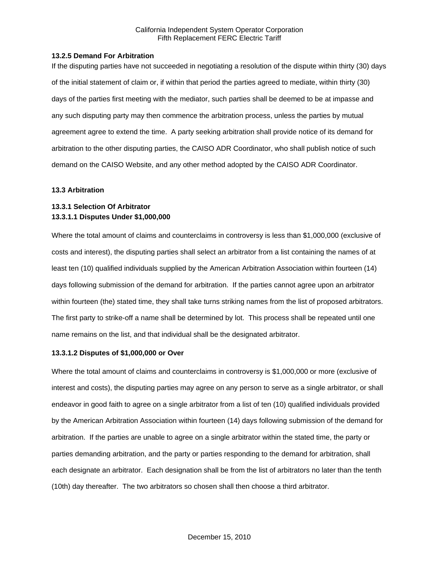#### **13.2.5 Demand For Arbitration**

If the disputing parties have not succeeded in negotiating a resolution of the dispute within thirty (30) days of the initial statement of claim or, if within that period the parties agreed to mediate, within thirty (30) days of the parties first meeting with the mediator, such parties shall be deemed to be at impasse and any such disputing party may then commence the arbitration process, unless the parties by mutual agreement agree to extend the time. A party seeking arbitration shall provide notice of its demand for arbitration to the other disputing parties, the CAISO ADR Coordinator, who shall publish notice of such demand on the CAISO Website, and any other method adopted by the CAISO ADR Coordinator.

#### **13.3 Arbitration**

# **13.3.1 Selection Of Arbitrator 13.3.1.1 Disputes Under \$1,000,000**

Where the total amount of claims and counterclaims in controversy is less than \$1,000,000 (exclusive of costs and interest), the disputing parties shall select an arbitrator from a list containing the names of at least ten (10) qualified individuals supplied by the American Arbitration Association within fourteen (14) days following submission of the demand for arbitration. If the parties cannot agree upon an arbitrator within fourteen (the) stated time, they shall take turns striking names from the list of proposed arbitrators. The first party to strike-off a name shall be determined by lot. This process shall be repeated until one name remains on the list, and that individual shall be the designated arbitrator.

#### **13.3.1.2 Disputes of \$1,000,000 or Over**

Where the total amount of claims and counterclaims in controversy is \$1,000,000 or more (exclusive of interest and costs), the disputing parties may agree on any person to serve as a single arbitrator, or shall endeavor in good faith to agree on a single arbitrator from a list of ten (10) qualified individuals provided by the American Arbitration Association within fourteen (14) days following submission of the demand for arbitration. If the parties are unable to agree on a single arbitrator within the stated time, the party or parties demanding arbitration, and the party or parties responding to the demand for arbitration, shall each designate an arbitrator. Each designation shall be from the list of arbitrators no later than the tenth (10th) day thereafter. The two arbitrators so chosen shall then choose a third arbitrator.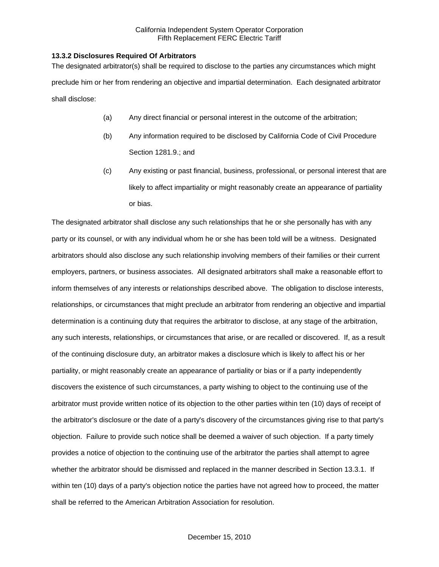## **13.3.2 Disclosures Required Of Arbitrators**

The designated arbitrator(s) shall be required to disclose to the parties any circumstances which might preclude him or her from rendering an objective and impartial determination. Each designated arbitrator shall disclose:

- (a) Any direct financial or personal interest in the outcome of the arbitration;
- (b) Any information required to be disclosed by California Code of Civil Procedure Section 1281.9.; and
- (c) Any existing or past financial, business, professional, or personal interest that are likely to affect impartiality or might reasonably create an appearance of partiality or bias.

The designated arbitrator shall disclose any such relationships that he or she personally has with any party or its counsel, or with any individual whom he or she has been told will be a witness. Designated arbitrators should also disclose any such relationship involving members of their families or their current employers, partners, or business associates. All designated arbitrators shall make a reasonable effort to inform themselves of any interests or relationships described above. The obligation to disclose interests, relationships, or circumstances that might preclude an arbitrator from rendering an objective and impartial determination is a continuing duty that requires the arbitrator to disclose, at any stage of the arbitration, any such interests, relationships, or circumstances that arise, or are recalled or discovered. If, as a result of the continuing disclosure duty, an arbitrator makes a disclosure which is likely to affect his or her partiality, or might reasonably create an appearance of partiality or bias or if a party independently discovers the existence of such circumstances, a party wishing to object to the continuing use of the arbitrator must provide written notice of its objection to the other parties within ten (10) days of receipt of the arbitrator's disclosure or the date of a party's discovery of the circumstances giving rise to that party's objection. Failure to provide such notice shall be deemed a waiver of such objection. If a party timely provides a notice of objection to the continuing use of the arbitrator the parties shall attempt to agree whether the arbitrator should be dismissed and replaced in the manner described in Section 13.3.1. If within ten (10) days of a party's objection notice the parties have not agreed how to proceed, the matter shall be referred to the American Arbitration Association for resolution.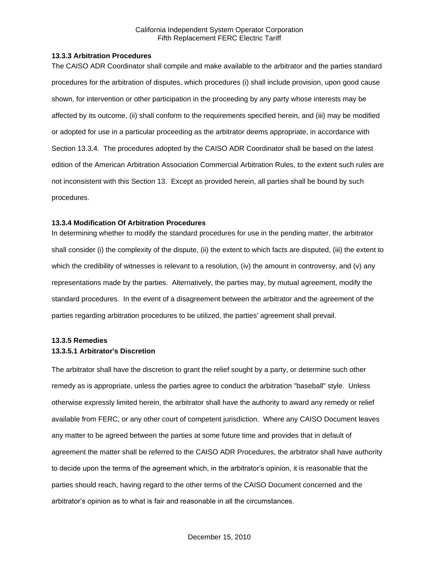#### **13.3.3 Arbitration Procedures**

The CAISO ADR Coordinator shall compile and make available to the arbitrator and the parties standard procedures for the arbitration of disputes, which procedures (i) shall include provision, upon good cause shown, for intervention or other participation in the proceeding by any party whose interests may be affected by its outcome, (ii) shall conform to the requirements specified herein, and (iii) may be modified or adopted for use in a particular proceeding as the arbitrator deems appropriate, in accordance with Section 13.3.4. The procedures adopted by the CAISO ADR Coordinator shall be based on the latest edition of the American Arbitration Association Commercial Arbitration Rules, to the extent such rules are not inconsistent with this Section 13. Except as provided herein, all parties shall be bound by such procedures.

## **13.3.4 Modification Of Arbitration Procedures**

In determining whether to modify the standard procedures for use in the pending matter, the arbitrator shall consider (i) the complexity of the dispute, (ii) the extent to which facts are disputed, (iii) the extent to which the credibility of witnesses is relevant to a resolution, (iv) the amount in controversy, and (v) any representations made by the parties. Alternatively, the parties may, by mutual agreement, modify the standard procedures. In the event of a disagreement between the arbitrator and the agreement of the parties regarding arbitration procedures to be utilized, the parties' agreement shall prevail.

# **13.3.5 Remedies 13.3.5.1 Arbitrator's Discretion**

The arbitrator shall have the discretion to grant the relief sought by a party, or determine such other remedy as is appropriate, unless the parties agree to conduct the arbitration "baseball" style. Unless otherwise expressly limited herein, the arbitrator shall have the authority to award any remedy or relief available from FERC, or any other court of competent jurisdiction. Where any CAISO Document leaves any matter to be agreed between the parties at some future time and provides that in default of agreement the matter shall be referred to the CAISO ADR Procedures, the arbitrator shall have authority to decide upon the terms of the agreement which, in the arbitrator's opinion, it is reasonable that the parties should reach, having regard to the other terms of the CAISO Document concerned and the arbitrator's opinion as to what is fair and reasonable in all the circumstances.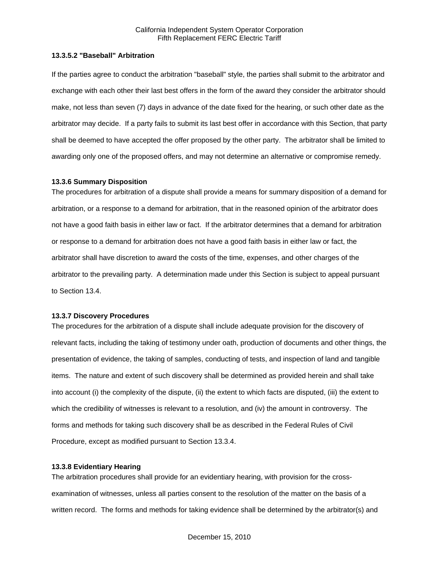## **13.3.5.2 "Baseball" Arbitration**

If the parties agree to conduct the arbitration "baseball" style, the parties shall submit to the arbitrator and exchange with each other their last best offers in the form of the award they consider the arbitrator should make, not less than seven (7) days in advance of the date fixed for the hearing, or such other date as the arbitrator may decide. If a party fails to submit its last best offer in accordance with this Section, that party shall be deemed to have accepted the offer proposed by the other party. The arbitrator shall be limited to awarding only one of the proposed offers, and may not determine an alternative or compromise remedy.

#### **13.3.6 Summary Disposition**

The procedures for arbitration of a dispute shall provide a means for summary disposition of a demand for arbitration, or a response to a demand for arbitration, that in the reasoned opinion of the arbitrator does not have a good faith basis in either law or fact. If the arbitrator determines that a demand for arbitration or response to a demand for arbitration does not have a good faith basis in either law or fact, the arbitrator shall have discretion to award the costs of the time, expenses, and other charges of the arbitrator to the prevailing party. A determination made under this Section is subject to appeal pursuant to Section 13.4.

#### **13.3.7 Discovery Procedures**

The procedures for the arbitration of a dispute shall include adequate provision for the discovery of relevant facts, including the taking of testimony under oath, production of documents and other things, the presentation of evidence, the taking of samples, conducting of tests, and inspection of land and tangible items. The nature and extent of such discovery shall be determined as provided herein and shall take into account (i) the complexity of the dispute, (ii) the extent to which facts are disputed, (iii) the extent to which the credibility of witnesses is relevant to a resolution, and (iv) the amount in controversy. The forms and methods for taking such discovery shall be as described in the Federal Rules of Civil Procedure, except as modified pursuant to Section 13.3.4.

#### **13.3.8 Evidentiary Hearing**

The arbitration procedures shall provide for an evidentiary hearing, with provision for the crossexamination of witnesses, unless all parties consent to the resolution of the matter on the basis of a written record. The forms and methods for taking evidence shall be determined by the arbitrator(s) and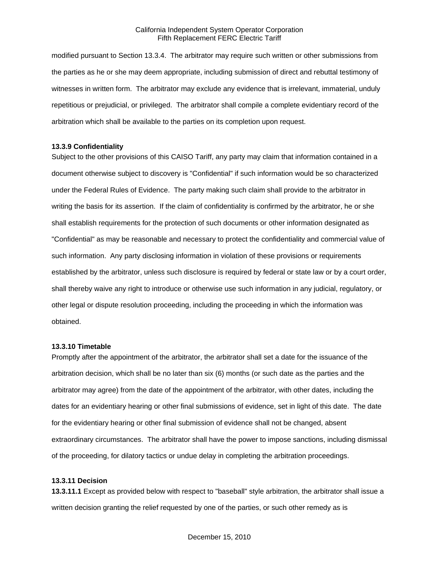modified pursuant to Section 13.3.4. The arbitrator may require such written or other submissions from the parties as he or she may deem appropriate, including submission of direct and rebuttal testimony of witnesses in written form. The arbitrator may exclude any evidence that is irrelevant, immaterial, unduly repetitious or prejudicial, or privileged. The arbitrator shall compile a complete evidentiary record of the arbitration which shall be available to the parties on its completion upon request.

#### **13.3.9 Confidentiality**

Subject to the other provisions of this CAISO Tariff, any party may claim that information contained in a document otherwise subject to discovery is "Confidential" if such information would be so characterized under the Federal Rules of Evidence. The party making such claim shall provide to the arbitrator in writing the basis for its assertion. If the claim of confidentiality is confirmed by the arbitrator, he or she shall establish requirements for the protection of such documents or other information designated as "Confidential" as may be reasonable and necessary to protect the confidentiality and commercial value of such information. Any party disclosing information in violation of these provisions or requirements established by the arbitrator, unless such disclosure is required by federal or state law or by a court order, shall thereby waive any right to introduce or otherwise use such information in any judicial, regulatory, or other legal or dispute resolution proceeding, including the proceeding in which the information was obtained.

#### **13.3.10 Timetable**

Promptly after the appointment of the arbitrator, the arbitrator shall set a date for the issuance of the arbitration decision, which shall be no later than six (6) months (or such date as the parties and the arbitrator may agree) from the date of the appointment of the arbitrator, with other dates, including the dates for an evidentiary hearing or other final submissions of evidence, set in light of this date. The date for the evidentiary hearing or other final submission of evidence shall not be changed, absent extraordinary circumstances. The arbitrator shall have the power to impose sanctions, including dismissal of the proceeding, for dilatory tactics or undue delay in completing the arbitration proceedings.

#### **13.3.11 Decision**

**13.3.11.1** Except as provided below with respect to "baseball" style arbitration, the arbitrator shall issue a written decision granting the relief requested by one of the parties, or such other remedy as is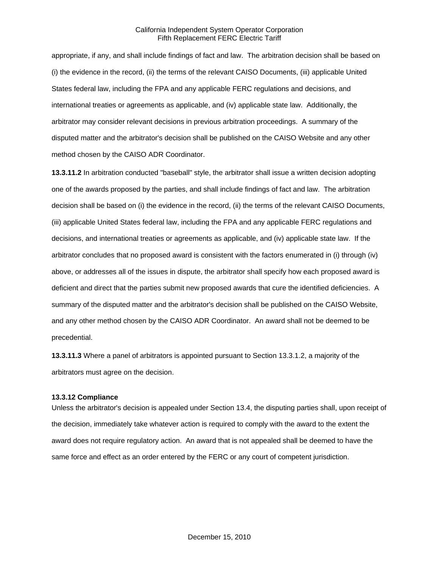appropriate, if any, and shall include findings of fact and law. The arbitration decision shall be based on (i) the evidence in the record, (ii) the terms of the relevant CAISO Documents, (iii) applicable United States federal law, including the FPA and any applicable FERC regulations and decisions, and international treaties or agreements as applicable, and (iv) applicable state law. Additionally, the arbitrator may consider relevant decisions in previous arbitration proceedings. A summary of the disputed matter and the arbitrator's decision shall be published on the CAISO Website and any other method chosen by the CAISO ADR Coordinator.

**13.3.11.2** In arbitration conducted "baseball" style, the arbitrator shall issue a written decision adopting one of the awards proposed by the parties, and shall include findings of fact and law. The arbitration decision shall be based on (i) the evidence in the record, (ii) the terms of the relevant CAISO Documents, (iii) applicable United States federal law, including the FPA and any applicable FERC regulations and decisions, and international treaties or agreements as applicable, and (iv) applicable state law. If the arbitrator concludes that no proposed award is consistent with the factors enumerated in (i) through (iv) above, or addresses all of the issues in dispute, the arbitrator shall specify how each proposed award is deficient and direct that the parties submit new proposed awards that cure the identified deficiencies. A summary of the disputed matter and the arbitrator's decision shall be published on the CAISO Website, and any other method chosen by the CAISO ADR Coordinator. An award shall not be deemed to be precedential.

**13.3.11.3** Where a panel of arbitrators is appointed pursuant to Section 13.3.1.2, a majority of the arbitrators must agree on the decision.

#### **13.3.12 Compliance**

Unless the arbitrator's decision is appealed under Section 13.4, the disputing parties shall, upon receipt of the decision, immediately take whatever action is required to comply with the award to the extent the award does not require regulatory action. An award that is not appealed shall be deemed to have the same force and effect as an order entered by the FERC or any court of competent jurisdiction.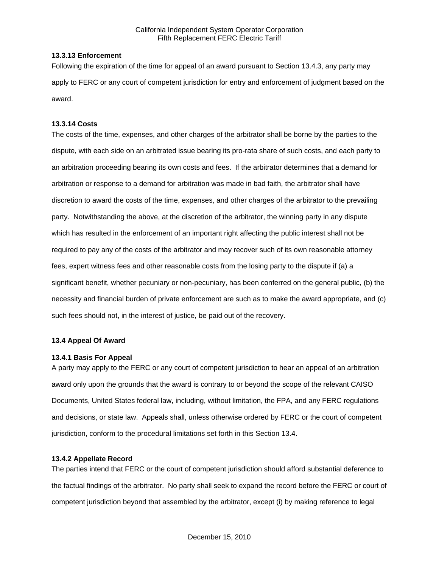## **13.3.13 Enforcement**

Following the expiration of the time for appeal of an award pursuant to Section 13.4.3, any party may apply to FERC or any court of competent jurisdiction for entry and enforcement of judgment based on the award.

## **13.3.14 Costs**

The costs of the time, expenses, and other charges of the arbitrator shall be borne by the parties to the dispute, with each side on an arbitrated issue bearing its pro-rata share of such costs, and each party to an arbitration proceeding bearing its own costs and fees. If the arbitrator determines that a demand for arbitration or response to a demand for arbitration was made in bad faith, the arbitrator shall have discretion to award the costs of the time, expenses, and other charges of the arbitrator to the prevailing party. Notwithstanding the above, at the discretion of the arbitrator, the winning party in any dispute which has resulted in the enforcement of an important right affecting the public interest shall not be required to pay any of the costs of the arbitrator and may recover such of its own reasonable attorney fees, expert witness fees and other reasonable costs from the losing party to the dispute if (a) a significant benefit, whether pecuniary or non-pecuniary, has been conferred on the general public, (b) the necessity and financial burden of private enforcement are such as to make the award appropriate, and (c) such fees should not, in the interest of justice, be paid out of the recovery.

# **13.4 Appeal Of Award**

#### **13.4.1 Basis For Appeal**

A party may apply to the FERC or any court of competent jurisdiction to hear an appeal of an arbitration award only upon the grounds that the award is contrary to or beyond the scope of the relevant CAISO Documents, United States federal law, including, without limitation, the FPA, and any FERC regulations and decisions, or state law. Appeals shall, unless otherwise ordered by FERC or the court of competent jurisdiction, conform to the procedural limitations set forth in this Section 13.4.

# **13.4.2 Appellate Record**

The parties intend that FERC or the court of competent jurisdiction should afford substantial deference to the factual findings of the arbitrator. No party shall seek to expand the record before the FERC or court of competent jurisdiction beyond that assembled by the arbitrator, except (i) by making reference to legal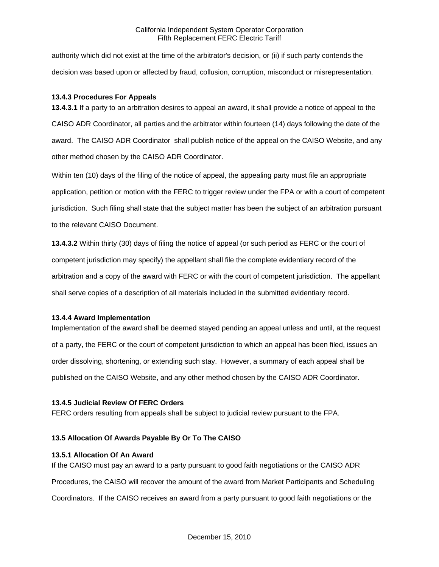authority which did not exist at the time of the arbitrator's decision, or (ii) if such party contends the decision was based upon or affected by fraud, collusion, corruption, misconduct or misrepresentation.

## **13.4.3 Procedures For Appeals**

**13.4.3.1** If a party to an arbitration desires to appeal an award, it shall provide a notice of appeal to the CAISO ADR Coordinator, all parties and the arbitrator within fourteen (14) days following the date of the award. The CAISO ADR Coordinator shall publish notice of the appeal on the CAISO Website, and any other method chosen by the CAISO ADR Coordinator.

Within ten (10) days of the filing of the notice of appeal, the appealing party must file an appropriate application, petition or motion with the FERC to trigger review under the FPA or with a court of competent jurisdiction. Such filing shall state that the subject matter has been the subject of an arbitration pursuant to the relevant CAISO Document.

**13.4.3.2** Within thirty (30) days of filing the notice of appeal (or such period as FERC or the court of competent jurisdiction may specify) the appellant shall file the complete evidentiary record of the arbitration and a copy of the award with FERC or with the court of competent jurisdiction. The appellant shall serve copies of a description of all materials included in the submitted evidentiary record.

#### **13.4.4 Award Implementation**

Implementation of the award shall be deemed stayed pending an appeal unless and until, at the request of a party, the FERC or the court of competent jurisdiction to which an appeal has been filed, issues an order dissolving, shortening, or extending such stay. However, a summary of each appeal shall be published on the CAISO Website, and any other method chosen by the CAISO ADR Coordinator.

#### **13.4.5 Judicial Review Of FERC Orders**

FERC orders resulting from appeals shall be subject to judicial review pursuant to the FPA.

## **13.5 Allocation Of Awards Payable By Or To The CAISO**

## **13.5.1 Allocation Of An Award**

If the CAISO must pay an award to a party pursuant to good faith negotiations or the CAISO ADR Procedures, the CAISO will recover the amount of the award from Market Participants and Scheduling Coordinators. If the CAISO receives an award from a party pursuant to good faith negotiations or the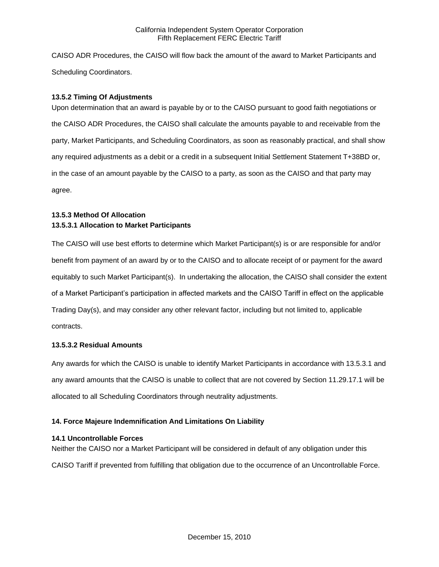CAISO ADR Procedures, the CAISO will flow back the amount of the award to Market Participants and Scheduling Coordinators.

## **13.5.2 Timing Of Adjustments**

Upon determination that an award is payable by or to the CAISO pursuant to good faith negotiations or the CAISO ADR Procedures, the CAISO shall calculate the amounts payable to and receivable from the party, Market Participants, and Scheduling Coordinators, as soon as reasonably practical, and shall show any required adjustments as a debit or a credit in a subsequent Initial Settlement Statement T+38BD or, in the case of an amount payable by the CAISO to a party, as soon as the CAISO and that party may agree.

# **13.5.3 Method Of Allocation 13.5.3.1 Allocation to Market Participants**

The CAISO will use best efforts to determine which Market Participant(s) is or are responsible for and/or benefit from payment of an award by or to the CAISO and to allocate receipt of or payment for the award equitably to such Market Participant(s). In undertaking the allocation, the CAISO shall consider the extent of a Market Participant's participation in affected markets and the CAISO Tariff in effect on the applicable Trading Day(s), and may consider any other relevant factor, including but not limited to, applicable contracts.

# **13.5.3.2 Residual Amounts**

Any awards for which the CAISO is unable to identify Market Participants in accordance with 13.5.3.1 and any award amounts that the CAISO is unable to collect that are not covered by Section 11.29.17.1 will be allocated to all Scheduling Coordinators through neutrality adjustments.

# **14. Force Majeure Indemnification And Limitations On Liability**

# **14.1 Uncontrollable Forces**

Neither the CAISO nor a Market Participant will be considered in default of any obligation under this CAISO Tariff if prevented from fulfilling that obligation due to the occurrence of an Uncontrollable Force.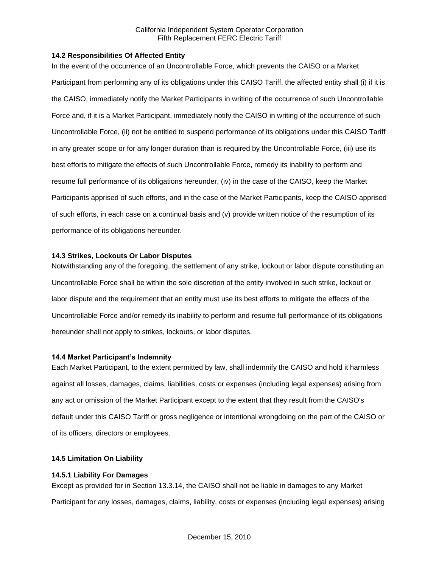## **14.2 Responsibilities Of Affected Entity**

In the event of the occurrence of an Uncontrollable Force, which prevents the CAISO or a Market Participant from performing any of its obligations under this CAISO Tariff, the affected entity shall (i) if it is the CAISO, immediately notify the Market Participants in writing of the occurrence of such Uncontrollable Force and, if it is a Market Participant, immediately notify the CAISO in writing of the occurrence of such Uncontrollable Force, (ii) not be entitled to suspend performance of its obligations under this CAISO Tariff in any greater scope or for any longer duration than is required by the Uncontrollable Force, (iii) use its best efforts to mitigate the effects of such Uncontrollable Force, remedy its inability to perform and resume full performance of its obligations hereunder, (iv) in the case of the CAISO, keep the Market Participants apprised of such efforts, and in the case of the Market Participants, keep the CAISO apprised of such efforts, in each case on a continual basis and (v) provide written notice of the resumption of its performance of its obligations hereunder.

## **14.3 Strikes, Lockouts Or Labor Disputes**

Notwithstanding any of the foregoing, the settlement of any strike, lockout or labor dispute constituting an Uncontrollable Force shall be within the sole discretion of the entity involved in such strike, lockout or labor dispute and the requirement that an entity must use its best efforts to mitigate the effects of the Uncontrollable Force and/or remedy its inability to perform and resume full performance of its obligations hereunder shall not apply to strikes, lockouts, or labor disputes.

## **14.4 Market Participant's Indemnity**

Each Market Participant, to the extent permitted by law, shall indemnify the CAISO and hold it harmless against all losses, damages, claims, liabilities, costs or expenses (including legal expenses) arising from any act or omission of the Market Participant except to the extent that they result from the CAISO's default under this CAISO Tariff or gross negligence or intentional wrongdoing on the part of the CAISO or of its officers, directors or employees.

## **14.5 Limitation On Liability**

#### **14.5.1 Liability For Damages**

Except as provided for in Section 13.3.14, the CAISO shall not be liable in damages to any Market Participant for any losses, damages, claims, liability, costs or expenses (including legal expenses) arising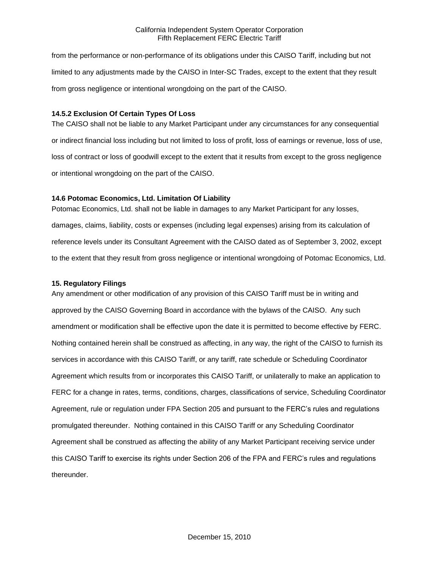from the performance or non-performance of its obligations under this CAISO Tariff, including but not limited to any adjustments made by the CAISO in Inter-SC Trades, except to the extent that they result from gross negligence or intentional wrongdoing on the part of the CAISO.

## **14.5.2 Exclusion Of Certain Types Of Loss**

The CAISO shall not be liable to any Market Participant under any circumstances for any consequential or indirect financial loss including but not limited to loss of profit, loss of earnings or revenue, loss of use, loss of contract or loss of goodwill except to the extent that it results from except to the gross negligence or intentional wrongdoing on the part of the CAISO.

## **14.6 Potomac Economics, Ltd. Limitation Of Liability**

Potomac Economics, Ltd. shall not be liable in damages to any Market Participant for any losses, damages, claims, liability, costs or expenses (including legal expenses) arising from its calculation of reference levels under its Consultant Agreement with the CAISO dated as of September 3, 2002, except to the extent that they result from gross negligence or intentional wrongdoing of Potomac Economics, Ltd.

## **15. Regulatory Filings**

Any amendment or other modification of any provision of this CAISO Tariff must be in writing and approved by the CAISO Governing Board in accordance with the bylaws of the CAISO. Any such amendment or modification shall be effective upon the date it is permitted to become effective by FERC. Nothing contained herein shall be construed as affecting, in any way, the right of the CAISO to furnish its services in accordance with this CAISO Tariff, or any tariff, rate schedule or Scheduling Coordinator Agreement which results from or incorporates this CAISO Tariff, or unilaterally to make an application to FERC for a change in rates, terms, conditions, charges, classifications of service, Scheduling Coordinator Agreement, rule or regulation under FPA Section 205 and pursuant to the FERC's rules and regulations promulgated thereunder. Nothing contained in this CAISO Tariff or any Scheduling Coordinator Agreement shall be construed as affecting the ability of any Market Participant receiving service under this CAISO Tariff to exercise its rights under Section 206 of the FPA and FERC's rules and regulations thereunder.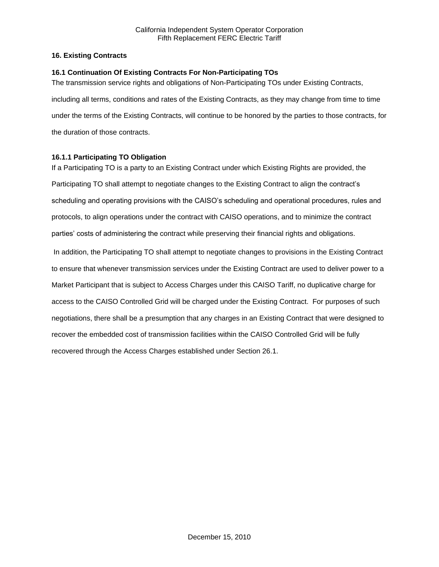## **16. Existing Contracts**

## **16.1 Continuation Of Existing Contracts For Non-Participating TOs**

The transmission service rights and obligations of Non-Participating TOs under Existing Contracts, including all terms, conditions and rates of the Existing Contracts, as they may change from time to time under the terms of the Existing Contracts, will continue to be honored by the parties to those contracts, for the duration of those contracts.

## **16.1.1 Participating TO Obligation**

If a Participating TO is a party to an Existing Contract under which Existing Rights are provided, the Participating TO shall attempt to negotiate changes to the Existing Contract to align the contract's scheduling and operating provisions with the CAISO's scheduling and operational procedures, rules and protocols, to align operations under the contract with CAISO operations, and to minimize the contract parties' costs of administering the contract while preserving their financial rights and obligations. In addition, the Participating TO shall attempt to negotiate changes to provisions in the Existing Contract to ensure that whenever transmission services under the Existing Contract are used to deliver power to a Market Participant that is subject to Access Charges under this CAISO Tariff, no duplicative charge for access to the CAISO Controlled Grid will be charged under the Existing Contract. For purposes of such negotiations, there shall be a presumption that any charges in an Existing Contract that were designed to recover the embedded cost of transmission facilities within the CAISO Controlled Grid will be fully recovered through the Access Charges established under Section 26.1.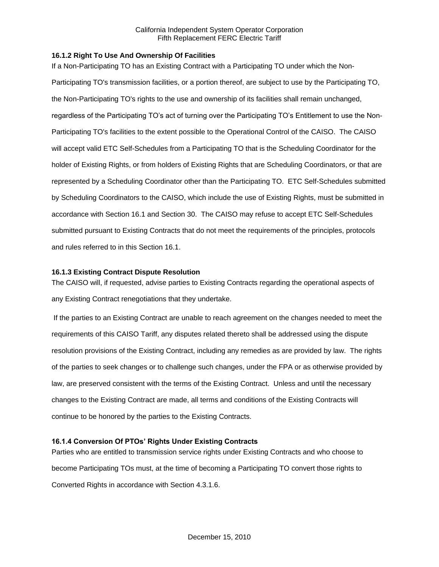## **16.1.2 Right To Use And Ownership Of Facilities**

If a Non-Participating TO has an Existing Contract with a Participating TO under which the Non-Participating TO's transmission facilities, or a portion thereof, are subject to use by the Participating TO, the Non-Participating TO's rights to the use and ownership of its facilities shall remain unchanged, regardless of the Participating TO's act of turning over the Participating TO's Entitlement to use the Non-Participating TO's facilities to the extent possible to the Operational Control of the CAISO. The CAISO will accept valid ETC Self-Schedules from a Participating TO that is the Scheduling Coordinator for the holder of Existing Rights, or from holders of Existing Rights that are Scheduling Coordinators, or that are represented by a Scheduling Coordinator other than the Participating TO. ETC Self-Schedules submitted by Scheduling Coordinators to the CAISO, which include the use of Existing Rights, must be submitted in accordance with Section 16.1 and Section 30. The CAISO may refuse to accept ETC Self-Schedules submitted pursuant to Existing Contracts that do not meet the requirements of the principles, protocols and rules referred to in this Section 16.1.

#### **16.1.3 Existing Contract Dispute Resolution**

The CAISO will, if requested, advise parties to Existing Contracts regarding the operational aspects of any Existing Contract renegotiations that they undertake.

If the parties to an Existing Contract are unable to reach agreement on the changes needed to meet the requirements of this CAISO Tariff, any disputes related thereto shall be addressed using the dispute resolution provisions of the Existing Contract, including any remedies as are provided by law. The rights of the parties to seek changes or to challenge such changes, under the FPA or as otherwise provided by law, are preserved consistent with the terms of the Existing Contract. Unless and until the necessary changes to the Existing Contract are made, all terms and conditions of the Existing Contracts will continue to be honored by the parties to the Existing Contracts.

## **16.1.4 Conversion Of PTOs' Rights Under Existing Contracts**

Parties who are entitled to transmission service rights under Existing Contracts and who choose to become Participating TOs must, at the time of becoming a Participating TO convert those rights to Converted Rights in accordance with Section 4.3.1.6.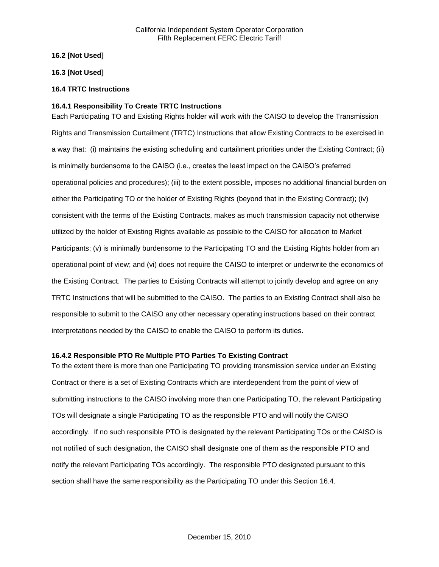## **16.2 [Not Used]**

## **16.3 [Not Used]**

## **16.4 TRTC Instructions**

## **16.4.1 Responsibility To Create TRTC Instructions**

Each Participating TO and Existing Rights holder will work with the CAISO to develop the Transmission Rights and Transmission Curtailment (TRTC) Instructions that allow Existing Contracts to be exercised in a way that: (i) maintains the existing scheduling and curtailment priorities under the Existing Contract; (ii) is minimally burdensome to the CAISO (i.e., creates the least impact on the CAISO's preferred operational policies and procedures); (iii) to the extent possible, imposes no additional financial burden on either the Participating TO or the holder of Existing Rights (beyond that in the Existing Contract); (iv) consistent with the terms of the Existing Contracts, makes as much transmission capacity not otherwise utilized by the holder of Existing Rights available as possible to the CAISO for allocation to Market Participants; (v) is minimally burdensome to the Participating TO and the Existing Rights holder from an operational point of view; and (vi) does not require the CAISO to interpret or underwrite the economics of the Existing Contract. The parties to Existing Contracts will attempt to jointly develop and agree on any TRTC Instructions that will be submitted to the CAISO. The parties to an Existing Contract shall also be responsible to submit to the CAISO any other necessary operating instructions based on their contract interpretations needed by the CAISO to enable the CAISO to perform its duties.

#### **16.4.2 Responsible PTO Re Multiple PTO Parties To Existing Contract**

To the extent there is more than one Participating TO providing transmission service under an Existing Contract or there is a set of Existing Contracts which are interdependent from the point of view of submitting instructions to the CAISO involving more than one Participating TO, the relevant Participating TOs will designate a single Participating TO as the responsible PTO and will notify the CAISO accordingly. If no such responsible PTO is designated by the relevant Participating TOs or the CAISO is not notified of such designation, the CAISO shall designate one of them as the responsible PTO and notify the relevant Participating TOs accordingly. The responsible PTO designated pursuant to this section shall have the same responsibility as the Participating TO under this Section 16.4.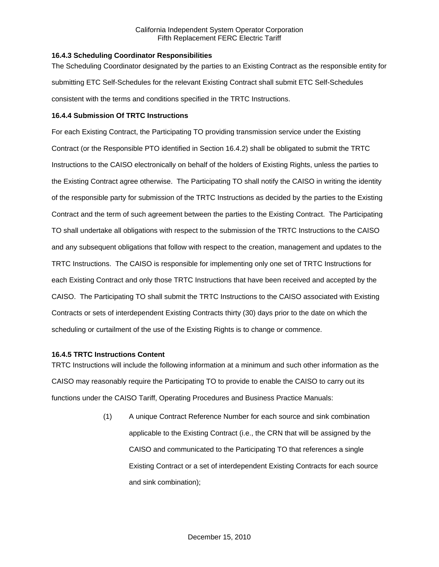## **16.4.3 Scheduling Coordinator Responsibilities**

The Scheduling Coordinator designated by the parties to an Existing Contract as the responsible entity for submitting ETC Self-Schedules for the relevant Existing Contract shall submit ETC Self-Schedules consistent with the terms and conditions specified in the TRTC Instructions.

## **16.4.4 Submission Of TRTC Instructions**

For each Existing Contract, the Participating TO providing transmission service under the Existing Contract (or the Responsible PTO identified in Section 16.4.2) shall be obligated to submit the TRTC Instructions to the CAISO electronically on behalf of the holders of Existing Rights, unless the parties to the Existing Contract agree otherwise. The Participating TO shall notify the CAISO in writing the identity of the responsible party for submission of the TRTC Instructions as decided by the parties to the Existing Contract and the term of such agreement between the parties to the Existing Contract. The Participating TO shall undertake all obligations with respect to the submission of the TRTC Instructions to the CAISO and any subsequent obligations that follow with respect to the creation, management and updates to the TRTC Instructions. The CAISO is responsible for implementing only one set of TRTC Instructions for each Existing Contract and only those TRTC Instructions that have been received and accepted by the CAISO. The Participating TO shall submit the TRTC Instructions to the CAISO associated with Existing Contracts or sets of interdependent Existing Contracts thirty (30) days prior to the date on which the scheduling or curtailment of the use of the Existing Rights is to change or commence.

### **16.4.5 TRTC Instructions Content**

TRTC Instructions will include the following information at a minimum and such other information as the CAISO may reasonably require the Participating TO to provide to enable the CAISO to carry out its functions under the CAISO Tariff, Operating Procedures and Business Practice Manuals:

> (1) A unique Contract Reference Number for each source and sink combination applicable to the Existing Contract (i.e., the CRN that will be assigned by the CAISO and communicated to the Participating TO that references a single Existing Contract or a set of interdependent Existing Contracts for each source and sink combination);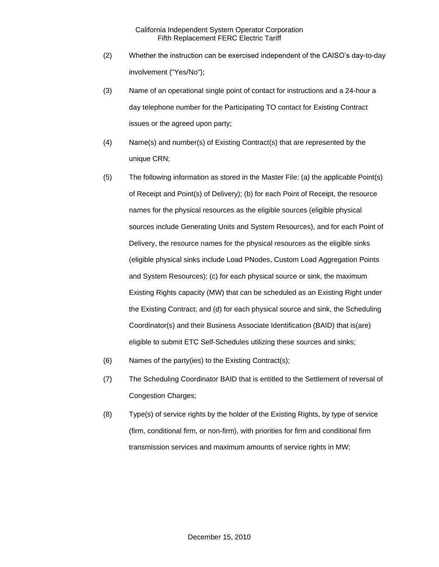- (2) Whether the instruction can be exercised independent of the CAISO's day-to-day involvement ("Yes/No");
- (3) Name of an operational single point of contact for instructions and a 24-hour a day telephone number for the Participating TO contact for Existing Contract issues or the agreed upon party;
- (4) Name(s) and number(s) of Existing Contract(s) that are represented by the unique CRN;
- (5) The following information as stored in the Master File: (a) the applicable Point(s) of Receipt and Point(s) of Delivery); (b) for each Point of Receipt, the resource names for the physical resources as the eligible sources (eligible physical sources include Generating Units and System Resources), and for each Point of Delivery, the resource names for the physical resources as the eligible sinks (eligible physical sinks include Load PNodes, Custom Load Aggregation Points and System Resources); (c) for each physical source or sink, the maximum Existing Rights capacity (MW) that can be scheduled as an Existing Right under the Existing Contract; and (d) for each physical source and sink, the Scheduling Coordinator(s) and their Business Associate Identification (BAID) that is(are) eligible to submit ETC Self-Schedules utilizing these sources and sinks;
- (6) Names of the party(ies) to the Existing Contract(s);
- (7) The Scheduling Coordinator BAID that is entitled to the Settlement of reversal of Congestion Charges;
- (8) Type(s) of service rights by the holder of the Existing Rights, by type of service (firm, conditional firm, or non-firm), with priorities for firm and conditional firm transmission services and maximum amounts of service rights in MW;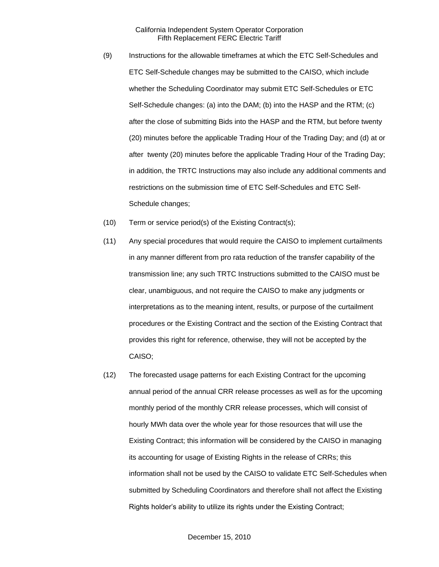- (9) Instructions for the allowable timeframes at which the ETC Self-Schedules and ETC Self-Schedule changes may be submitted to the CAISO, which include whether the Scheduling Coordinator may submit ETC Self-Schedules or ETC Self-Schedule changes: (a) into the DAM; (b) into the HASP and the RTM; (c) after the close of submitting Bids into the HASP and the RTM, but before twenty (20) minutes before the applicable Trading Hour of the Trading Day; and (d) at or after twenty (20) minutes before the applicable Trading Hour of the Trading Day; in addition, the TRTC Instructions may also include any additional comments and restrictions on the submission time of ETC Self-Schedules and ETC Self-Schedule changes;
- (10) Term or service period(s) of the Existing Contract(s);
- (11) Any special procedures that would require the CAISO to implement curtailments in any manner different from pro rata reduction of the transfer capability of the transmission line; any such TRTC Instructions submitted to the CAISO must be clear, unambiguous, and not require the CAISO to make any judgments or interpretations as to the meaning intent, results, or purpose of the curtailment procedures or the Existing Contract and the section of the Existing Contract that provides this right for reference, otherwise, they will not be accepted by the CAISO;
- (12) The forecasted usage patterns for each Existing Contract for the upcoming annual period of the annual CRR release processes as well as for the upcoming monthly period of the monthly CRR release processes, which will consist of hourly MWh data over the whole year for those resources that will use the Existing Contract; this information will be considered by the CAISO in managing its accounting for usage of Existing Rights in the release of CRRs; this information shall not be used by the CAISO to validate ETC Self-Schedules when submitted by Scheduling Coordinators and therefore shall not affect the Existing Rights holder's ability to utilize its rights under the Existing Contract;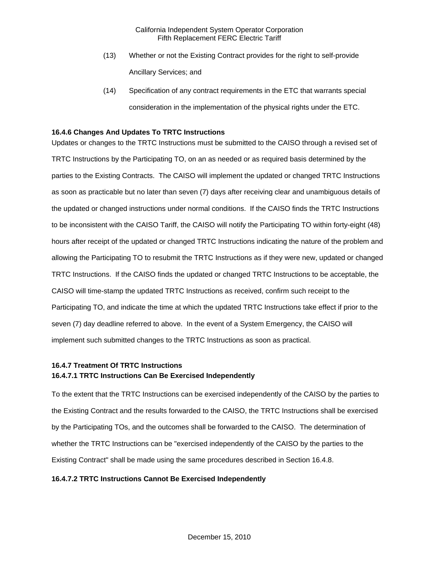- (13) Whether or not the Existing Contract provides for the right to self-provide Ancillary Services; and
- (14) Specification of any contract requirements in the ETC that warrants special consideration in the implementation of the physical rights under the ETC.

## **16.4.6 Changes And Updates To TRTC Instructions**

Updates or changes to the TRTC Instructions must be submitted to the CAISO through a revised set of TRTC Instructions by the Participating TO, on an as needed or as required basis determined by the parties to the Existing Contracts. The CAISO will implement the updated or changed TRTC Instructions as soon as practicable but no later than seven (7) days after receiving clear and unambiguous details of the updated or changed instructions under normal conditions. If the CAISO finds the TRTC Instructions to be inconsistent with the CAISO Tariff, the CAISO will notify the Participating TO within forty-eight (48) hours after receipt of the updated or changed TRTC Instructions indicating the nature of the problem and allowing the Participating TO to resubmit the TRTC Instructions as if they were new, updated or changed TRTC Instructions. If the CAISO finds the updated or changed TRTC Instructions to be acceptable, the CAISO will time-stamp the updated TRTC Instructions as received, confirm such receipt to the Participating TO, and indicate the time at which the updated TRTC Instructions take effect if prior to the seven (7) day deadline referred to above. In the event of a System Emergency, the CAISO will implement such submitted changes to the TRTC Instructions as soon as practical.

## **16.4.7 Treatment Of TRTC Instructions 16.4.7.1 TRTC Instructions Can Be Exercised Independently**

To the extent that the TRTC Instructions can be exercised independently of the CAISO by the parties to the Existing Contract and the results forwarded to the CAISO, the TRTC Instructions shall be exercised by the Participating TOs, and the outcomes shall be forwarded to the CAISO. The determination of whether the TRTC Instructions can be "exercised independently of the CAISO by the parties to the Existing Contract" shall be made using the same procedures described in Section 16.4.8.

#### **16.4.7.2 TRTC Instructions Cannot Be Exercised Independently**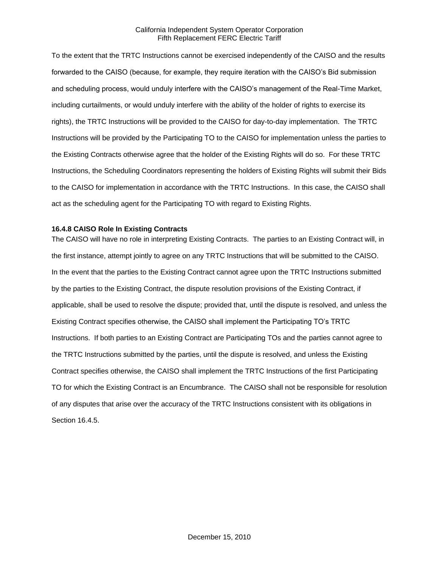To the extent that the TRTC Instructions cannot be exercised independently of the CAISO and the results forwarded to the CAISO (because, for example, they require iteration with the CAISO's Bid submission and scheduling process, would unduly interfere with the CAISO's management of the Real-Time Market, including curtailments, or would unduly interfere with the ability of the holder of rights to exercise its rights), the TRTC Instructions will be provided to the CAISO for day-to-day implementation. The TRTC Instructions will be provided by the Participating TO to the CAISO for implementation unless the parties to the Existing Contracts otherwise agree that the holder of the Existing Rights will do so. For these TRTC Instructions, the Scheduling Coordinators representing the holders of Existing Rights will submit their Bids to the CAISO for implementation in accordance with the TRTC Instructions. In this case, the CAISO shall act as the scheduling agent for the Participating TO with regard to Existing Rights.

## **16.4.8 CAISO Role In Existing Contracts**

The CAISO will have no role in interpreting Existing Contracts. The parties to an Existing Contract will, in the first instance, attempt jointly to agree on any TRTC Instructions that will be submitted to the CAISO. In the event that the parties to the Existing Contract cannot agree upon the TRTC Instructions submitted by the parties to the Existing Contract, the dispute resolution provisions of the Existing Contract, if applicable, shall be used to resolve the dispute; provided that, until the dispute is resolved, and unless the Existing Contract specifies otherwise, the CAISO shall implement the Participating TO's TRTC Instructions. If both parties to an Existing Contract are Participating TOs and the parties cannot agree to the TRTC Instructions submitted by the parties, until the dispute is resolved, and unless the Existing Contract specifies otherwise, the CAISO shall implement the TRTC Instructions of the first Participating TO for which the Existing Contract is an Encumbrance. The CAISO shall not be responsible for resolution of any disputes that arise over the accuracy of the TRTC Instructions consistent with its obligations in Section 16.4.5.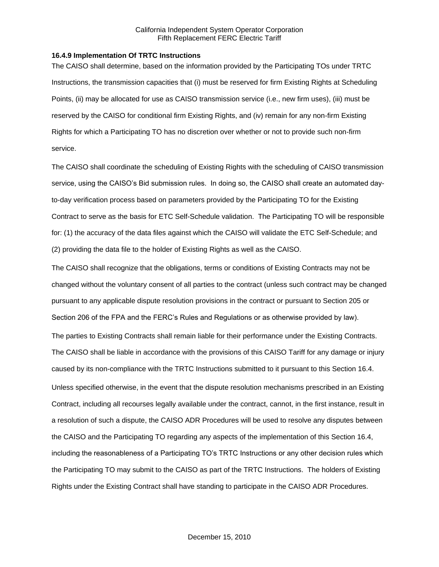### **16.4.9 Implementation Of TRTC Instructions**

The CAISO shall determine, based on the information provided by the Participating TOs under TRTC Instructions, the transmission capacities that (i) must be reserved for firm Existing Rights at Scheduling Points, (ii) may be allocated for use as CAISO transmission service (i.e., new firm uses), (iii) must be reserved by the CAISO for conditional firm Existing Rights, and (iv) remain for any non-firm Existing Rights for which a Participating TO has no discretion over whether or not to provide such non-firm service.

The CAISO shall coordinate the scheduling of Existing Rights with the scheduling of CAISO transmission service, using the CAISO's Bid submission rules. In doing so, the CAISO shall create an automated dayto-day verification process based on parameters provided by the Participating TO for the Existing Contract to serve as the basis for ETC Self-Schedule validation. The Participating TO will be responsible for: (1) the accuracy of the data files against which the CAISO will validate the ETC Self-Schedule; and (2) providing the data file to the holder of Existing Rights as well as the CAISO.

The CAISO shall recognize that the obligations, terms or conditions of Existing Contracts may not be changed without the voluntary consent of all parties to the contract (unless such contract may be changed pursuant to any applicable dispute resolution provisions in the contract or pursuant to Section 205 or Section 206 of the FPA and the FERC's Rules and Regulations or as otherwise provided by law). The parties to Existing Contracts shall remain liable for their performance under the Existing Contracts. The CAISO shall be liable in accordance with the provisions of this CAISO Tariff for any damage or injury caused by its non-compliance with the TRTC Instructions submitted to it pursuant to this Section 16.4. Unless specified otherwise, in the event that the dispute resolution mechanisms prescribed in an Existing Contract, including all recourses legally available under the contract, cannot, in the first instance, result in a resolution of such a dispute, the CAISO ADR Procedures will be used to resolve any disputes between the CAISO and the Participating TO regarding any aspects of the implementation of this Section 16.4, including the reasonableness of a Participating TO's TRTC Instructions or any other decision rules which the Participating TO may submit to the CAISO as part of the TRTC Instructions. The holders of Existing Rights under the Existing Contract shall have standing to participate in the CAISO ADR Procedures.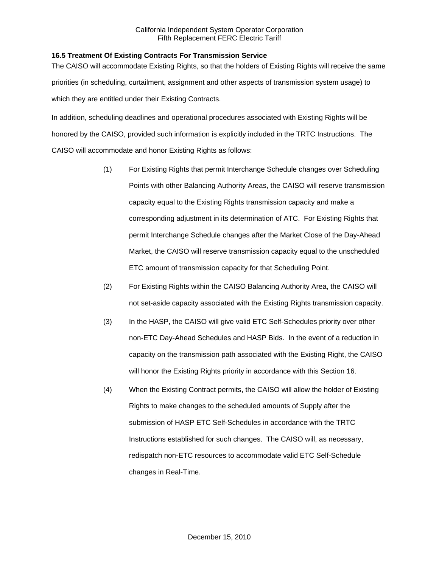## **16.5 Treatment Of Existing Contracts For Transmission Service**

The CAISO will accommodate Existing Rights, so that the holders of Existing Rights will receive the same priorities (in scheduling, curtailment, assignment and other aspects of transmission system usage) to which they are entitled under their Existing Contracts.

In addition, scheduling deadlines and operational procedures associated with Existing Rights will be honored by the CAISO, provided such information is explicitly included in the TRTC Instructions. The CAISO will accommodate and honor Existing Rights as follows:

- (1) For Existing Rights that permit Interchange Schedule changes over Scheduling Points with other Balancing Authority Areas, the CAISO will reserve transmission capacity equal to the Existing Rights transmission capacity and make a corresponding adjustment in its determination of ATC. For Existing Rights that permit Interchange Schedule changes after the Market Close of the Day-Ahead Market, the CAISO will reserve transmission capacity equal to the unscheduled ETC amount of transmission capacity for that Scheduling Point.
- (2) For Existing Rights within the CAISO Balancing Authority Area, the CAISO will not set-aside capacity associated with the Existing Rights transmission capacity.
- (3) In the HASP, the CAISO will give valid ETC Self-Schedules priority over other non-ETC Day-Ahead Schedules and HASP Bids. In the event of a reduction in capacity on the transmission path associated with the Existing Right, the CAISO will honor the Existing Rights priority in accordance with this Section 16.
- (4) When the Existing Contract permits, the CAISO will allow the holder of Existing Rights to make changes to the scheduled amounts of Supply after the submission of HASP ETC Self-Schedules in accordance with the TRTC Instructions established for such changes. The CAISO will, as necessary, redispatch non-ETC resources to accommodate valid ETC Self-Schedule changes in Real-Time.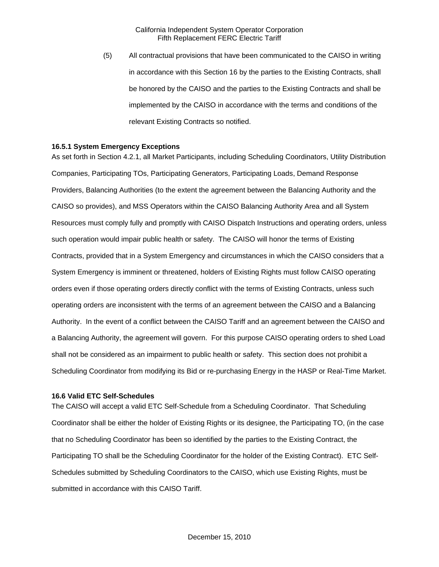(5) All contractual provisions that have been communicated to the CAISO in writing in accordance with this Section 16 by the parties to the Existing Contracts, shall be honored by the CAISO and the parties to the Existing Contracts and shall be implemented by the CAISO in accordance with the terms and conditions of the relevant Existing Contracts so notified.

#### **16.5.1 System Emergency Exceptions**

As set forth in Section 4.2.1, all Market Participants, including Scheduling Coordinators, Utility Distribution Companies, Participating TOs, Participating Generators, Participating Loads, Demand Response Providers, Balancing Authorities (to the extent the agreement between the Balancing Authority and the CAISO so provides), and MSS Operators within the CAISO Balancing Authority Area and all System Resources must comply fully and promptly with CAISO Dispatch Instructions and operating orders, unless such operation would impair public health or safety. The CAISO will honor the terms of Existing Contracts, provided that in a System Emergency and circumstances in which the CAISO considers that a System Emergency is imminent or threatened, holders of Existing Rights must follow CAISO operating orders even if those operating orders directly conflict with the terms of Existing Contracts, unless such operating orders are inconsistent with the terms of an agreement between the CAISO and a Balancing Authority. In the event of a conflict between the CAISO Tariff and an agreement between the CAISO and a Balancing Authority, the agreement will govern. For this purpose CAISO operating orders to shed Load shall not be considered as an impairment to public health or safety. This section does not prohibit a Scheduling Coordinator from modifying its Bid or re-purchasing Energy in the HASP or Real-Time Market.

#### **16.6 Valid ETC Self-Schedules**

The CAISO will accept a valid ETC Self-Schedule from a Scheduling Coordinator. That Scheduling Coordinator shall be either the holder of Existing Rights or its designee, the Participating TO, (in the case that no Scheduling Coordinator has been so identified by the parties to the Existing Contract, the Participating TO shall be the Scheduling Coordinator for the holder of the Existing Contract). ETC Self-Schedules submitted by Scheduling Coordinators to the CAISO, which use Existing Rights, must be submitted in accordance with this CAISO Tariff.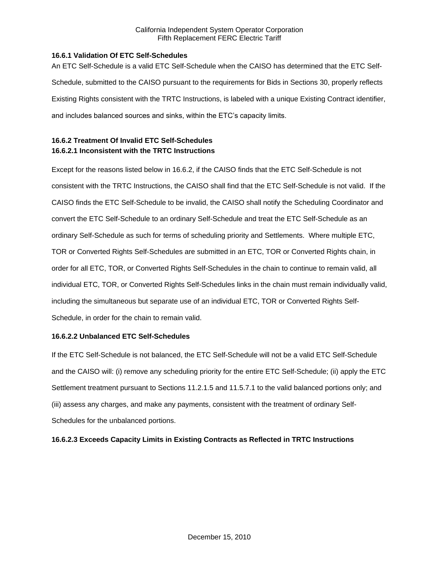## **16.6.1 Validation Of ETC Self-Schedules**

An ETC Self-Schedule is a valid ETC Self-Schedule when the CAISO has determined that the ETC Self-Schedule, submitted to the CAISO pursuant to the requirements for Bids in Sections 30, properly reflects Existing Rights consistent with the TRTC Instructions, is labeled with a unique Existing Contract identifier, and includes balanced sources and sinks, within the ETC's capacity limits.

# **16.6.2 Treatment Of Invalid ETC Self-Schedules 16.6.2.1 Inconsistent with the TRTC Instructions**

Except for the reasons listed below in 16.6.2, if the CAISO finds that the ETC Self-Schedule is not consistent with the TRTC Instructions, the CAISO shall find that the ETC Self-Schedule is not valid. If the CAISO finds the ETC Self-Schedule to be invalid, the CAISO shall notify the Scheduling Coordinator and convert the ETC Self-Schedule to an ordinary Self-Schedule and treat the ETC Self-Schedule as an ordinary Self-Schedule as such for terms of scheduling priority and Settlements. Where multiple ETC, TOR or Converted Rights Self-Schedules are submitted in an ETC, TOR or Converted Rights chain, in order for all ETC, TOR, or Converted Rights Self-Schedules in the chain to continue to remain valid, all individual ETC, TOR, or Converted Rights Self-Schedules links in the chain must remain individually valid, including the simultaneous but separate use of an individual ETC, TOR or Converted Rights Self-Schedule, in order for the chain to remain valid.

## **16.6.2.2 Unbalanced ETC Self-Schedules**

If the ETC Self-Schedule is not balanced, the ETC Self-Schedule will not be a valid ETC Self-Schedule and the CAISO will: (i) remove any scheduling priority for the entire ETC Self-Schedule; (ii) apply the ETC Settlement treatment pursuant to Sections 11.2.1.5 and 11.5.7.1 to the valid balanced portions only; and (iii) assess any charges, and make any payments, consistent with the treatment of ordinary Self-Schedules for the unbalanced portions.

## **16.6.2.3 Exceeds Capacity Limits in Existing Contracts as Reflected in TRTC Instructions**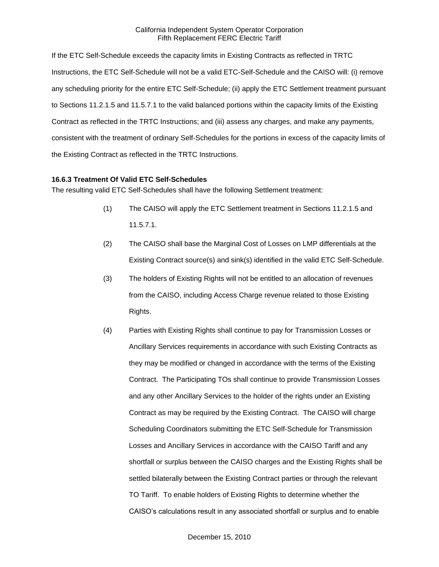If the ETC Self-Schedule exceeds the capacity limits in Existing Contracts as reflected in TRTC Instructions, the ETC Self-Schedule will not be a valid ETC-Self-Schedule and the CAISO will: (i) remove any scheduling priority for the entire ETC Self-Schedule; (ii) apply the ETC Settlement treatment pursuant to Sections 11.2.1.5 and 11.5.7.1 to the valid balanced portions within the capacity limits of the Existing Contract as reflected in the TRTC Instructions; and (iii) assess any charges, and make any payments, consistent with the treatment of ordinary Self-Schedules for the portions in excess of the capacity limits of the Existing Contract as reflected in the TRTC Instructions.

## **16.6.3 Treatment Of Valid ETC Self-Schedules**

The resulting valid ETC Self-Schedules shall have the following Settlement treatment:

- (1) The CAISO will apply the ETC Settlement treatment in Sections 11.2.1.5 and 11.5.7.1.
- (2) The CAISO shall base the Marginal Cost of Losses on LMP differentials at the Existing Contract source(s) and sink(s) identified in the valid ETC Self-Schedule.
- (3) The holders of Existing Rights will not be entitled to an allocation of revenues from the CAISO, including Access Charge revenue related to those Existing Rights.
- (4) Parties with Existing Rights shall continue to pay for Transmission Losses or Ancillary Services requirements in accordance with such Existing Contracts as they may be modified or changed in accordance with the terms of the Existing Contract. The Participating TOs shall continue to provide Transmission Losses and any other Ancillary Services to the holder of the rights under an Existing Contract as may be required by the Existing Contract. The CAISO will charge Scheduling Coordinators submitting the ETC Self-Schedule for Transmission Losses and Ancillary Services in accordance with the CAISO Tariff and any shortfall or surplus between the CAISO charges and the Existing Rights shall be settled bilaterally between the Existing Contract parties or through the relevant TO Tariff. To enable holders of Existing Rights to determine whether the CAISO's calculations result in any associated shortfall or surplus and to enable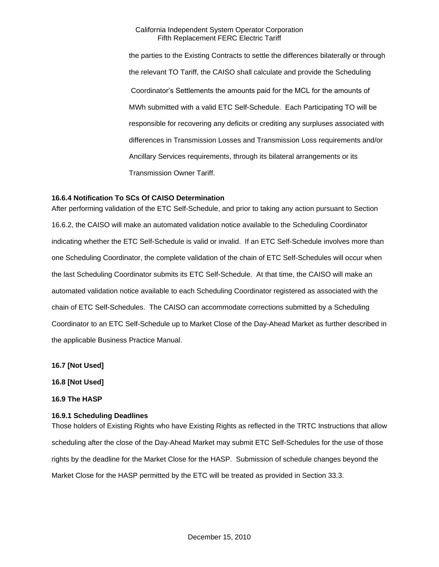the parties to the Existing Contracts to settle the differences bilaterally or through the relevant TO Tariff, the CAISO shall calculate and provide the Scheduling Coordinator's Settlements the amounts paid for the MCL for the amounts of MWh submitted with a valid ETC Self-Schedule. Each Participating TO will be responsible for recovering any deficits or crediting any surpluses associated with differences in Transmission Losses and Transmission Loss requirements and/or Ancillary Services requirements, through its bilateral arrangements or its Transmission Owner Tariff.

## **16.6.4 Notification To SCs Of CAISO Determination**

After performing validation of the ETC Self-Schedule, and prior to taking any action pursuant to Section 16.6.2, the CAISO will make an automated validation notice available to the Scheduling Coordinator indicating whether the ETC Self-Schedule is valid or invalid. If an ETC Self-Schedule involves more than one Scheduling Coordinator, the complete validation of the chain of ETC Self-Schedules will occur when the last Scheduling Coordinator submits its ETC Self-Schedule. At that time, the CAISO will make an automated validation notice available to each Scheduling Coordinator registered as associated with the chain of ETC Self-Schedules. The CAISO can accommodate corrections submitted by a Scheduling Coordinator to an ETC Self-Schedule up to Market Close of the Day-Ahead Market as further described in the applicable Business Practice Manual.

**16.7 [Not Used]**

**16.8 [Not Used]**

**16.9 The HASP**

#### **16.9.1 Scheduling Deadlines**

Those holders of Existing Rights who have Existing Rights as reflected in the TRTC Instructions that allow scheduling after the close of the Day-Ahead Market may submit ETC Self-Schedules for the use of those rights by the deadline for the Market Close for the HASP. Submission of schedule changes beyond the Market Close for the HASP permitted by the ETC will be treated as provided in Section 33.3.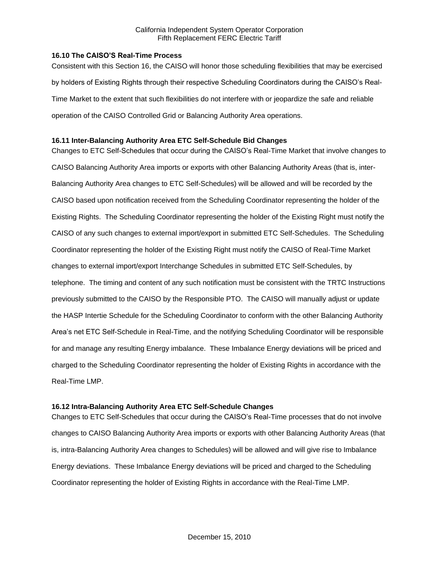## **16.10 The CAISO'S Real-Time Process**

Consistent with this Section 16, the CAISO will honor those scheduling flexibilities that may be exercised by holders of Existing Rights through their respective Scheduling Coordinators during the CAISO's Real-Time Market to the extent that such flexibilities do not interfere with or jeopardize the safe and reliable operation of the CAISO Controlled Grid or Balancing Authority Area operations.

## **16.11 Inter-Balancing Authority Area ETC Self-Schedule Bid Changes**

Changes to ETC Self-Schedules that occur during the CAISO's Real-Time Market that involve changes to CAISO Balancing Authority Area imports or exports with other Balancing Authority Areas (that is, inter-Balancing Authority Area changes to ETC Self-Schedules) will be allowed and will be recorded by the CAISO based upon notification received from the Scheduling Coordinator representing the holder of the Existing Rights. The Scheduling Coordinator representing the holder of the Existing Right must notify the CAISO of any such changes to external import/export in submitted ETC Self-Schedules. The Scheduling Coordinator representing the holder of the Existing Right must notify the CAISO of Real-Time Market changes to external import/export Interchange Schedules in submitted ETC Self-Schedules, by telephone. The timing and content of any such notification must be consistent with the TRTC Instructions previously submitted to the CAISO by the Responsible PTO. The CAISO will manually adjust or update the HASP Intertie Schedule for the Scheduling Coordinator to conform with the other Balancing Authority Area's net ETC Self-Schedule in Real-Time, and the notifying Scheduling Coordinator will be responsible for and manage any resulting Energy imbalance. These Imbalance Energy deviations will be priced and charged to the Scheduling Coordinator representing the holder of Existing Rights in accordance with the Real-Time LMP.

## **16.12 Intra-Balancing Authority Area ETC Self-Schedule Changes**

Changes to ETC Self-Schedules that occur during the CAISO's Real-Time processes that do not involve changes to CAISO Balancing Authority Area imports or exports with other Balancing Authority Areas (that is, intra-Balancing Authority Area changes to Schedules) will be allowed and will give rise to Imbalance Energy deviations. These Imbalance Energy deviations will be priced and charged to the Scheduling Coordinator representing the holder of Existing Rights in accordance with the Real-Time LMP.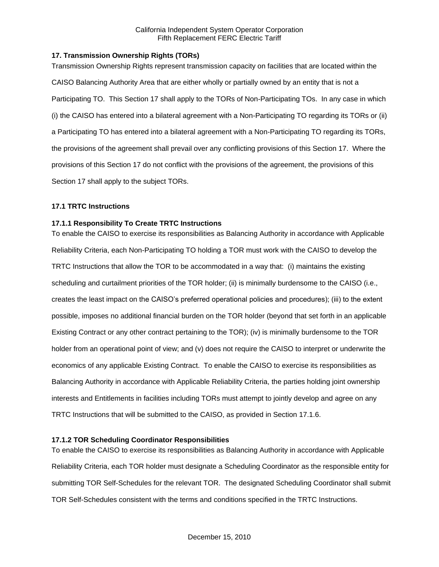## **17. Transmission Ownership Rights (TORs)**

Transmission Ownership Rights represent transmission capacity on facilities that are located within the CAISO Balancing Authority Area that are either wholly or partially owned by an entity that is not a Participating TO. This Section 17 shall apply to the TORs of Non-Participating TOs. In any case in which (i) the CAISO has entered into a bilateral agreement with a Non-Participating TO regarding its TORs or (ii) a Participating TO has entered into a bilateral agreement with a Non-Participating TO regarding its TORs, the provisions of the agreement shall prevail over any conflicting provisions of this Section 17. Where the provisions of this Section 17 do not conflict with the provisions of the agreement, the provisions of this Section 17 shall apply to the subject TORs.

## **17.1 TRTC Instructions**

## **17.1.1 Responsibility To Create TRTC Instructions**

To enable the CAISO to exercise its responsibilities as Balancing Authority in accordance with Applicable Reliability Criteria, each Non-Participating TO holding a TOR must work with the CAISO to develop the TRTC Instructions that allow the TOR to be accommodated in a way that: (i) maintains the existing scheduling and curtailment priorities of the TOR holder; (ii) is minimally burdensome to the CAISO (i.e., creates the least impact on the CAISO's preferred operational policies and procedures); (iii) to the extent possible, imposes no additional financial burden on the TOR holder (beyond that set forth in an applicable Existing Contract or any other contract pertaining to the TOR); (iv) is minimally burdensome to the TOR holder from an operational point of view; and (v) does not require the CAISO to interpret or underwrite the economics of any applicable Existing Contract. To enable the CAISO to exercise its responsibilities as Balancing Authority in accordance with Applicable Reliability Criteria, the parties holding joint ownership interests and Entitlements in facilities including TORs must attempt to jointly develop and agree on any TRTC Instructions that will be submitted to the CAISO, as provided in Section 17.1.6.

## **17.1.2 TOR Scheduling Coordinator Responsibilities**

To enable the CAISO to exercise its responsibilities as Balancing Authority in accordance with Applicable Reliability Criteria, each TOR holder must designate a Scheduling Coordinator as the responsible entity for submitting TOR Self-Schedules for the relevant TOR. The designated Scheduling Coordinator shall submit TOR Self-Schedules consistent with the terms and conditions specified in the TRTC Instructions.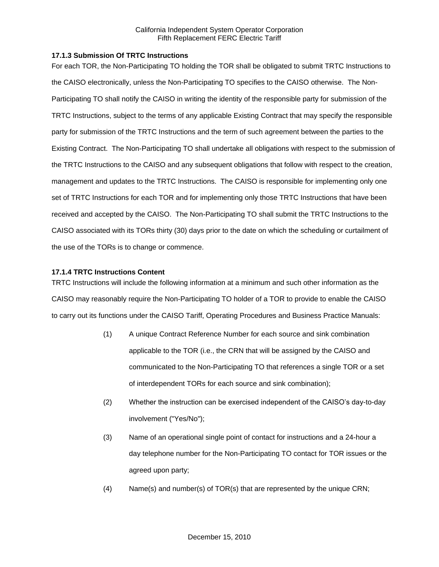## **17.1.3 Submission Of TRTC Instructions**

For each TOR, the Non-Participating TO holding the TOR shall be obligated to submit TRTC Instructions to the CAISO electronically, unless the Non-Participating TO specifies to the CAISO otherwise. The Non-Participating TO shall notify the CAISO in writing the identity of the responsible party for submission of the TRTC Instructions, subject to the terms of any applicable Existing Contract that may specify the responsible party for submission of the TRTC Instructions and the term of such agreement between the parties to the Existing Contract. The Non-Participating TO shall undertake all obligations with respect to the submission of the TRTC Instructions to the CAISO and any subsequent obligations that follow with respect to the creation, management and updates to the TRTC Instructions. The CAISO is responsible for implementing only one set of TRTC Instructions for each TOR and for implementing only those TRTC Instructions that have been received and accepted by the CAISO. The Non-Participating TO shall submit the TRTC Instructions to the CAISO associated with its TORs thirty (30) days prior to the date on which the scheduling or curtailment of the use of the TORs is to change or commence.

## **17.1.4 TRTC Instructions Content**

TRTC Instructions will include the following information at a minimum and such other information as the CAISO may reasonably require the Non-Participating TO holder of a TOR to provide to enable the CAISO to carry out its functions under the CAISO Tariff, Operating Procedures and Business Practice Manuals:

- (1) A unique Contract Reference Number for each source and sink combination applicable to the TOR (i.e., the CRN that will be assigned by the CAISO and communicated to the Non-Participating TO that references a single TOR or a set of interdependent TORs for each source and sink combination);
- (2) Whether the instruction can be exercised independent of the CAISO's day-to-day involvement ("Yes/No");
- (3) Name of an operational single point of contact for instructions and a 24-hour a day telephone number for the Non-Participating TO contact for TOR issues or the agreed upon party;
- (4) Name(s) and number(s) of TOR(s) that are represented by the unique CRN;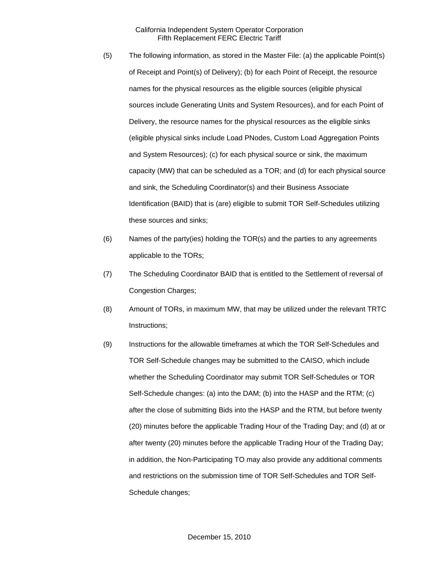- (5) The following information, as stored in the Master File: (a) the applicable Point(s) of Receipt and Point(s) of Delivery); (b) for each Point of Receipt, the resource names for the physical resources as the eligible sources (eligible physical sources include Generating Units and System Resources), and for each Point of Delivery, the resource names for the physical resources as the eligible sinks (eligible physical sinks include Load PNodes, Custom Load Aggregation Points and System Resources); (c) for each physical source or sink, the maximum capacity (MW) that can be scheduled as a TOR; and (d) for each physical source and sink, the Scheduling Coordinator(s) and their Business Associate Identification (BAID) that is (are) eligible to submit TOR Self-Schedules utilizing these sources and sinks;
- (6) Names of the party(ies) holding the TOR(s) and the parties to any agreements applicable to the TORs;
- (7) The Scheduling Coordinator BAID that is entitled to the Settlement of reversal of Congestion Charges;
- (8) Amount of TORs, in maximum MW, that may be utilized under the relevant TRTC Instructions;
- (9) Instructions for the allowable timeframes at which the TOR Self-Schedules and TOR Self-Schedule changes may be submitted to the CAISO, which include whether the Scheduling Coordinator may submit TOR Self-Schedules or TOR Self-Schedule changes: (a) into the DAM; (b) into the HASP and the RTM; (c) after the close of submitting Bids into the HASP and the RTM, but before twenty (20) minutes before the applicable Trading Hour of the Trading Day; and (d) at or after twenty (20) minutes before the applicable Trading Hour of the Trading Day; in addition, the Non-Participating TO may also provide any additional comments and restrictions on the submission time of TOR Self-Schedules and TOR Self-Schedule changes;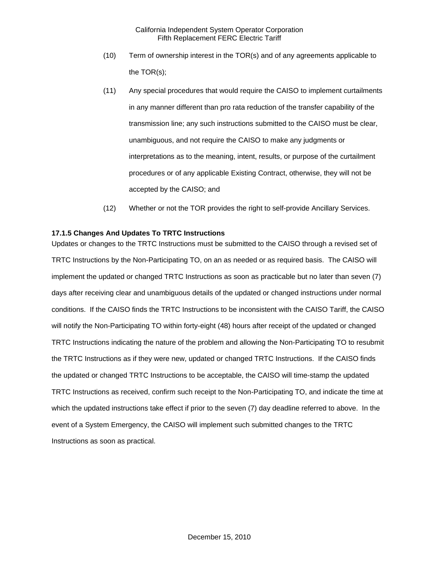- (10) Term of ownership interest in the TOR(s) and of any agreements applicable to the TOR(s);
- (11) Any special procedures that would require the CAISO to implement curtailments in any manner different than pro rata reduction of the transfer capability of the transmission line; any such instructions submitted to the CAISO must be clear, unambiguous, and not require the CAISO to make any judgments or interpretations as to the meaning, intent, results, or purpose of the curtailment procedures or of any applicable Existing Contract, otherwise, they will not be accepted by the CAISO; and
- (12) Whether or not the TOR provides the right to self-provide Ancillary Services.

## **17.1.5 Changes And Updates To TRTC Instructions**

Updates or changes to the TRTC Instructions must be submitted to the CAISO through a revised set of TRTC Instructions by the Non-Participating TO, on an as needed or as required basis. The CAISO will implement the updated or changed TRTC Instructions as soon as practicable but no later than seven (7) days after receiving clear and unambiguous details of the updated or changed instructions under normal conditions. If the CAISO finds the TRTC Instructions to be inconsistent with the CAISO Tariff, the CAISO will notify the Non-Participating TO within forty-eight (48) hours after receipt of the updated or changed TRTC Instructions indicating the nature of the problem and allowing the Non-Participating TO to resubmit the TRTC Instructions as if they were new, updated or changed TRTC Instructions. If the CAISO finds the updated or changed TRTC Instructions to be acceptable, the CAISO will time-stamp the updated TRTC Instructions as received, confirm such receipt to the Non-Participating TO, and indicate the time at which the updated instructions take effect if prior to the seven (7) day deadline referred to above. In the event of a System Emergency, the CAISO will implement such submitted changes to the TRTC Instructions as soon as practical.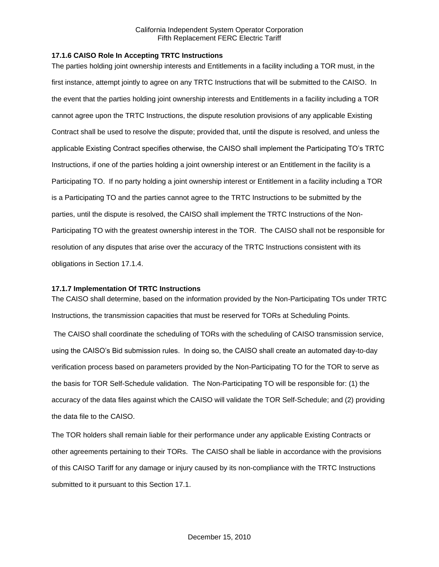## **17.1.6 CAISO Role In Accepting TRTC Instructions**

The parties holding joint ownership interests and Entitlements in a facility including a TOR must, in the first instance, attempt jointly to agree on any TRTC Instructions that will be submitted to the CAISO. In the event that the parties holding joint ownership interests and Entitlements in a facility including a TOR cannot agree upon the TRTC Instructions, the dispute resolution provisions of any applicable Existing Contract shall be used to resolve the dispute; provided that, until the dispute is resolved, and unless the applicable Existing Contract specifies otherwise, the CAISO shall implement the Participating TO's TRTC Instructions, if one of the parties holding a joint ownership interest or an Entitlement in the facility is a Participating TO. If no party holding a joint ownership interest or Entitlement in a facility including a TOR is a Participating TO and the parties cannot agree to the TRTC Instructions to be submitted by the parties, until the dispute is resolved, the CAISO shall implement the TRTC Instructions of the Non-Participating TO with the greatest ownership interest in the TOR. The CAISO shall not be responsible for resolution of any disputes that arise over the accuracy of the TRTC Instructions consistent with its obligations in Section 17.1.4.

#### **17.1.7 Implementation Of TRTC Instructions**

The CAISO shall determine, based on the information provided by the Non-Participating TOs under TRTC Instructions, the transmission capacities that must be reserved for TORs at Scheduling Points.

The CAISO shall coordinate the scheduling of TORs with the scheduling of CAISO transmission service, using the CAISO's Bid submission rules. In doing so, the CAISO shall create an automated day-to-day verification process based on parameters provided by the Non-Participating TO for the TOR to serve as the basis for TOR Self-Schedule validation. The Non-Participating TO will be responsible for: (1) the accuracy of the data files against which the CAISO will validate the TOR Self-Schedule; and (2) providing the data file to the CAISO.

The TOR holders shall remain liable for their performance under any applicable Existing Contracts or other agreements pertaining to their TORs. The CAISO shall be liable in accordance with the provisions of this CAISO Tariff for any damage or injury caused by its non-compliance with the TRTC Instructions submitted to it pursuant to this Section 17.1.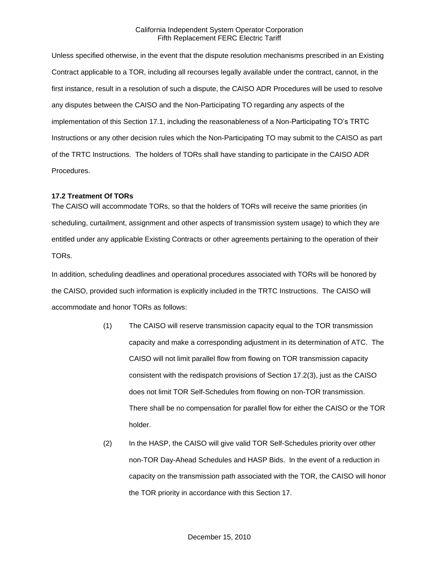Unless specified otherwise, in the event that the dispute resolution mechanisms prescribed in an Existing Contract applicable to a TOR, including all recourses legally available under the contract, cannot, in the first instance, result in a resolution of such a dispute, the CAISO ADR Procedures will be used to resolve any disputes between the CAISO and the Non-Participating TO regarding any aspects of the implementation of this Section 17.1, including the reasonableness of a Non-Participating TO's TRTC Instructions or any other decision rules which the Non-Participating TO may submit to the CAISO as part of the TRTC Instructions. The holders of TORs shall have standing to participate in the CAISO ADR Procedures.

#### **17.2 Treatment Of TORs**

The CAISO will accommodate TORs, so that the holders of TORs will receive the same priorities (in scheduling, curtailment, assignment and other aspects of transmission system usage) to which they are entitled under any applicable Existing Contracts or other agreements pertaining to the operation of their TORs.

In addition, scheduling deadlines and operational procedures associated with TORs will be honored by the CAISO, provided such information is explicitly included in the TRTC Instructions. The CAISO will accommodate and honor TORs as follows:

- (1) The CAISO will reserve transmission capacity equal to the TOR transmission capacity and make a corresponding adjustment in its determination of ATC. The CAISO will not limit parallel flow from flowing on TOR transmission capacity consistent with the redispatch provisions of Section 17.2(3), just as the CAISO does not limit TOR Self-Schedules from flowing on non-TOR transmission. There shall be no compensation for parallel flow for either the CAISO or the TOR holder.
- (2) In the HASP, the CAISO will give valid TOR Self-Schedules priority over other non-TOR Day-Ahead Schedules and HASP Bids. In the event of a reduction in capacity on the transmission path associated with the TOR, the CAISO will honor the TOR priority in accordance with this Section 17.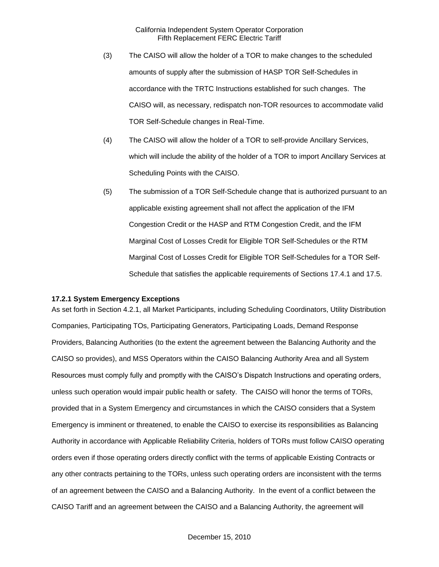- (3) The CAISO will allow the holder of a TOR to make changes to the scheduled amounts of supply after the submission of HASP TOR Self-Schedules in accordance with the TRTC Instructions established for such changes. The CAISO will, as necessary, redispatch non-TOR resources to accommodate valid TOR Self-Schedule changes in Real-Time.
- (4) The CAISO will allow the holder of a TOR to self-provide Ancillary Services, which will include the ability of the holder of a TOR to import Ancillary Services at Scheduling Points with the CAISO.
- (5) The submission of a TOR Self-Schedule change that is authorized pursuant to an applicable existing agreement shall not affect the application of the IFM Congestion Credit or the HASP and RTM Congestion Credit, and the IFM Marginal Cost of Losses Credit for Eligible TOR Self-Schedules or the RTM Marginal Cost of Losses Credit for Eligible TOR Self-Schedules for a TOR Self-Schedule that satisfies the applicable requirements of Sections 17.4.1 and 17.5.

#### **17.2.1 System Emergency Exceptions**

As set forth in Section 4.2.1, all Market Participants, including Scheduling Coordinators, Utility Distribution Companies, Participating TOs, Participating Generators, Participating Loads, Demand Response Providers, Balancing Authorities (to the extent the agreement between the Balancing Authority and the CAISO so provides), and MSS Operators within the CAISO Balancing Authority Area and all System Resources must comply fully and promptly with the CAISO's Dispatch Instructions and operating orders, unless such operation would impair public health or safety. The CAISO will honor the terms of TORs, provided that in a System Emergency and circumstances in which the CAISO considers that a System Emergency is imminent or threatened, to enable the CAISO to exercise its responsibilities as Balancing Authority in accordance with Applicable Reliability Criteria, holders of TORs must follow CAISO operating orders even if those operating orders directly conflict with the terms of applicable Existing Contracts or any other contracts pertaining to the TORs, unless such operating orders are inconsistent with the terms of an agreement between the CAISO and a Balancing Authority. In the event of a conflict between the CAISO Tariff and an agreement between the CAISO and a Balancing Authority, the agreement will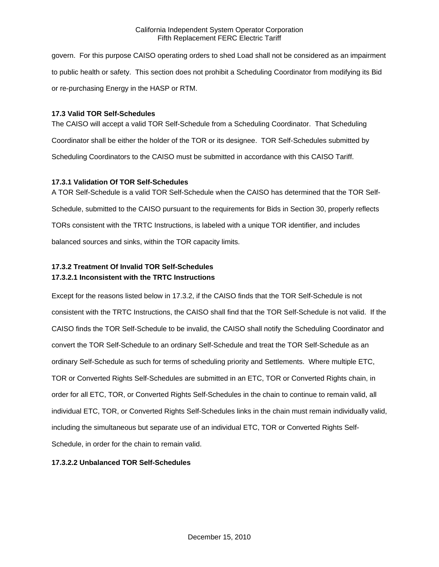govern. For this purpose CAISO operating orders to shed Load shall not be considered as an impairment to public health or safety. This section does not prohibit a Scheduling Coordinator from modifying its Bid or re-purchasing Energy in the HASP or RTM.

## **17.3 Valid TOR Self-Schedules**

The CAISO will accept a valid TOR Self-Schedule from a Scheduling Coordinator. That Scheduling Coordinator shall be either the holder of the TOR or its designee. TOR Self-Schedules submitted by Scheduling Coordinators to the CAISO must be submitted in accordance with this CAISO Tariff.

## **17.3.1 Validation Of TOR Self-Schedules**

A TOR Self-Schedule is a valid TOR Self-Schedule when the CAISO has determined that the TOR Self-Schedule, submitted to the CAISO pursuant to the requirements for Bids in Section 30, properly reflects TORs consistent with the TRTC Instructions, is labeled with a unique TOR identifier, and includes balanced sources and sinks, within the TOR capacity limits.

# **17.3.2 Treatment Of Invalid TOR Self-Schedules 17.3.2.1 Inconsistent with the TRTC Instructions**

Except for the reasons listed below in 17.3.2, if the CAISO finds that the TOR Self-Schedule is not consistent with the TRTC Instructions, the CAISO shall find that the TOR Self-Schedule is not valid. If the CAISO finds the TOR Self-Schedule to be invalid, the CAISO shall notify the Scheduling Coordinator and convert the TOR Self-Schedule to an ordinary Self-Schedule and treat the TOR Self-Schedule as an ordinary Self-Schedule as such for terms of scheduling priority and Settlements. Where multiple ETC, TOR or Converted Rights Self-Schedules are submitted in an ETC, TOR or Converted Rights chain, in order for all ETC, TOR, or Converted Rights Self-Schedules in the chain to continue to remain valid, all individual ETC, TOR, or Converted Rights Self-Schedules links in the chain must remain individually valid, including the simultaneous but separate use of an individual ETC, TOR or Converted Rights Self-Schedule, in order for the chain to remain valid.

# **17.3.2.2 Unbalanced TOR Self-Schedules**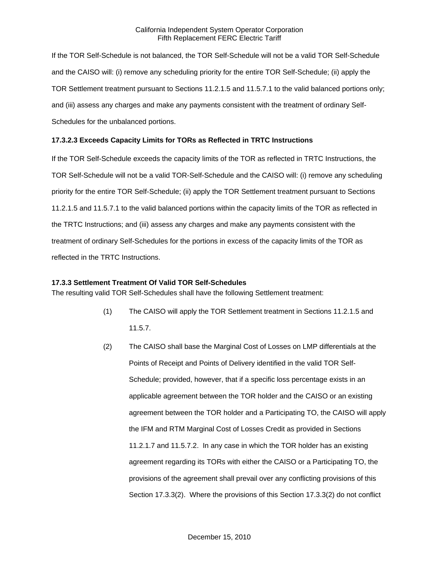If the TOR Self-Schedule is not balanced, the TOR Self-Schedule will not be a valid TOR Self-Schedule and the CAISO will: (i) remove any scheduling priority for the entire TOR Self-Schedule; (ii) apply the TOR Settlement treatment pursuant to Sections 11.2.1.5 and 11.5.7.1 to the valid balanced portions only; and (iii) assess any charges and make any payments consistent with the treatment of ordinary Self-Schedules for the unbalanced portions.

## **17.3.2.3 Exceeds Capacity Limits for TORs as Reflected in TRTC Instructions**

If the TOR Self-Schedule exceeds the capacity limits of the TOR as reflected in TRTC Instructions, the TOR Self-Schedule will not be a valid TOR-Self-Schedule and the CAISO will: (i) remove any scheduling priority for the entire TOR Self-Schedule; (ii) apply the TOR Settlement treatment pursuant to Sections 11.2.1.5 and 11.5.7.1 to the valid balanced portions within the capacity limits of the TOR as reflected in the TRTC Instructions; and (iii) assess any charges and make any payments consistent with the treatment of ordinary Self-Schedules for the portions in excess of the capacity limits of the TOR as reflected in the TRTC Instructions.

#### **17.3.3 Settlement Treatment Of Valid TOR Self-Schedules**

The resulting valid TOR Self-Schedules shall have the following Settlement treatment:

- (1) The CAISO will apply the TOR Settlement treatment in Sections 11.2.1.5 and 11.5.7.
- (2) The CAISO shall base the Marginal Cost of Losses on LMP differentials at the Points of Receipt and Points of Delivery identified in the valid TOR Self-Schedule; provided, however, that if a specific loss percentage exists in an applicable agreement between the TOR holder and the CAISO or an existing agreement between the TOR holder and a Participating TO, the CAISO will apply the IFM and RTM Marginal Cost of Losses Credit as provided in Sections 11.2.1.7 and 11.5.7.2. In any case in which the TOR holder has an existing agreement regarding its TORs with either the CAISO or a Participating TO, the provisions of the agreement shall prevail over any conflicting provisions of this Section 17.3.3(2). Where the provisions of this Section 17.3.3(2) do not conflict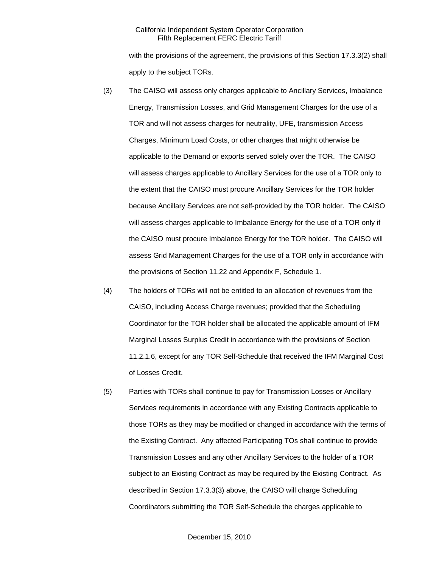with the provisions of the agreement, the provisions of this Section 17.3.3(2) shall apply to the subject TORs.

- (3) The CAISO will assess only charges applicable to Ancillary Services, Imbalance Energy, Transmission Losses, and Grid Management Charges for the use of a TOR and will not assess charges for neutrality, UFE, transmission Access Charges, Minimum Load Costs, or other charges that might otherwise be applicable to the Demand or exports served solely over the TOR. The CAISO will assess charges applicable to Ancillary Services for the use of a TOR only to the extent that the CAISO must procure Ancillary Services for the TOR holder because Ancillary Services are not self-provided by the TOR holder. The CAISO will assess charges applicable to Imbalance Energy for the use of a TOR only if the CAISO must procure Imbalance Energy for the TOR holder. The CAISO will assess Grid Management Charges for the use of a TOR only in accordance with the provisions of Section 11.22 and Appendix F, Schedule 1.
- (4) The holders of TORs will not be entitled to an allocation of revenues from the CAISO, including Access Charge revenues; provided that the Scheduling Coordinator for the TOR holder shall be allocated the applicable amount of IFM Marginal Losses Surplus Credit in accordance with the provisions of Section 11.2.1.6, except for any TOR Self-Schedule that received the IFM Marginal Cost of Losses Credit.
- (5) Parties with TORs shall continue to pay for Transmission Losses or Ancillary Services requirements in accordance with any Existing Contracts applicable to those TORs as they may be modified or changed in accordance with the terms of the Existing Contract. Any affected Participating TOs shall continue to provide Transmission Losses and any other Ancillary Services to the holder of a TOR subject to an Existing Contract as may be required by the Existing Contract. As described in Section 17.3.3(3) above, the CAISO will charge Scheduling Coordinators submitting the TOR Self-Schedule the charges applicable to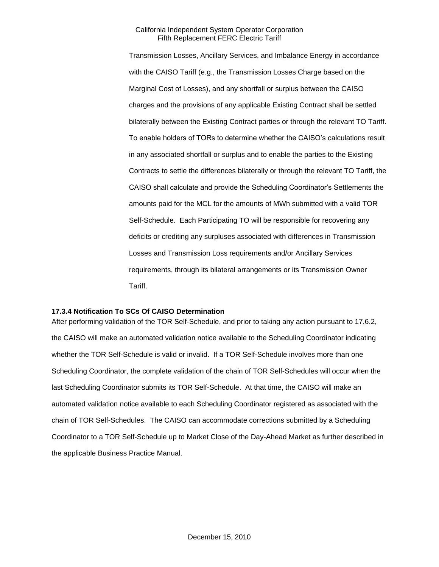Transmission Losses, Ancillary Services, and Imbalance Energy in accordance with the CAISO Tariff (e.g., the Transmission Losses Charge based on the Marginal Cost of Losses), and any shortfall or surplus between the CAISO charges and the provisions of any applicable Existing Contract shall be settled bilaterally between the Existing Contract parties or through the relevant TO Tariff. To enable holders of TORs to determine whether the CAISO's calculations result in any associated shortfall or surplus and to enable the parties to the Existing Contracts to settle the differences bilaterally or through the relevant TO Tariff, the CAISO shall calculate and provide the Scheduling Coordinator's Settlements the amounts paid for the MCL for the amounts of MWh submitted with a valid TOR Self-Schedule. Each Participating TO will be responsible for recovering any deficits or crediting any surpluses associated with differences in Transmission Losses and Transmission Loss requirements and/or Ancillary Services requirements, through its bilateral arrangements or its Transmission Owner Tariff.

### **17.3.4 Notification To SCs Of CAISO Determination**

After performing validation of the TOR Self-Schedule, and prior to taking any action pursuant to 17.6.2, the CAISO will make an automated validation notice available to the Scheduling Coordinator indicating whether the TOR Self-Schedule is valid or invalid. If a TOR Self-Schedule involves more than one Scheduling Coordinator, the complete validation of the chain of TOR Self-Schedules will occur when the last Scheduling Coordinator submits its TOR Self-Schedule. At that time, the CAISO will make an automated validation notice available to each Scheduling Coordinator registered as associated with the chain of TOR Self-Schedules. The CAISO can accommodate corrections submitted by a Scheduling Coordinator to a TOR Self-Schedule up to Market Close of the Day-Ahead Market as further described in the applicable Business Practice Manual.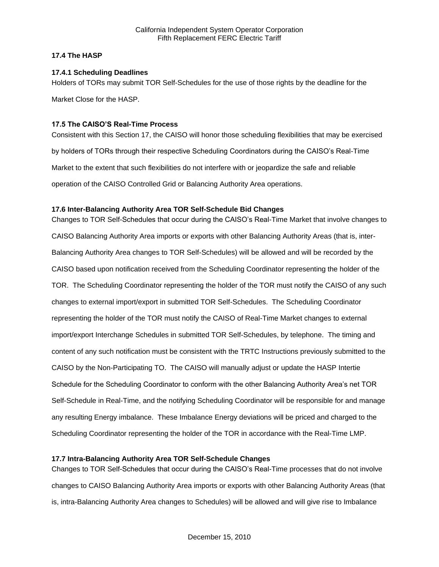## **17.4 The HASP**

## **17.4.1 Scheduling Deadlines**

Holders of TORs may submit TOR Self-Schedules for the use of those rights by the deadline for the

Market Close for the HASP.

## **17.5 The CAISO'S Real-Time Process**

Consistent with this Section 17, the CAISO will honor those scheduling flexibilities that may be exercised by holders of TORs through their respective Scheduling Coordinators during the CAISO's Real-Time Market to the extent that such flexibilities do not interfere with or jeopardize the safe and reliable operation of the CAISO Controlled Grid or Balancing Authority Area operations.

## **17.6 Inter-Balancing Authority Area TOR Self-Schedule Bid Changes**

Changes to TOR Self-Schedules that occur during the CAISO's Real-Time Market that involve changes to CAISO Balancing Authority Area imports or exports with other Balancing Authority Areas (that is, inter-Balancing Authority Area changes to TOR Self-Schedules) will be allowed and will be recorded by the CAISO based upon notification received from the Scheduling Coordinator representing the holder of the TOR. The Scheduling Coordinator representing the holder of the TOR must notify the CAISO of any such changes to external import/export in submitted TOR Self-Schedules. The Scheduling Coordinator representing the holder of the TOR must notify the CAISO of Real-Time Market changes to external import/export Interchange Schedules in submitted TOR Self-Schedules, by telephone. The timing and content of any such notification must be consistent with the TRTC Instructions previously submitted to the CAISO by the Non-Participating TO. The CAISO will manually adjust or update the HASP Intertie Schedule for the Scheduling Coordinator to conform with the other Balancing Authority Area's net TOR Self-Schedule in Real-Time, and the notifying Scheduling Coordinator will be responsible for and manage any resulting Energy imbalance. These Imbalance Energy deviations will be priced and charged to the Scheduling Coordinator representing the holder of the TOR in accordance with the Real-Time LMP.

## **17.7 Intra-Balancing Authority Area TOR Self-Schedule Changes**

Changes to TOR Self-Schedules that occur during the CAISO's Real-Time processes that do not involve changes to CAISO Balancing Authority Area imports or exports with other Balancing Authority Areas (that is, intra-Balancing Authority Area changes to Schedules) will be allowed and will give rise to Imbalance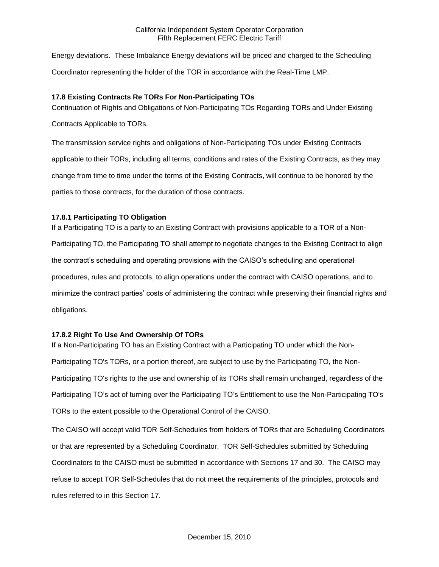Energy deviations. These Imbalance Energy deviations will be priced and charged to the Scheduling Coordinator representing the holder of the TOR in accordance with the Real-Time LMP.

## **17.8 Existing Contracts Re TORs For Non-Participating TOs**

Continuation of Rights and Obligations of Non-Participating TOs Regarding TORs and Under Existing

Contracts Applicable to TORs.

The transmission service rights and obligations of Non-Participating TOs under Existing Contracts applicable to their TORs, including all terms, conditions and rates of the Existing Contracts, as they may change from time to time under the terms of the Existing Contracts, will continue to be honored by the parties to those contracts, for the duration of those contracts.

## **17.8.1 Participating TO Obligation**

If a Participating TO is a party to an Existing Contract with provisions applicable to a TOR of a Non-Participating TO, the Participating TO shall attempt to negotiate changes to the Existing Contract to align the contract's scheduling and operating provisions with the CAISO's scheduling and operational procedures, rules and protocols, to align operations under the contract with CAISO operations, and to minimize the contract parties' costs of administering the contract while preserving their financial rights and obligations.

## **17.8.2 Right To Use And Ownership Of TORs**

If a Non-Participating TO has an Existing Contract with a Participating TO under which the Non-Participating TO's TORs, or a portion thereof, are subject to use by the Participating TO, the Non-Participating TO's rights to the use and ownership of its TORs shall remain unchanged, regardless of the Participating TO's act of turning over the Participating TO's Entitlement to use the Non-Participating TO's TORs to the extent possible to the Operational Control of the CAISO.

The CAISO will accept valid TOR Self-Schedules from holders of TORs that are Scheduling Coordinators or that are represented by a Scheduling Coordinator. TOR Self-Schedules submitted by Scheduling Coordinators to the CAISO must be submitted in accordance with Sections 17 and 30. The CAISO may refuse to accept TOR Self-Schedules that do not meet the requirements of the principles, protocols and rules referred to in this Section 17.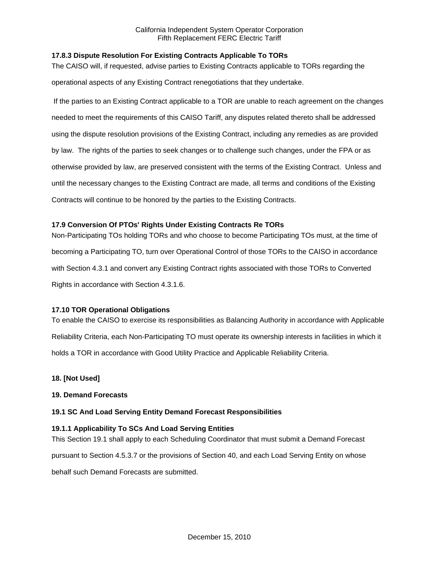## **17.8.3 Dispute Resolution For Existing Contracts Applicable To TORs**

The CAISO will, if requested, advise parties to Existing Contracts applicable to TORs regarding the operational aspects of any Existing Contract renegotiations that they undertake.

If the parties to an Existing Contract applicable to a TOR are unable to reach agreement on the changes needed to meet the requirements of this CAISO Tariff, any disputes related thereto shall be addressed using the dispute resolution provisions of the Existing Contract, including any remedies as are provided by law. The rights of the parties to seek changes or to challenge such changes, under the FPA or as otherwise provided by law, are preserved consistent with the terms of the Existing Contract. Unless and until the necessary changes to the Existing Contract are made, all terms and conditions of the Existing Contracts will continue to be honored by the parties to the Existing Contracts.

## **17.9 Conversion Of PTOs' Rights Under Existing Contracts Re TORs**

Non-Participating TOs holding TORs and who choose to become Participating TOs must, at the time of becoming a Participating TO, turn over Operational Control of those TORs to the CAISO in accordance with Section 4.3.1 and convert any Existing Contract rights associated with those TORs to Converted Rights in accordance with Section 4.3.1.6.

## **17.10 TOR Operational Obligations**

To enable the CAISO to exercise its responsibilities as Balancing Authority in accordance with Applicable Reliability Criteria, each Non-Participating TO must operate its ownership interests in facilities in which it holds a TOR in accordance with Good Utility Practice and Applicable Reliability Criteria.

## **18. [Not Used]**

## **19. Demand Forecasts**

## **19.1 SC And Load Serving Entity Demand Forecast Responsibilities**

## **19.1.1 Applicability To SCs And Load Serving Entities**

This Section 19.1 shall apply to each Scheduling Coordinator that must submit a Demand Forecast

pursuant to Section 4.5.3.7 or the provisions of Section 40, and each Load Serving Entity on whose

behalf such Demand Forecasts are submitted.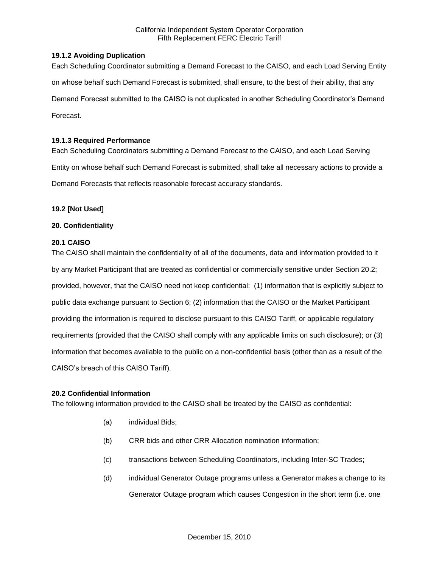## **19.1.2 Avoiding Duplication**

Each Scheduling Coordinator submitting a Demand Forecast to the CAISO, and each Load Serving Entity on whose behalf such Demand Forecast is submitted, shall ensure, to the best of their ability, that any Demand Forecast submitted to the CAISO is not duplicated in another Scheduling Coordinator's Demand Forecast.

## **19.1.3 Required Performance**

Each Scheduling Coordinators submitting a Demand Forecast to the CAISO, and each Load Serving Entity on whose behalf such Demand Forecast is submitted, shall take all necessary actions to provide a Demand Forecasts that reflects reasonable forecast accuracy standards.

## **19.2 [Not Used]**

## **20. Confidentiality**

## **20.1 CAISO**

The CAISO shall maintain the confidentiality of all of the documents, data and information provided to it by any Market Participant that are treated as confidential or commercially sensitive under Section 20.2; provided, however, that the CAISO need not keep confidential: (1) information that is explicitly subject to public data exchange pursuant to Section 6; (2) information that the CAISO or the Market Participant providing the information is required to disclose pursuant to this CAISO Tariff, or applicable regulatory requirements (provided that the CAISO shall comply with any applicable limits on such disclosure); or (3) information that becomes available to the public on a non-confidential basis (other than as a result of the CAISO's breach of this CAISO Tariff).

#### **20.2 Confidential Information**

The following information provided to the CAISO shall be treated by the CAISO as confidential:

- (a) individual Bids;
- (b) CRR bids and other CRR Allocation nomination information;
- (c) transactions between Scheduling Coordinators, including Inter-SC Trades;
- (d) individual Generator Outage programs unless a Generator makes a change to its Generator Outage program which causes Congestion in the short term (i.e. one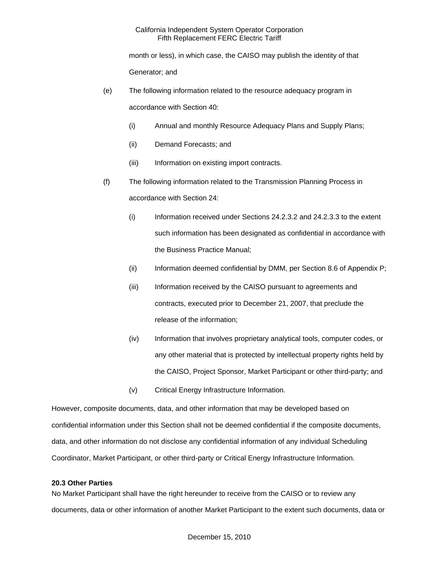month or less), in which case, the CAISO may publish the identity of that Generator; and

- (e) The following information related to the resource adequacy program in accordance with Section 40:
	- (i) Annual and monthly Resource Adequacy Plans and Supply Plans;
	- (ii) Demand Forecasts; and
	- (iii) Information on existing import contracts.
- (f) The following information related to the Transmission Planning Process in accordance with Section 24:
	- (i) Information received under Sections 24.2.3.2 and 24.2.3.3 to the extent such information has been designated as confidential in accordance with the Business Practice Manual;
	- (ii) Information deemed confidential by DMM, per Section 8.6 of Appendix P;
	- (iii) Information received by the CAISO pursuant to agreements and contracts, executed prior to December 21, 2007, that preclude the release of the information;
	- (iv) Information that involves proprietary analytical tools, computer codes, or any other material that is protected by intellectual property rights held by the CAISO, Project Sponsor, Market Participant or other third-party; and
	- (v) Critical Energy Infrastructure Information.

However, composite documents, data, and other information that may be developed based on confidential information under this Section shall not be deemed confidential if the composite documents, data, and other information do not disclose any confidential information of any individual Scheduling Coordinator, Market Participant, or other third-party or Critical Energy Infrastructure Information.

#### **20.3 Other Parties**

No Market Participant shall have the right hereunder to receive from the CAISO or to review any documents, data or other information of another Market Participant to the extent such documents, data or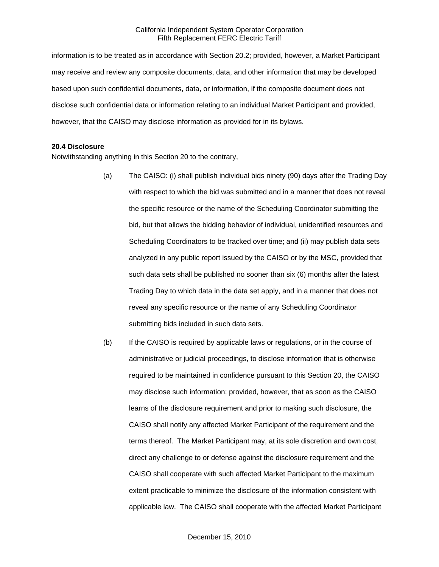information is to be treated as in accordance with Section 20.2; provided, however, a Market Participant may receive and review any composite documents, data, and other information that may be developed based upon such confidential documents, data, or information, if the composite document does not disclose such confidential data or information relating to an individual Market Participant and provided, however, that the CAISO may disclose information as provided for in its bylaws.

#### **20.4 Disclosure**

Notwithstanding anything in this Section 20 to the contrary,

- (a) The CAISO: (i) shall publish individual bids ninety (90) days after the Trading Day with respect to which the bid was submitted and in a manner that does not reveal the specific resource or the name of the Scheduling Coordinator submitting the bid, but that allows the bidding behavior of individual, unidentified resources and Scheduling Coordinators to be tracked over time; and (ii) may publish data sets analyzed in any public report issued by the CAISO or by the MSC, provided that such data sets shall be published no sooner than six (6) months after the latest Trading Day to which data in the data set apply, and in a manner that does not reveal any specific resource or the name of any Scheduling Coordinator submitting bids included in such data sets.
- (b) If the CAISO is required by applicable laws or regulations, or in the course of administrative or judicial proceedings, to disclose information that is otherwise required to be maintained in confidence pursuant to this Section 20, the CAISO may disclose such information; provided, however, that as soon as the CAISO learns of the disclosure requirement and prior to making such disclosure, the CAISO shall notify any affected Market Participant of the requirement and the terms thereof. The Market Participant may, at its sole discretion and own cost, direct any challenge to or defense against the disclosure requirement and the CAISO shall cooperate with such affected Market Participant to the maximum extent practicable to minimize the disclosure of the information consistent with applicable law. The CAISO shall cooperate with the affected Market Participant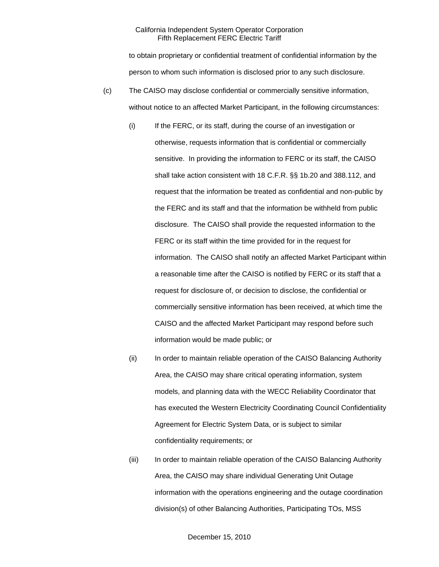to obtain proprietary or confidential treatment of confidential information by the person to whom such information is disclosed prior to any such disclosure.

- (c) The CAISO may disclose confidential or commercially sensitive information, without notice to an affected Market Participant, in the following circumstances:
	- (i) If the FERC, or its staff, during the course of an investigation or otherwise, requests information that is confidential or commercially sensitive. In providing the information to FERC or its staff, the CAISO shall take action consistent with 18 C.F.R. §§ 1b.20 and 388.112, and request that the information be treated as confidential and non-public by the FERC and its staff and that the information be withheld from public disclosure. The CAISO shall provide the requested information to the FERC or its staff within the time provided for in the request for information. The CAISO shall notify an affected Market Participant within a reasonable time after the CAISO is notified by FERC or its staff that a request for disclosure of, or decision to disclose, the confidential or commercially sensitive information has been received, at which time the CAISO and the affected Market Participant may respond before such information would be made public; or
	- (ii) In order to maintain reliable operation of the CAISO Balancing Authority Area, the CAISO may share critical operating information, system models, and planning data with the WECC Reliability Coordinator that has executed the Western Electricity Coordinating Council Confidentiality Agreement for Electric System Data, or is subject to similar confidentiality requirements; or
	- (iii) In order to maintain reliable operation of the CAISO Balancing Authority Area, the CAISO may share individual Generating Unit Outage information with the operations engineering and the outage coordination division(s) of other Balancing Authorities, Participating TOs, MSS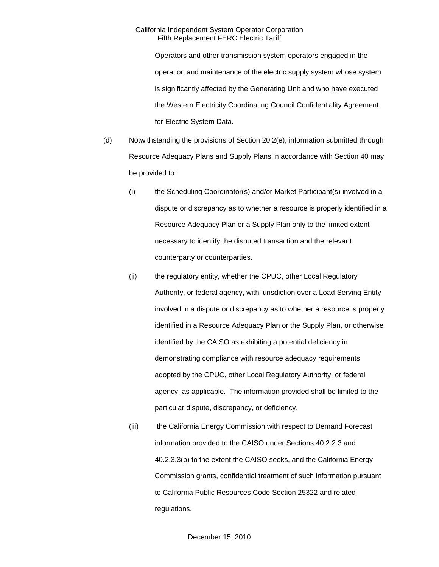Operators and other transmission system operators engaged in the operation and maintenance of the electric supply system whose system is significantly affected by the Generating Unit and who have executed the Western Electricity Coordinating Council Confidentiality Agreement for Electric System Data.

- (d) Notwithstanding the provisions of Section 20.2(e), information submitted through Resource Adequacy Plans and Supply Plans in accordance with Section 40 may be provided to:
	- (i) the Scheduling Coordinator(s) and/or Market Participant(s) involved in a dispute or discrepancy as to whether a resource is properly identified in a Resource Adequacy Plan or a Supply Plan only to the limited extent necessary to identify the disputed transaction and the relevant counterparty or counterparties.
	- (ii) the regulatory entity, whether the CPUC, other Local Regulatory Authority, or federal agency, with jurisdiction over a Load Serving Entity involved in a dispute or discrepancy as to whether a resource is properly identified in a Resource Adequacy Plan or the Supply Plan, or otherwise identified by the CAISO as exhibiting a potential deficiency in demonstrating compliance with resource adequacy requirements adopted by the CPUC, other Local Regulatory Authority, or federal agency, as applicable. The information provided shall be limited to the particular dispute, discrepancy, or deficiency.
	- (iii) the California Energy Commission with respect to Demand Forecast information provided to the CAISO under Sections 40.2.2.3 and 40.2.3.3(b) to the extent the CAISO seeks, and the California Energy Commission grants, confidential treatment of such information pursuant to California Public Resources Code Section 25322 and related regulations.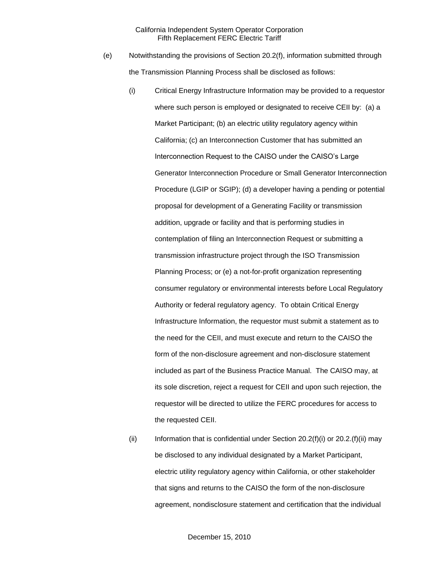- (e) Notwithstanding the provisions of Section 20.2(f), information submitted through the Transmission Planning Process shall be disclosed as follows:
	- (i) Critical Energy Infrastructure Information may be provided to a requestor where such person is employed or designated to receive CEII by: (a) a Market Participant; (b) an electric utility regulatory agency within California; (c) an Interconnection Customer that has submitted an Interconnection Request to the CAISO under the CAISO's Large Generator Interconnection Procedure or Small Generator Interconnection Procedure (LGIP or SGIP); (d) a developer having a pending or potential proposal for development of a Generating Facility or transmission addition, upgrade or facility and that is performing studies in contemplation of filing an Interconnection Request or submitting a transmission infrastructure project through the ISO Transmission Planning Process; or (e) a not-for-profit organization representing consumer regulatory or environmental interests before Local Regulatory Authority or federal regulatory agency. To obtain Critical Energy Infrastructure Information, the requestor must submit a statement as to the need for the CEII, and must execute and return to the CAISO the form of the non-disclosure agreement and non-disclosure statement included as part of the Business Practice Manual. The CAISO may, at its sole discretion, reject a request for CEII and upon such rejection, the requestor will be directed to utilize the FERC procedures for access to the requested CEII.
	- (ii) Information that is confidential under Section 20.2(f)(i) or 20.2.(f)(ii) may be disclosed to any individual designated by a Market Participant, electric utility regulatory agency within California, or other stakeholder that signs and returns to the CAISO the form of the non-disclosure agreement, nondisclosure statement and certification that the individual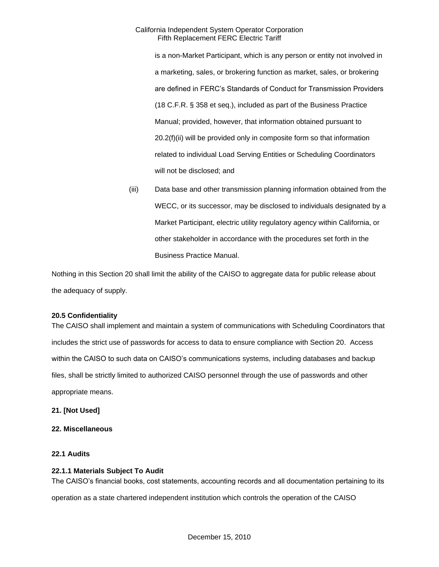is a non-Market Participant, which is any person or entity not involved in a marketing, sales, or brokering function as market, sales, or brokering are defined in FERC's Standards of Conduct for Transmission Providers (18 C.F.R. § 358 et seq.), included as part of the Business Practice Manual; provided, however, that information obtained pursuant to 20.2(f)(ii) will be provided only in composite form so that information related to individual Load Serving Entities or Scheduling Coordinators will not be disclosed; and

(iii) Data base and other transmission planning information obtained from the WECC, or its successor, may be disclosed to individuals designated by a Market Participant, electric utility regulatory agency within California, or other stakeholder in accordance with the procedures set forth in the Business Practice Manual.

Nothing in this Section 20 shall limit the ability of the CAISO to aggregate data for public release about the adequacy of supply.

# **20.5 Confidentiality**

The CAISO shall implement and maintain a system of communications with Scheduling Coordinators that includes the strict use of passwords for access to data to ensure compliance with Section 20. Access within the CAISO to such data on CAISO's communications systems, including databases and backup files, shall be strictly limited to authorized CAISO personnel through the use of passwords and other appropriate means.

# **21. [Not Used]**

# **22. Miscellaneous**

# **22.1 Audits**

# **22.1.1 Materials Subject To Audit**

The CAISO's financial books, cost statements, accounting records and all documentation pertaining to its

operation as a state chartered independent institution which controls the operation of the CAISO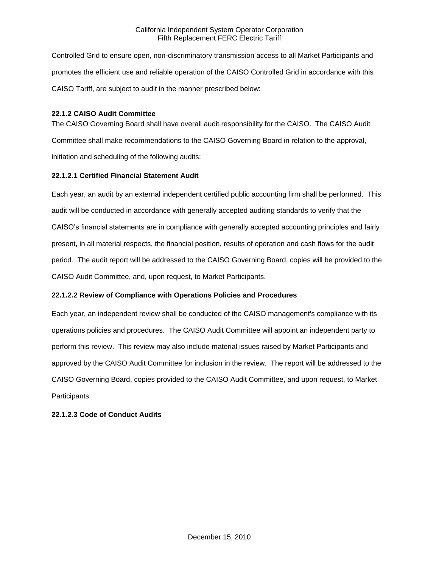Controlled Grid to ensure open, non-discriminatory transmission access to all Market Participants and promotes the efficient use and reliable operation of the CAISO Controlled Grid in accordance with this CAISO Tariff, are subject to audit in the manner prescribed below:

# **22.1.2 CAISO Audit Committee**

The CAISO Governing Board shall have overall audit responsibility for the CAISO. The CAISO Audit Committee shall make recommendations to the CAISO Governing Board in relation to the approval, initiation and scheduling of the following audits:

# **22.1.2.1 Certified Financial Statement Audit**

Each year, an audit by an external independent certified public accounting firm shall be performed. This audit will be conducted in accordance with generally accepted auditing standards to verify that the CAISO's financial statements are in compliance with generally accepted accounting principles and fairly present, in all material respects, the financial position, results of operation and cash flows for the audit period. The audit report will be addressed to the CAISO Governing Board, copies will be provided to the CAISO Audit Committee, and, upon request, to Market Participants.

# **22.1.2.2 Review of Compliance with Operations Policies and Procedures**

Each year, an independent review shall be conducted of the CAISO management's compliance with its operations policies and procedures. The CAISO Audit Committee will appoint an independent party to perform this review. This review may also include material issues raised by Market Participants and approved by the CAISO Audit Committee for inclusion in the review. The report will be addressed to the CAISO Governing Board, copies provided to the CAISO Audit Committee, and upon request, to Market Participants.

# **22.1.2.3 Code of Conduct Audits**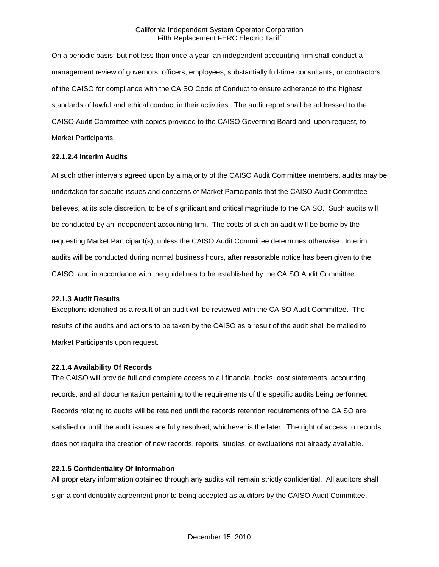On a periodic basis, but not less than once a year, an independent accounting firm shall conduct a management review of governors, officers, employees, substantially full-time consultants, or contractors of the CAISO for compliance with the CAISO Code of Conduct to ensure adherence to the highest standards of lawful and ethical conduct in their activities. The audit report shall be addressed to the CAISO Audit Committee with copies provided to the CAISO Governing Board and, upon request, to Market Participants.

### **22.1.2.4 Interim Audits**

At such other intervals agreed upon by a majority of the CAISO Audit Committee members, audits may be undertaken for specific issues and concerns of Market Participants that the CAISO Audit Committee believes, at its sole discretion, to be of significant and critical magnitude to the CAISO. Such audits will be conducted by an independent accounting firm. The costs of such an audit will be borne by the requesting Market Participant(s), unless the CAISO Audit Committee determines otherwise. Interim audits will be conducted during normal business hours, after reasonable notice has been given to the CAISO, and in accordance with the guidelines to be established by the CAISO Audit Committee.

### **22.1.3 Audit Results**

Exceptions identified as a result of an audit will be reviewed with the CAISO Audit Committee. The results of the audits and actions to be taken by the CAISO as a result of the audit shall be mailed to Market Participants upon request.

# **22.1.4 Availability Of Records**

The CAISO will provide full and complete access to all financial books, cost statements, accounting records, and all documentation pertaining to the requirements of the specific audits being performed. Records relating to audits will be retained until the records retention requirements of the CAISO are satisfied or until the audit issues are fully resolved, whichever is the later. The right of access to records does not require the creation of new records, reports, studies, or evaluations not already available.

# **22.1.5 Confidentiality Of Information**

All proprietary information obtained through any audits will remain strictly confidential. All auditors shall sign a confidentiality agreement prior to being accepted as auditors by the CAISO Audit Committee.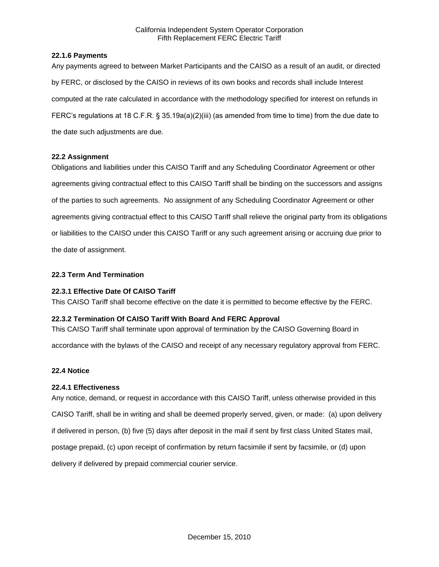# **22.1.6 Payments**

Any payments agreed to between Market Participants and the CAISO as a result of an audit, or directed by FERC, or disclosed by the CAISO in reviews of its own books and records shall include Interest computed at the rate calculated in accordance with the methodology specified for interest on refunds in FERC's regulations at 18 C.F.R. § 35.19a(a)(2)(iii) (as amended from time to time) from the due date to the date such adjustments are due.

# **22.2 Assignment**

Obligations and liabilities under this CAISO Tariff and any Scheduling Coordinator Agreement or other agreements giving contractual effect to this CAISO Tariff shall be binding on the successors and assigns of the parties to such agreements. No assignment of any Scheduling Coordinator Agreement or other agreements giving contractual effect to this CAISO Tariff shall relieve the original party from its obligations or liabilities to the CAISO under this CAISO Tariff or any such agreement arising or accruing due prior to the date of assignment.

# **22.3 Term And Termination**

# **22.3.1 Effective Date Of CAISO Tariff**

This CAISO Tariff shall become effective on the date it is permitted to become effective by the FERC.

## **22.3.2 Termination Of CAISO Tariff With Board And FERC Approval**

This CAISO Tariff shall terminate upon approval of termination by the CAISO Governing Board in

accordance with the bylaws of the CAISO and receipt of any necessary regulatory approval from FERC.

# **22.4 Notice**

### **22.4.1 Effectiveness**

Any notice, demand, or request in accordance with this CAISO Tariff, unless otherwise provided in this CAISO Tariff, shall be in writing and shall be deemed properly served, given, or made: (a) upon delivery if delivered in person, (b) five (5) days after deposit in the mail if sent by first class United States mail, postage prepaid, (c) upon receipt of confirmation by return facsimile if sent by facsimile, or (d) upon delivery if delivered by prepaid commercial courier service.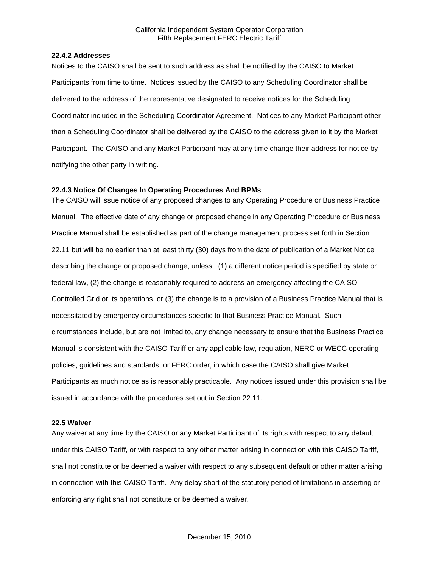### **22.4.2 Addresses**

Notices to the CAISO shall be sent to such address as shall be notified by the CAISO to Market Participants from time to time. Notices issued by the CAISO to any Scheduling Coordinator shall be delivered to the address of the representative designated to receive notices for the Scheduling Coordinator included in the Scheduling Coordinator Agreement. Notices to any Market Participant other than a Scheduling Coordinator shall be delivered by the CAISO to the address given to it by the Market Participant. The CAISO and any Market Participant may at any time change their address for notice by notifying the other party in writing.

# **22.4.3 Notice Of Changes In Operating Procedures And BPMs**

The CAISO will issue notice of any proposed changes to any Operating Procedure or Business Practice Manual. The effective date of any change or proposed change in any Operating Procedure or Business Practice Manual shall be established as part of the change management process set forth in Section 22.11 but will be no earlier than at least thirty (30) days from the date of publication of a Market Notice describing the change or proposed change, unless: (1) a different notice period is specified by state or federal law, (2) the change is reasonably required to address an emergency affecting the CAISO Controlled Grid or its operations, or (3) the change is to a provision of a Business Practice Manual that is necessitated by emergency circumstances specific to that Business Practice Manual. Such circumstances include, but are not limited to, any change necessary to ensure that the Business Practice Manual is consistent with the CAISO Tariff or any applicable law, regulation, NERC or WECC operating policies, guidelines and standards, or FERC order, in which case the CAISO shall give Market Participants as much notice as is reasonably practicable. Any notices issued under this provision shall be issued in accordance with the procedures set out in Section 22.11.

### **22.5 Waiver**

Any waiver at any time by the CAISO or any Market Participant of its rights with respect to any default under this CAISO Tariff, or with respect to any other matter arising in connection with this CAISO Tariff, shall not constitute or be deemed a waiver with respect to any subsequent default or other matter arising in connection with this CAISO Tariff. Any delay short of the statutory period of limitations in asserting or enforcing any right shall not constitute or be deemed a waiver.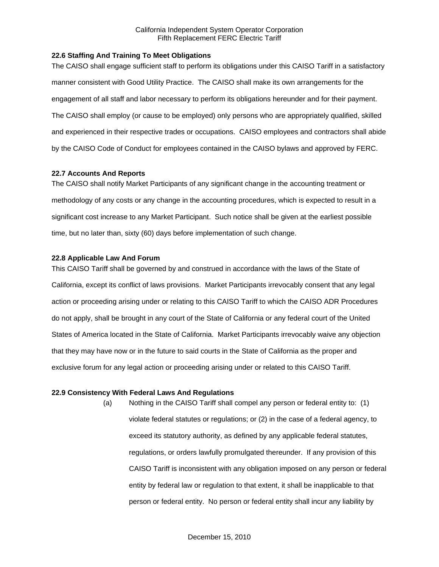## **22.6 Staffing And Training To Meet Obligations**

The CAISO shall engage sufficient staff to perform its obligations under this CAISO Tariff in a satisfactory manner consistent with Good Utility Practice. The CAISO shall make its own arrangements for the engagement of all staff and labor necessary to perform its obligations hereunder and for their payment. The CAISO shall employ (or cause to be employed) only persons who are appropriately qualified, skilled and experienced in their respective trades or occupations. CAISO employees and contractors shall abide by the CAISO Code of Conduct for employees contained in the CAISO bylaws and approved by FERC.

# **22.7 Accounts And Reports**

The CAISO shall notify Market Participants of any significant change in the accounting treatment or methodology of any costs or any change in the accounting procedures, which is expected to result in a significant cost increase to any Market Participant. Such notice shall be given at the earliest possible time, but no later than, sixty (60) days before implementation of such change.

# **22.8 Applicable Law And Forum**

This CAISO Tariff shall be governed by and construed in accordance with the laws of the State of California, except its conflict of laws provisions. Market Participants irrevocably consent that any legal action or proceeding arising under or relating to this CAISO Tariff to which the CAISO ADR Procedures do not apply, shall be brought in any court of the State of California or any federal court of the United States of America located in the State of California. Market Participants irrevocably waive any objection that they may have now or in the future to said courts in the State of California as the proper and exclusive forum for any legal action or proceeding arising under or related to this CAISO Tariff.

### **22.9 Consistency With Federal Laws And Regulations**

(a) Nothing in the CAISO Tariff shall compel any person or federal entity to: (1) violate federal statutes or regulations; or (2) in the case of a federal agency, to exceed its statutory authority, as defined by any applicable federal statutes, regulations, or orders lawfully promulgated thereunder. If any provision of this CAISO Tariff is inconsistent with any obligation imposed on any person or federal entity by federal law or regulation to that extent, it shall be inapplicable to that person or federal entity. No person or federal entity shall incur any liability by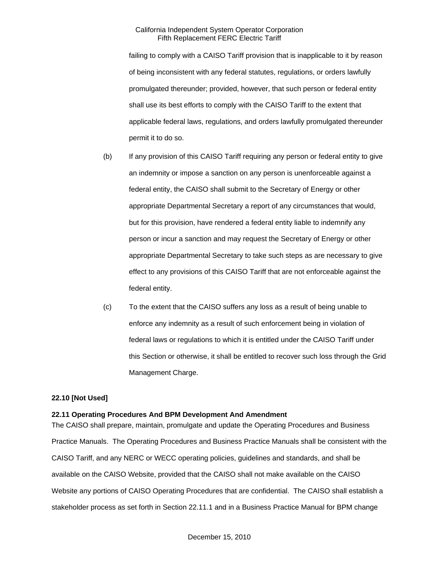failing to comply with a CAISO Tariff provision that is inapplicable to it by reason of being inconsistent with any federal statutes, regulations, or orders lawfully promulgated thereunder; provided, however, that such person or federal entity shall use its best efforts to comply with the CAISO Tariff to the extent that applicable federal laws, regulations, and orders lawfully promulgated thereunder permit it to do so.

- (b) If any provision of this CAISO Tariff requiring any person or federal entity to give an indemnity or impose a sanction on any person is unenforceable against a federal entity, the CAISO shall submit to the Secretary of Energy or other appropriate Departmental Secretary a report of any circumstances that would, but for this provision, have rendered a federal entity liable to indemnify any person or incur a sanction and may request the Secretary of Energy or other appropriate Departmental Secretary to take such steps as are necessary to give effect to any provisions of this CAISO Tariff that are not enforceable against the federal entity.
- (c) To the extent that the CAISO suffers any loss as a result of being unable to enforce any indemnity as a result of such enforcement being in violation of federal laws or regulations to which it is entitled under the CAISO Tariff under this Section or otherwise, it shall be entitled to recover such loss through the Grid Management Charge.

### **22.10 [Not Used]**

## **22.11 Operating Procedures And BPM Development And Amendment**

The CAISO shall prepare, maintain, promulgate and update the Operating Procedures and Business Practice Manuals. The Operating Procedures and Business Practice Manuals shall be consistent with the CAISO Tariff, and any NERC or WECC operating policies, guidelines and standards, and shall be available on the CAISO Website, provided that the CAISO shall not make available on the CAISO Website any portions of CAISO Operating Procedures that are confidential. The CAISO shall establish a stakeholder process as set forth in Section 22.11.1 and in a Business Practice Manual for BPM change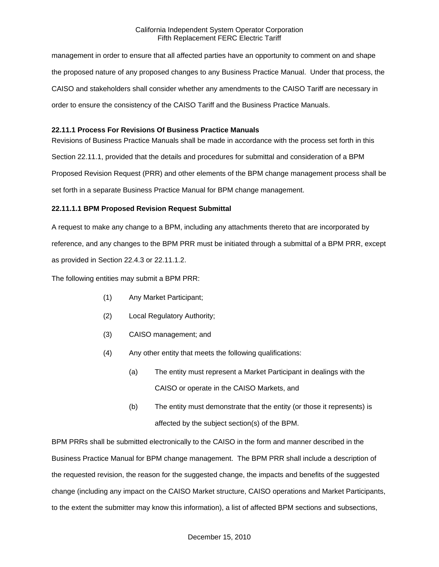management in order to ensure that all affected parties have an opportunity to comment on and shape the proposed nature of any proposed changes to any Business Practice Manual. Under that process, the CAISO and stakeholders shall consider whether any amendments to the CAISO Tariff are necessary in order to ensure the consistency of the CAISO Tariff and the Business Practice Manuals.

# **22.11.1 Process For Revisions Of Business Practice Manuals**

Revisions of Business Practice Manuals shall be made in accordance with the process set forth in this Section 22.11.1, provided that the details and procedures for submittal and consideration of a BPM Proposed Revision Request (PRR) and other elements of the BPM change management process shall be set forth in a separate Business Practice Manual for BPM change management.

# **22.11.1.1 BPM Proposed Revision Request Submittal**

A request to make any change to a BPM, including any attachments thereto that are incorporated by reference, and any changes to the BPM PRR must be initiated through a submittal of a BPM PRR, except as provided in Section 22.4.3 or 22.11.1.2.

The following entities may submit a BPM PRR:

- (1) Any Market Participant;
- (2) Local Regulatory Authority;
- (3) CAISO management; and
- (4) Any other entity that meets the following qualifications:
	- (a) The entity must represent a Market Participant in dealings with the CAISO or operate in the CAISO Markets, and
	- (b) The entity must demonstrate that the entity (or those it represents) is affected by the subject section(s) of the BPM.

BPM PRRs shall be submitted electronically to the CAISO in the form and manner described in the Business Practice Manual for BPM change management. The BPM PRR shall include a description of the requested revision, the reason for the suggested change, the impacts and benefits of the suggested change (including any impact on the CAISO Market structure, CAISO operations and Market Participants, to the extent the submitter may know this information), a list of affected BPM sections and subsections,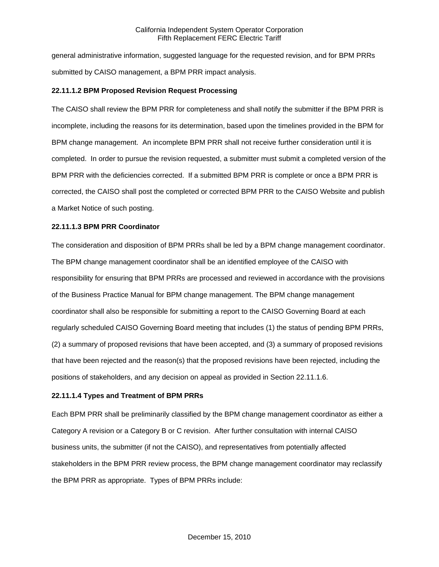general administrative information, suggested language for the requested revision, and for BPM PRRs submitted by CAISO management, a BPM PRR impact analysis.

# **22.11.1.2 BPM Proposed Revision Request Processing**

The CAISO shall review the BPM PRR for completeness and shall notify the submitter if the BPM PRR is incomplete, including the reasons for its determination, based upon the timelines provided in the BPM for BPM change management. An incomplete BPM PRR shall not receive further consideration until it is completed. In order to pursue the revision requested, a submitter must submit a completed version of the BPM PRR with the deficiencies corrected. If a submitted BPM PRR is complete or once a BPM PRR is corrected, the CAISO shall post the completed or corrected BPM PRR to the CAISO Website and publish a Market Notice of such posting.

### **22.11.1.3 BPM PRR Coordinator**

The consideration and disposition of BPM PRRs shall be led by a BPM change management coordinator. The BPM change management coordinator shall be an identified employee of the CAISO with responsibility for ensuring that BPM PRRs are processed and reviewed in accordance with the provisions of the Business Practice Manual for BPM change management. The BPM change management coordinator shall also be responsible for submitting a report to the CAISO Governing Board at each regularly scheduled CAISO Governing Board meeting that includes (1) the status of pending BPM PRRs, (2) a summary of proposed revisions that have been accepted, and (3) a summary of proposed revisions that have been rejected and the reason(s) that the proposed revisions have been rejected, including the positions of stakeholders, and any decision on appeal as provided in Section 22.11.1.6.

### **22.11.1.4 Types and Treatment of BPM PRRs**

Each BPM PRR shall be preliminarily classified by the BPM change management coordinator as either a Category A revision or a Category B or C revision. After further consultation with internal CAISO business units, the submitter (if not the CAISO), and representatives from potentially affected stakeholders in the BPM PRR review process, the BPM change management coordinator may reclassify the BPM PRR as appropriate. Types of BPM PRRs include: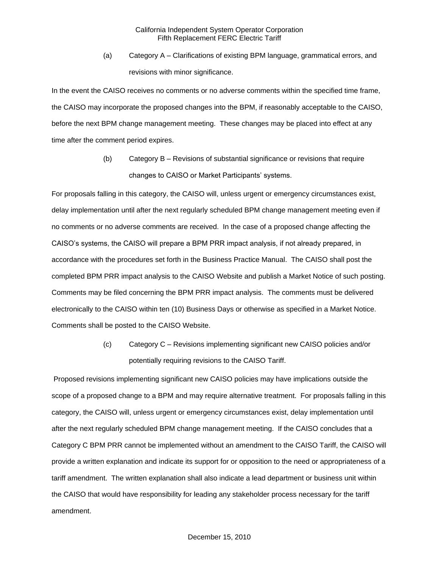(a) Category A – Clarifications of existing BPM language, grammatical errors, and revisions with minor significance.

In the event the CAISO receives no comments or no adverse comments within the specified time frame, the CAISO may incorporate the proposed changes into the BPM, if reasonably acceptable to the CAISO, before the next BPM change management meeting. These changes may be placed into effect at any time after the comment period expires.

> (b) Category B – Revisions of substantial significance or revisions that require changes to CAISO or Market Participants' systems.

For proposals falling in this category, the CAISO will, unless urgent or emergency circumstances exist, delay implementation until after the next regularly scheduled BPM change management meeting even if no comments or no adverse comments are received. In the case of a proposed change affecting the CAISO's systems, the CAISO will prepare a BPM PRR impact analysis, if not already prepared, in accordance with the procedures set forth in the Business Practice Manual. The CAISO shall post the completed BPM PRR impact analysis to the CAISO Website and publish a Market Notice of such posting. Comments may be filed concerning the BPM PRR impact analysis. The comments must be delivered electronically to the CAISO within ten (10) Business Days or otherwise as specified in a Market Notice. Comments shall be posted to the CAISO Website.

> (c) Category C – Revisions implementing significant new CAISO policies and/or potentially requiring revisions to the CAISO Tariff.

Proposed revisions implementing significant new CAISO policies may have implications outside the scope of a proposed change to a BPM and may require alternative treatment. For proposals falling in this category, the CAISO will, unless urgent or emergency circumstances exist, delay implementation until after the next regularly scheduled BPM change management meeting. If the CAISO concludes that a Category C BPM PRR cannot be implemented without an amendment to the CAISO Tariff, the CAISO will provide a written explanation and indicate its support for or opposition to the need or appropriateness of a tariff amendment. The written explanation shall also indicate a lead department or business unit within the CAISO that would have responsibility for leading any stakeholder process necessary for the tariff amendment.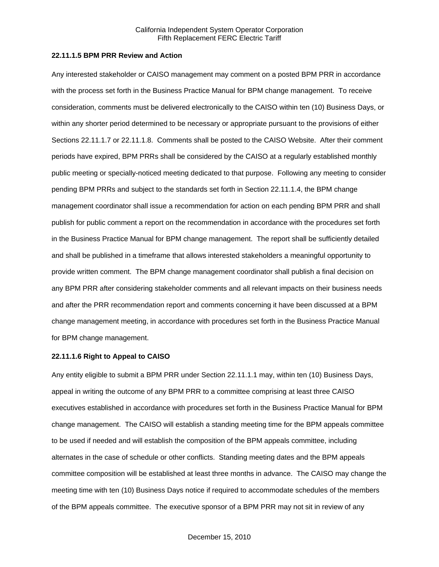# **22.11.1.5 BPM PRR Review and Action**

Any interested stakeholder or CAISO management may comment on a posted BPM PRR in accordance with the process set forth in the Business Practice Manual for BPM change management. To receive consideration, comments must be delivered electronically to the CAISO within ten (10) Business Days, or within any shorter period determined to be necessary or appropriate pursuant to the provisions of either Sections 22.11.1.7 or 22.11.1.8. Comments shall be posted to the CAISO Website. After their comment periods have expired, BPM PRRs shall be considered by the CAISO at a regularly established monthly public meeting or specially-noticed meeting dedicated to that purpose. Following any meeting to consider pending BPM PRRs and subject to the standards set forth in Section 22.11.1.4, the BPM change management coordinator shall issue a recommendation for action on each pending BPM PRR and shall publish for public comment a report on the recommendation in accordance with the procedures set forth in the Business Practice Manual for BPM change management. The report shall be sufficiently detailed and shall be published in a timeframe that allows interested stakeholders a meaningful opportunity to provide written comment. The BPM change management coordinator shall publish a final decision on any BPM PRR after considering stakeholder comments and all relevant impacts on their business needs and after the PRR recommendation report and comments concerning it have been discussed at a BPM change management meeting, in accordance with procedures set forth in the Business Practice Manual for BPM change management.

#### **22.11.1.6 Right to Appeal to CAISO**

Any entity eligible to submit a BPM PRR under Section 22.11.1.1 may, within ten (10) Business Days, appeal in writing the outcome of any BPM PRR to a committee comprising at least three CAISO executives established in accordance with procedures set forth in the Business Practice Manual for BPM change management. The CAISO will establish a standing meeting time for the BPM appeals committee to be used if needed and will establish the composition of the BPM appeals committee, including alternates in the case of schedule or other conflicts. Standing meeting dates and the BPM appeals committee composition will be established at least three months in advance. The CAISO may change the meeting time with ten (10) Business Days notice if required to accommodate schedules of the members of the BPM appeals committee. The executive sponsor of a BPM PRR may not sit in review of any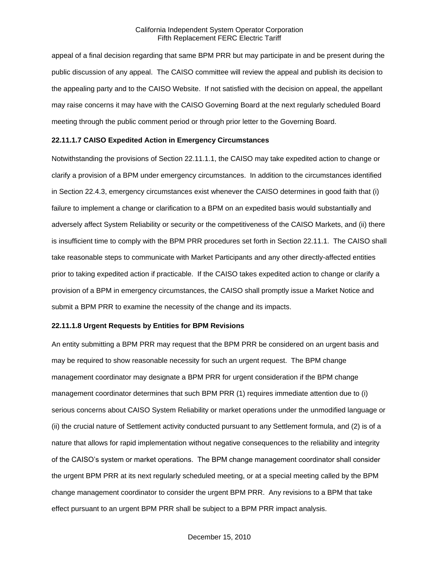appeal of a final decision regarding that same BPM PRR but may participate in and be present during the public discussion of any appeal. The CAISO committee will review the appeal and publish its decision to the appealing party and to the CAISO Website. If not satisfied with the decision on appeal, the appellant may raise concerns it may have with the CAISO Governing Board at the next regularly scheduled Board meeting through the public comment period or through prior letter to the Governing Board.

### **22.11.1.7 CAISO Expedited Action in Emergency Circumstances**

Notwithstanding the provisions of Section 22.11.1.1, the CAISO may take expedited action to change or clarify a provision of a BPM under emergency circumstances. In addition to the circumstances identified in Section 22.4.3, emergency circumstances exist whenever the CAISO determines in good faith that (i) failure to implement a change or clarification to a BPM on an expedited basis would substantially and adversely affect System Reliability or security or the competitiveness of the CAISO Markets, and (ii) there is insufficient time to comply with the BPM PRR procedures set forth in Section 22.11.1. The CAISO shall take reasonable steps to communicate with Market Participants and any other directly-affected entities prior to taking expedited action if practicable. If the CAISO takes expedited action to change or clarify a provision of a BPM in emergency circumstances, the CAISO shall promptly issue a Market Notice and submit a BPM PRR to examine the necessity of the change and its impacts.

### **22.11.1.8 Urgent Requests by Entities for BPM Revisions**

An entity submitting a BPM PRR may request that the BPM PRR be considered on an urgent basis and may be required to show reasonable necessity for such an urgent request. The BPM change management coordinator may designate a BPM PRR for urgent consideration if the BPM change management coordinator determines that such BPM PRR (1) requires immediate attention due to (i) serious concerns about CAISO System Reliability or market operations under the unmodified language or (ii) the crucial nature of Settlement activity conducted pursuant to any Settlement formula, and (2) is of a nature that allows for rapid implementation without negative consequences to the reliability and integrity of the CAISO's system or market operations. The BPM change management coordinator shall consider the urgent BPM PRR at its next regularly scheduled meeting, or at a special meeting called by the BPM change management coordinator to consider the urgent BPM PRR. Any revisions to a BPM that take effect pursuant to an urgent BPM PRR shall be subject to a BPM PRR impact analysis.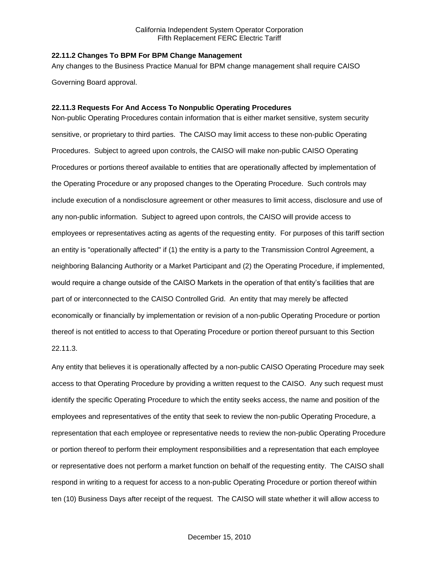### **22.11.2 Changes To BPM For BPM Change Management**

Any changes to the Business Practice Manual for BPM change management shall require CAISO Governing Board approval.

#### **22.11.3 Requests For And Access To Nonpublic Operating Procedures**

Non-public Operating Procedures contain information that is either market sensitive, system security sensitive, or proprietary to third parties. The CAISO may limit access to these non-public Operating Procedures. Subject to agreed upon controls, the CAISO will make non-public CAISO Operating Procedures or portions thereof available to entities that are operationally affected by implementation of the Operating Procedure or any proposed changes to the Operating Procedure. Such controls may include execution of a nondisclosure agreement or other measures to limit access, disclosure and use of any non-public information. Subject to agreed upon controls, the CAISO will provide access to employees or representatives acting as agents of the requesting entity. For purposes of this tariff section an entity is "operationally affected" if (1) the entity is a party to the Transmission Control Agreement, a neighboring Balancing Authority or a Market Participant and (2) the Operating Procedure, if implemented, would require a change outside of the CAISO Markets in the operation of that entity's facilities that are part of or interconnected to the CAISO Controlled Grid. An entity that may merely be affected economically or financially by implementation or revision of a non-public Operating Procedure or portion thereof is not entitled to access to that Operating Procedure or portion thereof pursuant to this Section 22.11.3.

Any entity that believes it is operationally affected by a non-public CAISO Operating Procedure may seek access to that Operating Procedure by providing a written request to the CAISO. Any such request must identify the specific Operating Procedure to which the entity seeks access, the name and position of the employees and representatives of the entity that seek to review the non-public Operating Procedure, a representation that each employee or representative needs to review the non-public Operating Procedure or portion thereof to perform their employment responsibilities and a representation that each employee or representative does not perform a market function on behalf of the requesting entity. The CAISO shall respond in writing to a request for access to a non-public Operating Procedure or portion thereof within ten (10) Business Days after receipt of the request. The CAISO will state whether it will allow access to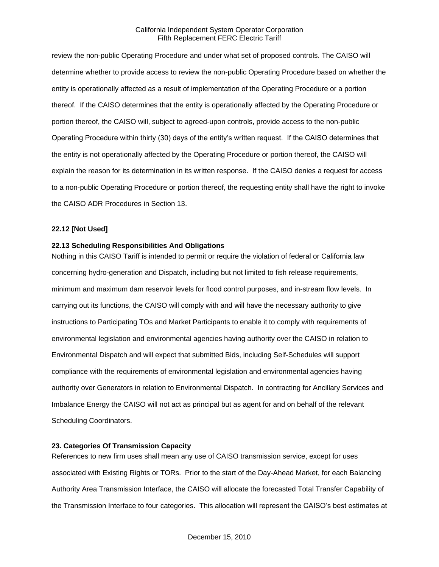review the non-public Operating Procedure and under what set of proposed controls. The CAISO will determine whether to provide access to review the non-public Operating Procedure based on whether the entity is operationally affected as a result of implementation of the Operating Procedure or a portion thereof. If the CAISO determines that the entity is operationally affected by the Operating Procedure or portion thereof, the CAISO will, subject to agreed-upon controls, provide access to the non-public Operating Procedure within thirty (30) days of the entity's written request. If the CAISO determines that the entity is not operationally affected by the Operating Procedure or portion thereof, the CAISO will explain the reason for its determination in its written response. If the CAISO denies a request for access to a non-public Operating Procedure or portion thereof, the requesting entity shall have the right to invoke the CAISO ADR Procedures in Section 13.

# **22.12 [Not Used]**

# **22.13 Scheduling Responsibilities And Obligations**

Nothing in this CAISO Tariff is intended to permit or require the violation of federal or California law concerning hydro-generation and Dispatch, including but not limited to fish release requirements, minimum and maximum dam reservoir levels for flood control purposes, and in-stream flow levels. In carrying out its functions, the CAISO will comply with and will have the necessary authority to give instructions to Participating TOs and Market Participants to enable it to comply with requirements of environmental legislation and environmental agencies having authority over the CAISO in relation to Environmental Dispatch and will expect that submitted Bids, including Self-Schedules will support compliance with the requirements of environmental legislation and environmental agencies having authority over Generators in relation to Environmental Dispatch. In contracting for Ancillary Services and Imbalance Energy the CAISO will not act as principal but as agent for and on behalf of the relevant Scheduling Coordinators.

### **23. Categories Of Transmission Capacity**

References to new firm uses shall mean any use of CAISO transmission service, except for uses associated with Existing Rights or TORs. Prior to the start of the Day-Ahead Market, for each Balancing Authority Area Transmission Interface, the CAISO will allocate the forecasted Total Transfer Capability of the Transmission Interface to four categories. This allocation will represent the CAISO's best estimates at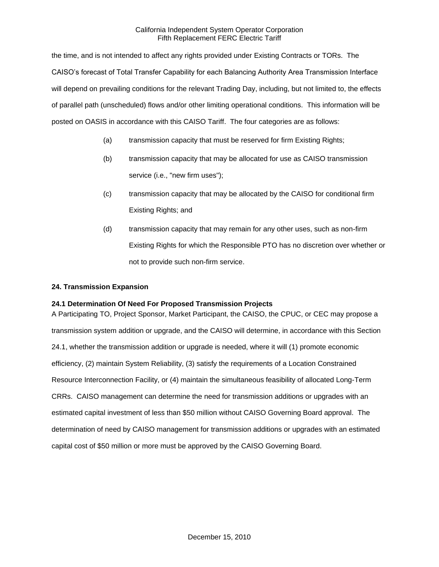the time, and is not intended to affect any rights provided under Existing Contracts or TORs. The CAISO's forecast of Total Transfer Capability for each Balancing Authority Area Transmission Interface will depend on prevailing conditions for the relevant Trading Day, including, but not limited to, the effects of parallel path (unscheduled) flows and/or other limiting operational conditions. This information will be posted on OASIS in accordance with this CAISO Tariff. The four categories are as follows:

- (a) transmission capacity that must be reserved for firm Existing Rights;
- (b) transmission capacity that may be allocated for use as CAISO transmission service (i.e., "new firm uses");
- (c) transmission capacity that may be allocated by the CAISO for conditional firm Existing Rights; and
- (d) transmission capacity that may remain for any other uses, such as non-firm Existing Rights for which the Responsible PTO has no discretion over whether or not to provide such non-firm service.

## **24. Transmission Expansion**

# **24.1 Determination Of Need For Proposed Transmission Projects**

A Participating TO, Project Sponsor, Market Participant, the CAISO, the CPUC, or CEC may propose a transmission system addition or upgrade, and the CAISO will determine, in accordance with this Section 24.1, whether the transmission addition or upgrade is needed, where it will (1) promote economic efficiency, (2) maintain System Reliability, (3) satisfy the requirements of a Location Constrained Resource Interconnection Facility, or (4) maintain the simultaneous feasibility of allocated Long-Term CRRs. CAISO management can determine the need for transmission additions or upgrades with an estimated capital investment of less than \$50 million without CAISO Governing Board approval. The determination of need by CAISO management for transmission additions or upgrades with an estimated capital cost of \$50 million or more must be approved by the CAISO Governing Board.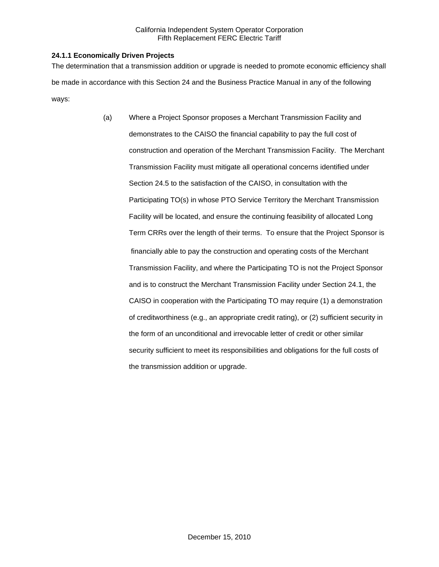# **24.1.1 Economically Driven Projects**

The determination that a transmission addition or upgrade is needed to promote economic efficiency shall be made in accordance with this Section 24 and the Business Practice Manual in any of the following ways:

> (a) Where a Project Sponsor proposes a Merchant Transmission Facility and demonstrates to the CAISO the financial capability to pay the full cost of construction and operation of the Merchant Transmission Facility. The Merchant Transmission Facility must mitigate all operational concerns identified under Section 24.5 to the satisfaction of the CAISO, in consultation with the Participating TO(s) in whose PTO Service Territory the Merchant Transmission Facility will be located, and ensure the continuing feasibility of allocated Long Term CRRs over the length of their terms. To ensure that the Project Sponsor is financially able to pay the construction and operating costs of the Merchant Transmission Facility, and where the Participating TO is not the Project Sponsor and is to construct the Merchant Transmission Facility under Section 24.1, the CAISO in cooperation with the Participating TO may require (1) a demonstration of creditworthiness (e.g., an appropriate credit rating), or (2) sufficient security in the form of an unconditional and irrevocable letter of credit or other similar security sufficient to meet its responsibilities and obligations for the full costs of the transmission addition or upgrade.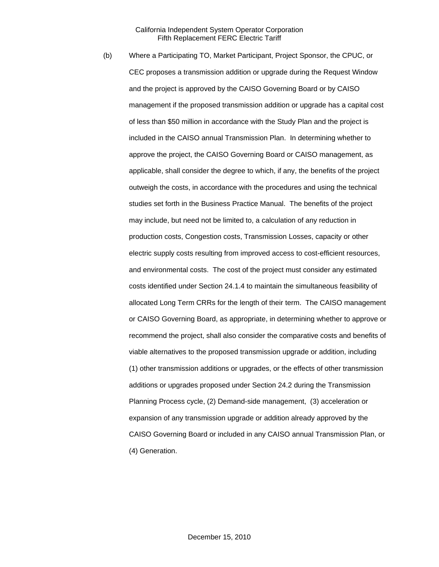(b) Where a Participating TO, Market Participant, Project Sponsor, the CPUC, or CEC proposes a transmission addition or upgrade during the Request Window and the project is approved by the CAISO Governing Board or by CAISO management if the proposed transmission addition or upgrade has a capital cost of less than \$50 million in accordance with the Study Plan and the project is included in the CAISO annual Transmission Plan. In determining whether to approve the project, the CAISO Governing Board or CAISO management, as applicable, shall consider the degree to which, if any, the benefits of the project outweigh the costs, in accordance with the procedures and using the technical studies set forth in the Business Practice Manual. The benefits of the project may include, but need not be limited to, a calculation of any reduction in production costs, Congestion costs, Transmission Losses, capacity or other electric supply costs resulting from improved access to cost-efficient resources, and environmental costs. The cost of the project must consider any estimated costs identified under Section 24.1.4 to maintain the simultaneous feasibility of allocated Long Term CRRs for the length of their term. The CAISO management or CAISO Governing Board, as appropriate, in determining whether to approve or recommend the project, shall also consider the comparative costs and benefits of viable alternatives to the proposed transmission upgrade or addition, including (1) other transmission additions or upgrades, or the effects of other transmission additions or upgrades proposed under Section 24.2 during the Transmission Planning Process cycle, (2) Demand-side management, (3) acceleration or expansion of any transmission upgrade or addition already approved by the CAISO Governing Board or included in any CAISO annual Transmission Plan, or (4) Generation.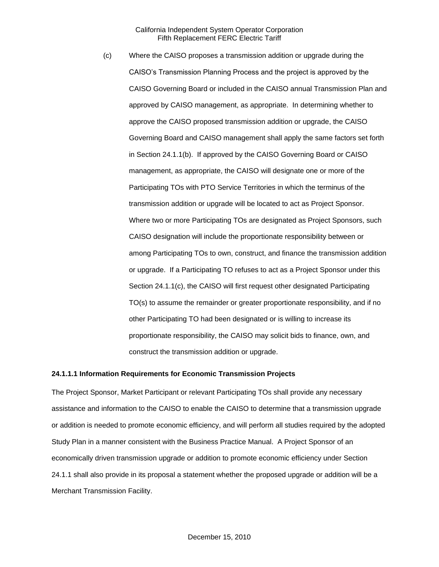(c) Where the CAISO proposes a transmission addition or upgrade during the CAISO's Transmission Planning Process and the project is approved by the CAISO Governing Board or included in the CAISO annual Transmission Plan and approved by CAISO management, as appropriate. In determining whether to approve the CAISO proposed transmission addition or upgrade, the CAISO Governing Board and CAISO management shall apply the same factors set forth in Section 24.1.1(b). If approved by the CAISO Governing Board or CAISO management, as appropriate, the CAISO will designate one or more of the Participating TOs with PTO Service Territories in which the terminus of the transmission addition or upgrade will be located to act as Project Sponsor. Where two or more Participating TOs are designated as Project Sponsors, such CAISO designation will include the proportionate responsibility between or among Participating TOs to own, construct, and finance the transmission addition or upgrade. If a Participating TO refuses to act as a Project Sponsor under this Section 24.1.1(c), the CAISO will first request other designated Participating TO(s) to assume the remainder or greater proportionate responsibility, and if no other Participating TO had been designated or is willing to increase its proportionate responsibility, the CAISO may solicit bids to finance, own, and construct the transmission addition or upgrade.

#### **24.1.1.1 Information Requirements for Economic Transmission Projects**

The Project Sponsor, Market Participant or relevant Participating TOs shall provide any necessary assistance and information to the CAISO to enable the CAISO to determine that a transmission upgrade or addition is needed to promote economic efficiency, and will perform all studies required by the adopted Study Plan in a manner consistent with the Business Practice Manual. A Project Sponsor of an economically driven transmission upgrade or addition to promote economic efficiency under Section 24.1.1 shall also provide in its proposal a statement whether the proposed upgrade or addition will be a Merchant Transmission Facility.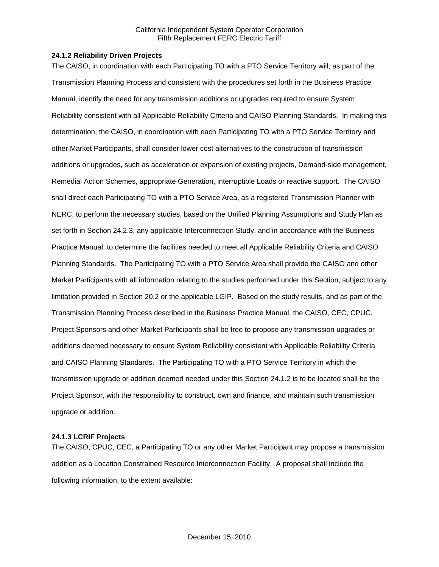### **24.1.2 Reliability Driven Projects**

The CAISO, in coordination with each Participating TO with a PTO Service Territory will, as part of the Transmission Planning Process and consistent with the procedures set forth in the Business Practice Manual, identify the need for any transmission additions or upgrades required to ensure System Reliability consistent with all Applicable Reliability Criteria and CAISO Planning Standards. In making this determination, the CAISO, in coordination with each Participating TO with a PTO Service Territory and other Market Participants, shall consider lower cost alternatives to the construction of transmission additions or upgrades, such as acceleration or expansion of existing projects, Demand-side management, Remedial Action Schemes, appropriate Generation, interruptible Loads or reactive support. The CAISO shall direct each Participating TO with a PTO Service Area, as a registered Transmission Planner with NERC, to perform the necessary studies, based on the Unified Planning Assumptions and Study Plan as set forth in Section 24.2.3, any applicable Interconnection Study, and in accordance with the Business Practice Manual, to determine the facilities needed to meet all Applicable Reliability Criteria and CAISO Planning Standards. The Participating TO with a PTO Service Area shall provide the CAISO and other Market Participants with all information relating to the studies performed under this Section, subject to any limitation provided in Section 20.2 or the applicable LGIP. Based on the study results, and as part of the Transmission Planning Process described in the Business Practice Manual, the CAISO, CEC, CPUC, Project Sponsors and other Market Participants shall be free to propose any transmission upgrades or additions deemed necessary to ensure System Reliability consistent with Applicable Reliability Criteria and CAISO Planning Standards. The Participating TO with a PTO Service Territory in which the transmission upgrade or addition deemed needed under this Section 24.1.2 is to be located shall be the Project Sponsor, with the responsibility to construct, own and finance, and maintain such transmission upgrade or addition.

# **24.1.3 LCRIF Projects**

The CAISO, CPUC, CEC, a Participating TO or any other Market Participant may propose a transmission addition as a Location Constrained Resource Interconnection Facility. A proposal shall include the following information, to the extent available: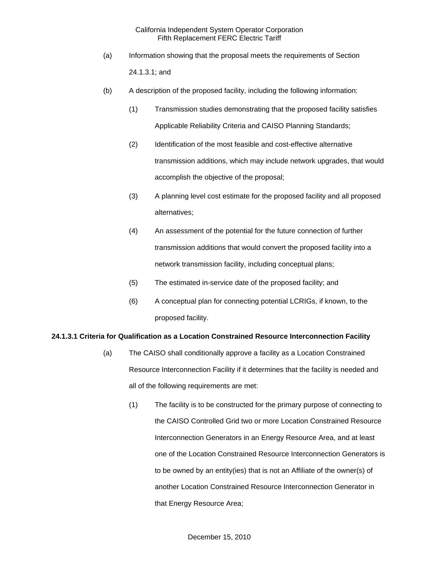- (a) Information showing that the proposal meets the requirements of Section 24.1.3.1; and
- (b) A description of the proposed facility, including the following information:
	- (1) Transmission studies demonstrating that the proposed facility satisfies Applicable Reliability Criteria and CAISO Planning Standards;
	- (2) Identification of the most feasible and cost-effective alternative transmission additions, which may include network upgrades, that would accomplish the objective of the proposal;
	- (3) A planning level cost estimate for the proposed facility and all proposed alternatives;
	- (4) An assessment of the potential for the future connection of further transmission additions that would convert the proposed facility into a network transmission facility, including conceptual plans;
	- (5) The estimated in-service date of the proposed facility; and
	- (6) A conceptual plan for connecting potential LCRIGs, if known, to the proposed facility.

### **24.1.3.1 Criteria for Qualification as a Location Constrained Resource Interconnection Facility**

- (a) The CAISO shall conditionally approve a facility as a Location Constrained Resource Interconnection Facility if it determines that the facility is needed and all of the following requirements are met:
	- (1) The facility is to be constructed for the primary purpose of connecting to the CAISO Controlled Grid two or more Location Constrained Resource Interconnection Generators in an Energy Resource Area, and at least one of the Location Constrained Resource Interconnection Generators is to be owned by an entity(ies) that is not an Affiliate of the owner(s) of another Location Constrained Resource Interconnection Generator in that Energy Resource Area;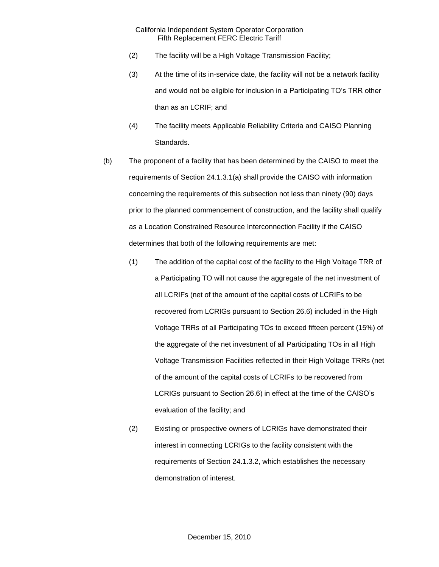- (2) The facility will be a High Voltage Transmission Facility;
- (3) At the time of its in-service date, the facility will not be a network facility and would not be eligible for inclusion in a Participating TO's TRR other than as an LCRIF; and
- (4) The facility meets Applicable Reliability Criteria and CAISO Planning Standards.
- (b) The proponent of a facility that has been determined by the CAISO to meet the requirements of Section 24.1.3.1(a) shall provide the CAISO with information concerning the requirements of this subsection not less than ninety (90) days prior to the planned commencement of construction, and the facility shall qualify as a Location Constrained Resource Interconnection Facility if the CAISO determines that both of the following requirements are met:
	- (1) The addition of the capital cost of the facility to the High Voltage TRR of a Participating TO will not cause the aggregate of the net investment of all LCRIFs (net of the amount of the capital costs of LCRIFs to be recovered from LCRIGs pursuant to Section 26.6) included in the High Voltage TRRs of all Participating TOs to exceed fifteen percent (15%) of the aggregate of the net investment of all Participating TOs in all High Voltage Transmission Facilities reflected in their High Voltage TRRs (net of the amount of the capital costs of LCRIFs to be recovered from LCRIGs pursuant to Section 26.6) in effect at the time of the CAISO's evaluation of the facility; and
	- (2) Existing or prospective owners of LCRIGs have demonstrated their interest in connecting LCRIGs to the facility consistent with the requirements of Section 24.1.3.2, which establishes the necessary demonstration of interest.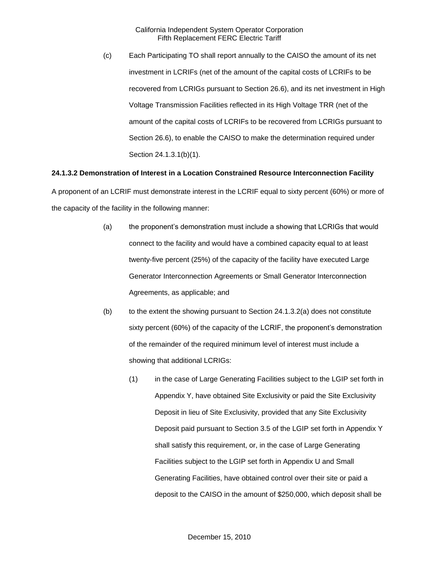(c) Each Participating TO shall report annually to the CAISO the amount of its net investment in LCRIFs (net of the amount of the capital costs of LCRIFs to be recovered from LCRIGs pursuant to Section 26.6), and its net investment in High Voltage Transmission Facilities reflected in its High Voltage TRR (net of the amount of the capital costs of LCRIFs to be recovered from LCRIGs pursuant to Section 26.6), to enable the CAISO to make the determination required under Section 24.1.3.1(b)(1).

# **24.1.3.2 Demonstration of Interest in a Location Constrained Resource Interconnection Facility**

A proponent of an LCRIF must demonstrate interest in the LCRIF equal to sixty percent (60%) or more of the capacity of the facility in the following manner:

- (a) the proponent's demonstration must include a showing that LCRIGs that would connect to the facility and would have a combined capacity equal to at least twenty-five percent (25%) of the capacity of the facility have executed Large Generator Interconnection Agreements or Small Generator Interconnection Agreements, as applicable; and
- (b) to the extent the showing pursuant to Section 24.1.3.2(a) does not constitute sixty percent (60%) of the capacity of the LCRIF, the proponent's demonstration of the remainder of the required minimum level of interest must include a showing that additional LCRIGs:
	- (1) in the case of Large Generating Facilities subject to the LGIP set forth in Appendix Y, have obtained Site Exclusivity or paid the Site Exclusivity Deposit in lieu of Site Exclusivity, provided that any Site Exclusivity Deposit paid pursuant to Section 3.5 of the LGIP set forth in Appendix Y shall satisfy this requirement, or, in the case of Large Generating Facilities subject to the LGIP set forth in Appendix U and Small Generating Facilities, have obtained control over their site or paid a deposit to the CAISO in the amount of \$250,000, which deposit shall be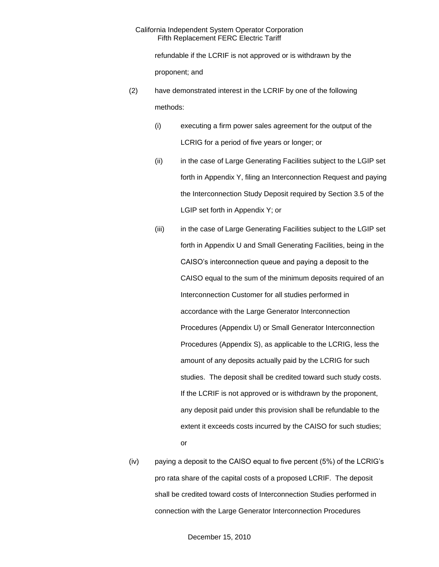refundable if the LCRIF is not approved or is withdrawn by the proponent; and

- (2) have demonstrated interest in the LCRIF by one of the following methods:
	- (i) executing a firm power sales agreement for the output of the LCRIG for a period of five years or longer; or
	- (ii) in the case of Large Generating Facilities subject to the LGIP set forth in Appendix Y, filing an Interconnection Request and paying the Interconnection Study Deposit required by Section 3.5 of the LGIP set forth in Appendix Y; or
	- (iii) in the case of Large Generating Facilities subject to the LGIP set forth in Appendix U and Small Generating Facilities, being in the CAISO's interconnection queue and paying a deposit to the CAISO equal to the sum of the minimum deposits required of an Interconnection Customer for all studies performed in accordance with the Large Generator Interconnection Procedures (Appendix U) or Small Generator Interconnection Procedures (Appendix S), as applicable to the LCRIG, less the amount of any deposits actually paid by the LCRIG for such studies. The deposit shall be credited toward such study costs. If the LCRIF is not approved or is withdrawn by the proponent, any deposit paid under this provision shall be refundable to the extent it exceeds costs incurred by the CAISO for such studies; or
- (iv) paying a deposit to the CAISO equal to five percent (5%) of the LCRIG's pro rata share of the capital costs of a proposed LCRIF. The deposit shall be credited toward costs of Interconnection Studies performed in connection with the Large Generator Interconnection Procedures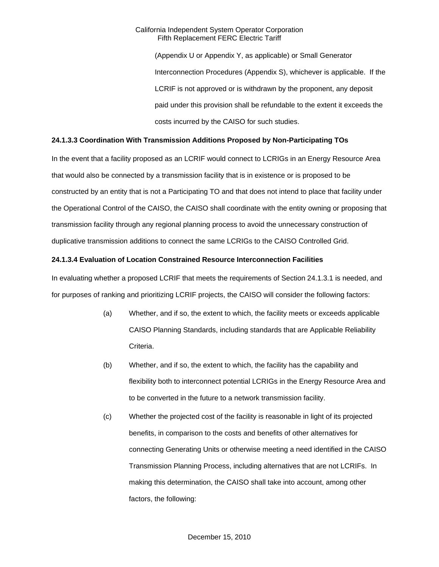(Appendix U or Appendix Y, as applicable) or Small Generator Interconnection Procedures (Appendix S), whichever is applicable. If the LCRIF is not approved or is withdrawn by the proponent, any deposit paid under this provision shall be refundable to the extent it exceeds the costs incurred by the CAISO for such studies.

# **24.1.3.3 Coordination With Transmission Additions Proposed by Non-Participating TOs**

In the event that a facility proposed as an LCRIF would connect to LCRIGs in an Energy Resource Area that would also be connected by a transmission facility that is in existence or is proposed to be constructed by an entity that is not a Participating TO and that does not intend to place that facility under the Operational Control of the CAISO, the CAISO shall coordinate with the entity owning or proposing that transmission facility through any regional planning process to avoid the unnecessary construction of duplicative transmission additions to connect the same LCRIGs to the CAISO Controlled Grid.

# **24.1.3.4 Evaluation of Location Constrained Resource Interconnection Facilities**

In evaluating whether a proposed LCRIF that meets the requirements of Section 24.1.3.1 is needed, and for purposes of ranking and prioritizing LCRIF projects, the CAISO will consider the following factors:

- (a) Whether, and if so, the extent to which, the facility meets or exceeds applicable CAISO Planning Standards, including standards that are Applicable Reliability Criteria.
- (b) Whether, and if so, the extent to which, the facility has the capability and flexibility both to interconnect potential LCRIGs in the Energy Resource Area and to be converted in the future to a network transmission facility.
- (c) Whether the projected cost of the facility is reasonable in light of its projected benefits, in comparison to the costs and benefits of other alternatives for connecting Generating Units or otherwise meeting a need identified in the CAISO Transmission Planning Process, including alternatives that are not LCRIFs. In making this determination, the CAISO shall take into account, among other factors, the following: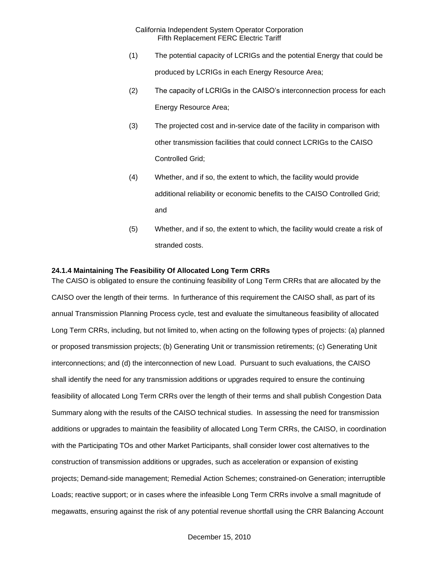- (1) The potential capacity of LCRIGs and the potential Energy that could be produced by LCRIGs in each Energy Resource Area;
- (2) The capacity of LCRIGs in the CAISO's interconnection process for each Energy Resource Area;
- (3) The projected cost and in-service date of the facility in comparison with other transmission facilities that could connect LCRIGs to the CAISO Controlled Grid;
- (4) Whether, and if so, the extent to which, the facility would provide additional reliability or economic benefits to the CAISO Controlled Grid; and
- (5) Whether, and if so, the extent to which, the facility would create a risk of stranded costs.

#### **24.1.4 Maintaining The Feasibility Of Allocated Long Term CRRs**

The CAISO is obligated to ensure the continuing feasibility of Long Term CRRs that are allocated by the CAISO over the length of their terms. In furtherance of this requirement the CAISO shall, as part of its annual Transmission Planning Process cycle, test and evaluate the simultaneous feasibility of allocated Long Term CRRs, including, but not limited to, when acting on the following types of projects: (a) planned or proposed transmission projects; (b) Generating Unit or transmission retirements; (c) Generating Unit interconnections; and (d) the interconnection of new Load. Pursuant to such evaluations, the CAISO shall identify the need for any transmission additions or upgrades required to ensure the continuing feasibility of allocated Long Term CRRs over the length of their terms and shall publish Congestion Data Summary along with the results of the CAISO technical studies. In assessing the need for transmission additions or upgrades to maintain the feasibility of allocated Long Term CRRs, the CAISO, in coordination with the Participating TOs and other Market Participants, shall consider lower cost alternatives to the construction of transmission additions or upgrades, such as acceleration or expansion of existing projects; Demand-side management; Remedial Action Schemes; constrained-on Generation; interruptible Loads; reactive support; or in cases where the infeasible Long Term CRRs involve a small magnitude of megawatts, ensuring against the risk of any potential revenue shortfall using the CRR Balancing Account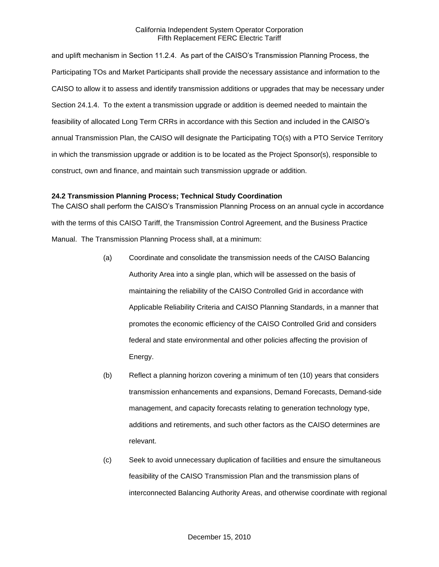and uplift mechanism in Section 11.2.4. As part of the CAISO's Transmission Planning Process, the Participating TOs and Market Participants shall provide the necessary assistance and information to the CAISO to allow it to assess and identify transmission additions or upgrades that may be necessary under Section 24.1.4. To the extent a transmission upgrade or addition is deemed needed to maintain the feasibility of allocated Long Term CRRs in accordance with this Section and included in the CAISO's annual Transmission Plan, the CAISO will designate the Participating TO(s) with a PTO Service Territory in which the transmission upgrade or addition is to be located as the Project Sponsor(s), responsible to construct, own and finance, and maintain such transmission upgrade or addition.

### **24.2 Transmission Planning Process; Technical Study Coordination**

The CAISO shall perform the CAISO's Transmission Planning Process on an annual cycle in accordance with the terms of this CAISO Tariff, the Transmission Control Agreement, and the Business Practice Manual. The Transmission Planning Process shall, at a minimum:

- (a) Coordinate and consolidate the transmission needs of the CAISO Balancing Authority Area into a single plan, which will be assessed on the basis of maintaining the reliability of the CAISO Controlled Grid in accordance with Applicable Reliability Criteria and CAISO Planning Standards, in a manner that promotes the economic efficiency of the CAISO Controlled Grid and considers federal and state environmental and other policies affecting the provision of Energy.
- (b) Reflect a planning horizon covering a minimum of ten (10) years that considers transmission enhancements and expansions, Demand Forecasts, Demand-side management, and capacity forecasts relating to generation technology type, additions and retirements, and such other factors as the CAISO determines are relevant.
- (c) Seek to avoid unnecessary duplication of facilities and ensure the simultaneous feasibility of the CAISO Transmission Plan and the transmission plans of interconnected Balancing Authority Areas, and otherwise coordinate with regional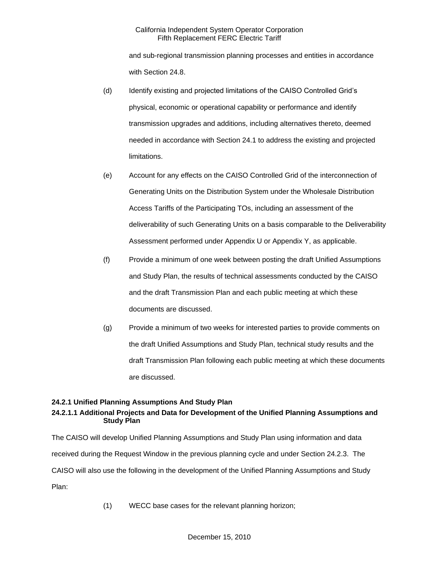and sub-regional transmission planning processes and entities in accordance with Section 24.8.

- (d) Identify existing and projected limitations of the CAISO Controlled Grid's physical, economic or operational capability or performance and identify transmission upgrades and additions, including alternatives thereto, deemed needed in accordance with Section 24.1 to address the existing and projected limitations.
- (e) Account for any effects on the CAISO Controlled Grid of the interconnection of Generating Units on the Distribution System under the Wholesale Distribution Access Tariffs of the Participating TOs, including an assessment of the deliverability of such Generating Units on a basis comparable to the Deliverability Assessment performed under Appendix U or Appendix Y, as applicable.
- (f) Provide a minimum of one week between posting the draft Unified Assumptions and Study Plan, the results of technical assessments conducted by the CAISO and the draft Transmission Plan and each public meeting at which these documents are discussed.
- (g) Provide a minimum of two weeks for interested parties to provide comments on the draft Unified Assumptions and Study Plan, technical study results and the draft Transmission Plan following each public meeting at which these documents are discussed.

# **24.2.1 Unified Planning Assumptions And Study Plan**

# **24.2.1.1 Additional Projects and Data for Development of the Unified Planning Assumptions and Study Plan**

The CAISO will develop Unified Planning Assumptions and Study Plan using information and data received during the Request Window in the previous planning cycle and under Section 24.2.3. The CAISO will also use the following in the development of the Unified Planning Assumptions and Study Plan:

(1) WECC base cases for the relevant planning horizon;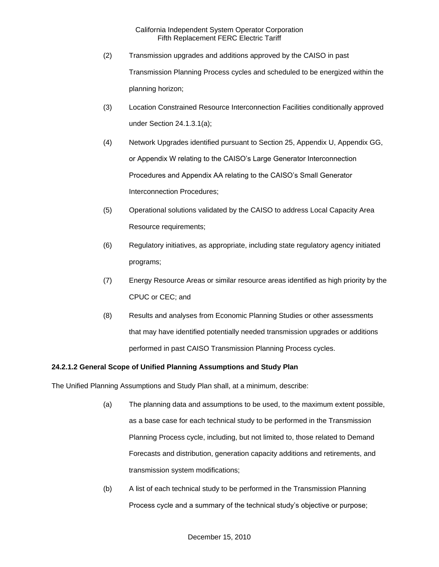- (2) Transmission upgrades and additions approved by the CAISO in past Transmission Planning Process cycles and scheduled to be energized within the planning horizon;
- (3) Location Constrained Resource Interconnection Facilities conditionally approved under Section 24.1.3.1(a);
- (4) Network Upgrades identified pursuant to Section 25, Appendix U, Appendix GG, or Appendix W relating to the CAISO's Large Generator Interconnection Procedures and Appendix AA relating to the CAISO's Small Generator Interconnection Procedures;
- (5) Operational solutions validated by the CAISO to address Local Capacity Area Resource requirements;
- (6) Regulatory initiatives, as appropriate, including state regulatory agency initiated programs;
- (7) Energy Resource Areas or similar resource areas identified as high priority by the CPUC or CEC; and
- (8) Results and analyses from Economic Planning Studies or other assessments that may have identified potentially needed transmission upgrades or additions performed in past CAISO Transmission Planning Process cycles.

# **24.2.1.2 General Scope of Unified Planning Assumptions and Study Plan**

The Unified Planning Assumptions and Study Plan shall, at a minimum, describe:

- (a) The planning data and assumptions to be used, to the maximum extent possible, as a base case for each technical study to be performed in the Transmission Planning Process cycle, including, but not limited to, those related to Demand Forecasts and distribution, generation capacity additions and retirements, and transmission system modifications;
- (b) A list of each technical study to be performed in the Transmission Planning Process cycle and a summary of the technical study's objective or purpose;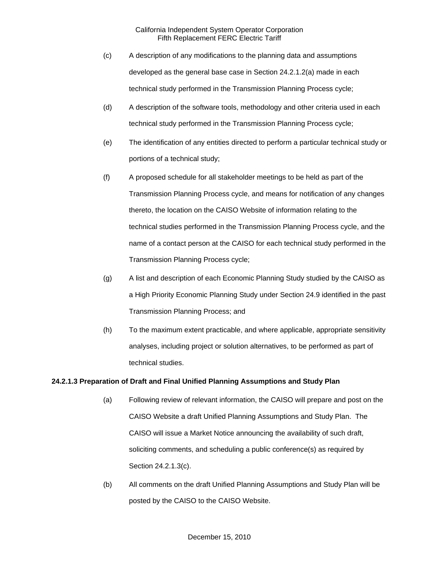- (c) A description of any modifications to the planning data and assumptions developed as the general base case in Section 24.2.1.2(a) made in each technical study performed in the Transmission Planning Process cycle;
- (d) A description of the software tools, methodology and other criteria used in each technical study performed in the Transmission Planning Process cycle;
- (e) The identification of any entities directed to perform a particular technical study or portions of a technical study;
- (f) A proposed schedule for all stakeholder meetings to be held as part of the Transmission Planning Process cycle, and means for notification of any changes thereto, the location on the CAISO Website of information relating to the technical studies performed in the Transmission Planning Process cycle, and the name of a contact person at the CAISO for each technical study performed in the Transmission Planning Process cycle;
- (g) A list and description of each Economic Planning Study studied by the CAISO as a High Priority Economic Planning Study under Section 24.9 identified in the past Transmission Planning Process; and
- (h) To the maximum extent practicable, and where applicable, appropriate sensitivity analyses, including project or solution alternatives, to be performed as part of technical studies.

# **24.2.1.3 Preparation of Draft and Final Unified Planning Assumptions and Study Plan**

- (a) Following review of relevant information, the CAISO will prepare and post on the CAISO Website a draft Unified Planning Assumptions and Study Plan. The CAISO will issue a Market Notice announcing the availability of such draft, soliciting comments, and scheduling a public conference(s) as required by Section 24.2.1.3(c).
- (b) All comments on the draft Unified Planning Assumptions and Study Plan will be posted by the CAISO to the CAISO Website.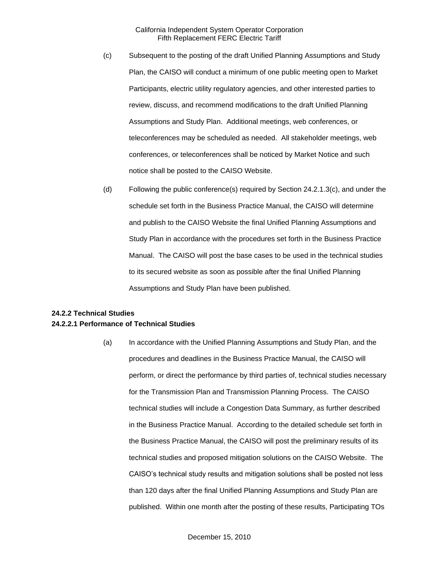- (c) Subsequent to the posting of the draft Unified Planning Assumptions and Study Plan, the CAISO will conduct a minimum of one public meeting open to Market Participants, electric utility regulatory agencies, and other interested parties to review, discuss, and recommend modifications to the draft Unified Planning Assumptions and Study Plan. Additional meetings, web conferences, or teleconferences may be scheduled as needed. All stakeholder meetings, web conferences, or teleconferences shall be noticed by Market Notice and such notice shall be posted to the CAISO Website.
- (d) Following the public conference(s) required by Section 24.2.1.3(c), and under the schedule set forth in the Business Practice Manual, the CAISO will determine and publish to the CAISO Website the final Unified Planning Assumptions and Study Plan in accordance with the procedures set forth in the Business Practice Manual. The CAISO will post the base cases to be used in the technical studies to its secured website as soon as possible after the final Unified Planning Assumptions and Study Plan have been published.

# **24.2.2 Technical Studies 24.2.2.1 Performance of Technical Studies**

(a) In accordance with the Unified Planning Assumptions and Study Plan, and the procedures and deadlines in the Business Practice Manual, the CAISO will perform, or direct the performance by third parties of, technical studies necessary for the Transmission Plan and Transmission Planning Process. The CAISO technical studies will include a Congestion Data Summary, as further described in the Business Practice Manual. According to the detailed schedule set forth in the Business Practice Manual, the CAISO will post the preliminary results of its technical studies and proposed mitigation solutions on the CAISO Website. The CAISO's technical study results and mitigation solutions shall be posted not less than 120 days after the final Unified Planning Assumptions and Study Plan are published. Within one month after the posting of these results, Participating TOs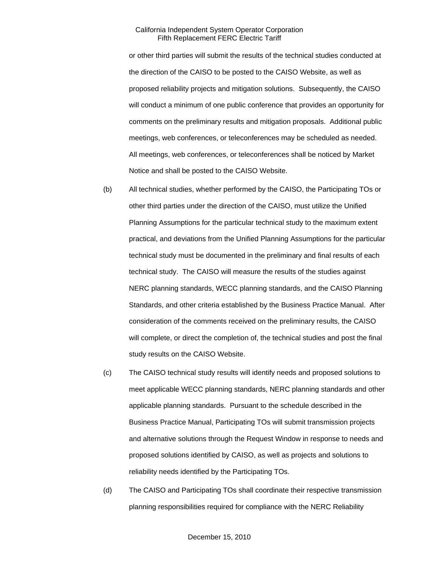or other third parties will submit the results of the technical studies conducted at the direction of the CAISO to be posted to the CAISO Website, as well as proposed reliability projects and mitigation solutions. Subsequently, the CAISO will conduct a minimum of one public conference that provides an opportunity for comments on the preliminary results and mitigation proposals. Additional public meetings, web conferences, or teleconferences may be scheduled as needed. All meetings, web conferences, or teleconferences shall be noticed by Market Notice and shall be posted to the CAISO Website.

- (b) All technical studies, whether performed by the CAISO, the Participating TOs or other third parties under the direction of the CAISO, must utilize the Unified Planning Assumptions for the particular technical study to the maximum extent practical, and deviations from the Unified Planning Assumptions for the particular technical study must be documented in the preliminary and final results of each technical study. The CAISO will measure the results of the studies against NERC planning standards, WECC planning standards, and the CAISO Planning Standards, and other criteria established by the Business Practice Manual. After consideration of the comments received on the preliminary results, the CAISO will complete, or direct the completion of, the technical studies and post the final study results on the CAISO Website.
- (c) The CAISO technical study results will identify needs and proposed solutions to meet applicable WECC planning standards, NERC planning standards and other applicable planning standards. Pursuant to the schedule described in the Business Practice Manual, Participating TOs will submit transmission projects and alternative solutions through the Request Window in response to needs and proposed solutions identified by CAISO, as well as projects and solutions to reliability needs identified by the Participating TOs.
- (d) The CAISO and Participating TOs shall coordinate their respective transmission planning responsibilities required for compliance with the NERC Reliability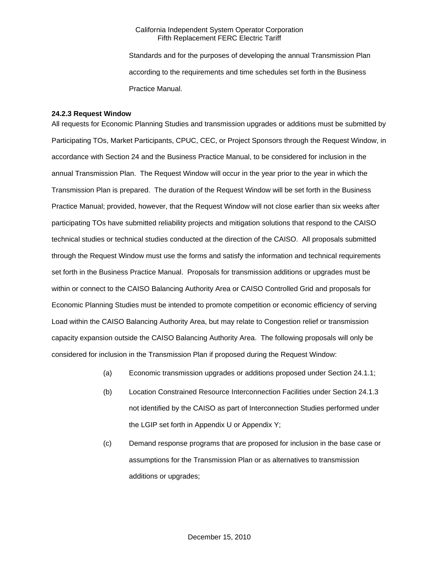Standards and for the purposes of developing the annual Transmission Plan according to the requirements and time schedules set forth in the Business Practice Manual.

#### **24.2.3 Request Window**

All requests for Economic Planning Studies and transmission upgrades or additions must be submitted by Participating TOs, Market Participants, CPUC, CEC, or Project Sponsors through the Request Window, in accordance with Section 24 and the Business Practice Manual, to be considered for inclusion in the annual Transmission Plan. The Request Window will occur in the year prior to the year in which the Transmission Plan is prepared. The duration of the Request Window will be set forth in the Business Practice Manual; provided, however, that the Request Window will not close earlier than six weeks after participating TOs have submitted reliability projects and mitigation solutions that respond to the CAISO technical studies or technical studies conducted at the direction of the CAISO. All proposals submitted through the Request Window must use the forms and satisfy the information and technical requirements set forth in the Business Practice Manual. Proposals for transmission additions or upgrades must be within or connect to the CAISO Balancing Authority Area or CAISO Controlled Grid and proposals for Economic Planning Studies must be intended to promote competition or economic efficiency of serving Load within the CAISO Balancing Authority Area, but may relate to Congestion relief or transmission capacity expansion outside the CAISO Balancing Authority Area. The following proposals will only be considered for inclusion in the Transmission Plan if proposed during the Request Window:

- (a) Economic transmission upgrades or additions proposed under Section 24.1.1;
- (b) Location Constrained Resource Interconnection Facilities under Section 24.1.3 not identified by the CAISO as part of Interconnection Studies performed under the LGIP set forth in Appendix U or Appendix Y;
- (c) Demand response programs that are proposed for inclusion in the base case or assumptions for the Transmission Plan or as alternatives to transmission additions or upgrades;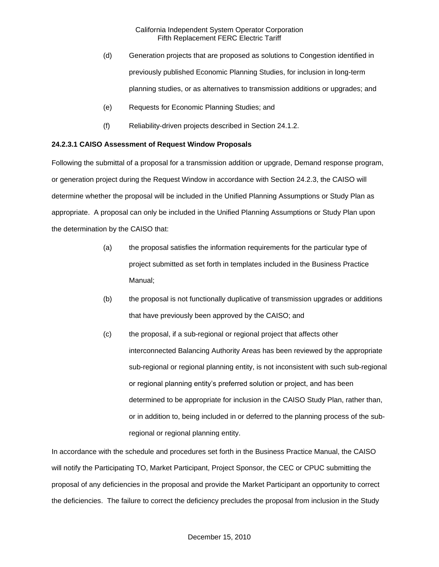- (d) Generation projects that are proposed as solutions to Congestion identified in previously published Economic Planning Studies, for inclusion in long-term planning studies, or as alternatives to transmission additions or upgrades; and
- (e) Requests for Economic Planning Studies; and
- (f) Reliability-driven projects described in Section 24.1.2.

# **24.2.3.1 CAISO Assessment of Request Window Proposals**

Following the submittal of a proposal for a transmission addition or upgrade, Demand response program, or generation project during the Request Window in accordance with Section 24.2.3, the CAISO will determine whether the proposal will be included in the Unified Planning Assumptions or Study Plan as appropriate. A proposal can only be included in the Unified Planning Assumptions or Study Plan upon the determination by the CAISO that:

- (a) the proposal satisfies the information requirements for the particular type of project submitted as set forth in templates included in the Business Practice Manual;
- (b) the proposal is not functionally duplicative of transmission upgrades or additions that have previously been approved by the CAISO; and
- (c) the proposal, if a sub-regional or regional project that affects other interconnected Balancing Authority Areas has been reviewed by the appropriate sub-regional or regional planning entity, is not inconsistent with such sub-regional or regional planning entity's preferred solution or project, and has been determined to be appropriate for inclusion in the CAISO Study Plan, rather than, or in addition to, being included in or deferred to the planning process of the subregional or regional planning entity.

In accordance with the schedule and procedures set forth in the Business Practice Manual, the CAISO will notify the Participating TO, Market Participant, Project Sponsor, the CEC or CPUC submitting the proposal of any deficiencies in the proposal and provide the Market Participant an opportunity to correct the deficiencies. The failure to correct the deficiency precludes the proposal from inclusion in the Study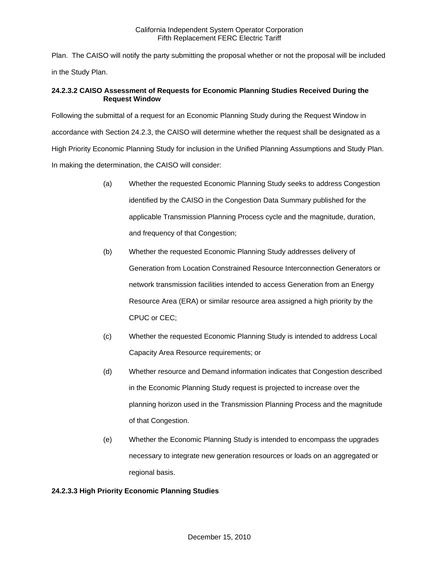Plan. The CAISO will notify the party submitting the proposal whether or not the proposal will be included in the Study Plan.

# **24.2.3.2 CAISO Assessment of Requests for Economic Planning Studies Received During the Request Window**

Following the submittal of a request for an Economic Planning Study during the Request Window in accordance with Section 24.2.3, the CAISO will determine whether the request shall be designated as a High Priority Economic Planning Study for inclusion in the Unified Planning Assumptions and Study Plan. In making the determination, the CAISO will consider:

- (a) Whether the requested Economic Planning Study seeks to address Congestion identified by the CAISO in the Congestion Data Summary published for the applicable Transmission Planning Process cycle and the magnitude, duration, and frequency of that Congestion;
- (b) Whether the requested Economic Planning Study addresses delivery of Generation from Location Constrained Resource Interconnection Generators or network transmission facilities intended to access Generation from an Energy Resource Area (ERA) or similar resource area assigned a high priority by the CPUC or CEC;
- (c) Whether the requested Economic Planning Study is intended to address Local Capacity Area Resource requirements; or
- (d) Whether resource and Demand information indicates that Congestion described in the Economic Planning Study request is projected to increase over the planning horizon used in the Transmission Planning Process and the magnitude of that Congestion.
- (e) Whether the Economic Planning Study is intended to encompass the upgrades necessary to integrate new generation resources or loads on an aggregated or regional basis.

# **24.2.3.3 High Priority Economic Planning Studies**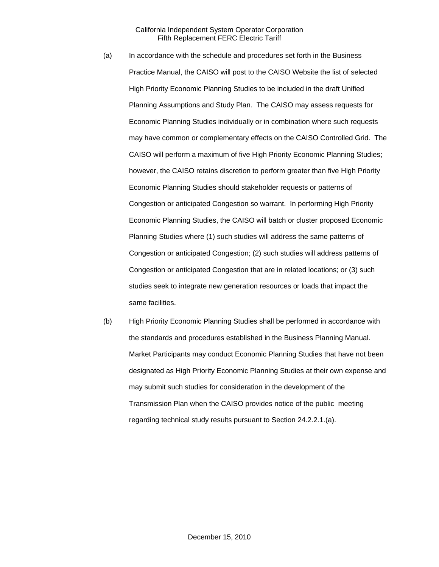- (a) In accordance with the schedule and procedures set forth in the Business Practice Manual, the CAISO will post to the CAISO Website the list of selected High Priority Economic Planning Studies to be included in the draft Unified Planning Assumptions and Study Plan. The CAISO may assess requests for Economic Planning Studies individually or in combination where such requests may have common or complementary effects on the CAISO Controlled Grid. The CAISO will perform a maximum of five High Priority Economic Planning Studies; however, the CAISO retains discretion to perform greater than five High Priority Economic Planning Studies should stakeholder requests or patterns of Congestion or anticipated Congestion so warrant. In performing High Priority Economic Planning Studies, the CAISO will batch or cluster proposed Economic Planning Studies where (1) such studies will address the same patterns of Congestion or anticipated Congestion; (2) such studies will address patterns of Congestion or anticipated Congestion that are in related locations; or (3) such studies seek to integrate new generation resources or loads that impact the same facilities.
- (b) High Priority Economic Planning Studies shall be performed in accordance with the standards and procedures established in the Business Planning Manual. Market Participants may conduct Economic Planning Studies that have not been designated as High Priority Economic Planning Studies at their own expense and may submit such studies for consideration in the development of the Transmission Plan when the CAISO provides notice of the public meeting regarding technical study results pursuant to Section 24.2.2.1.(a).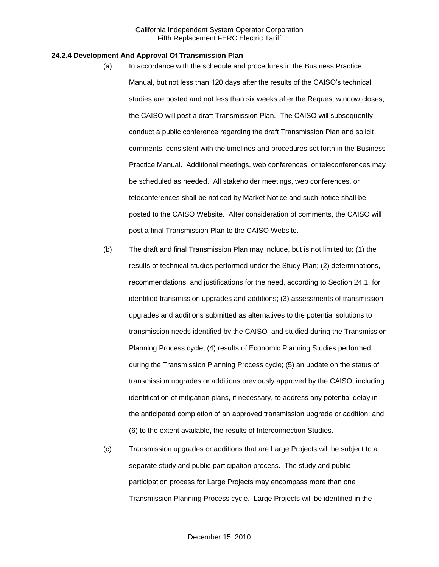#### **24.2.4 Development And Approval Of Transmission Plan**

- (a) In accordance with the schedule and procedures in the Business Practice Manual, but not less than 120 days after the results of the CAISO's technical studies are posted and not less than six weeks after the Request window closes, the CAISO will post a draft Transmission Plan. The CAISO will subsequently conduct a public conference regarding the draft Transmission Plan and solicit comments, consistent with the timelines and procedures set forth in the Business Practice Manual. Additional meetings, web conferences, or teleconferences may be scheduled as needed. All stakeholder meetings, web conferences, or teleconferences shall be noticed by Market Notice and such notice shall be posted to the CAISO Website. After consideration of comments, the CAISO will post a final Transmission Plan to the CAISO Website.
- (b) The draft and final Transmission Plan may include, but is not limited to: (1) the results of technical studies performed under the Study Plan; (2) determinations, recommendations, and justifications for the need, according to Section 24.1, for identified transmission upgrades and additions; (3) assessments of transmission upgrades and additions submitted as alternatives to the potential solutions to transmission needs identified by the CAISO and studied during the Transmission Planning Process cycle; (4) results of Economic Planning Studies performed during the Transmission Planning Process cycle; (5) an update on the status of transmission upgrades or additions previously approved by the CAISO, including identification of mitigation plans, if necessary, to address any potential delay in the anticipated completion of an approved transmission upgrade or addition; and (6) to the extent available, the results of Interconnection Studies.
- (c) Transmission upgrades or additions that are Large Projects will be subject to a separate study and public participation process. The study and public participation process for Large Projects may encompass more than one Transmission Planning Process cycle. Large Projects will be identified in the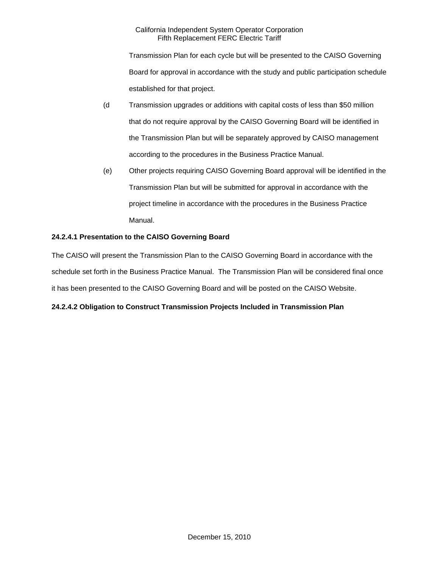Transmission Plan for each cycle but will be presented to the CAISO Governing Board for approval in accordance with the study and public participation schedule established for that project.

- (d Transmission upgrades or additions with capital costs of less than \$50 million that do not require approval by the CAISO Governing Board will be identified in the Transmission Plan but will be separately approved by CAISO management according to the procedures in the Business Practice Manual.
- (e) Other projects requiring CAISO Governing Board approval will be identified in the Transmission Plan but will be submitted for approval in accordance with the project timeline in accordance with the procedures in the Business Practice Manual.

# **24.2.4.1 Presentation to the CAISO Governing Board**

The CAISO will present the Transmission Plan to the CAISO Governing Board in accordance with the schedule set forth in the Business Practice Manual. The Transmission Plan will be considered final once it has been presented to the CAISO Governing Board and will be posted on the CAISO Website.

# **24.2.4.2 Obligation to Construct Transmission Projects Included in Transmission Plan**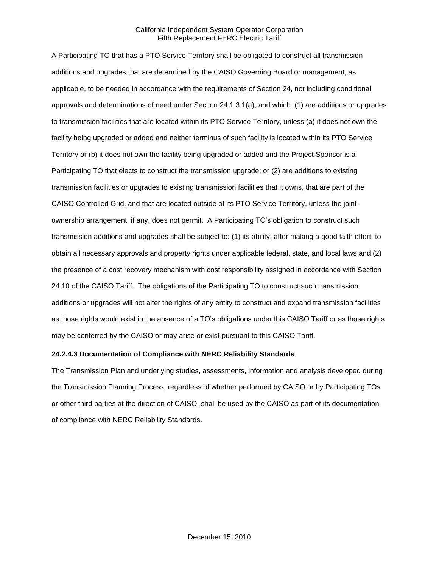A Participating TO that has a PTO Service Territory shall be obligated to construct all transmission additions and upgrades that are determined by the CAISO Governing Board or management, as applicable, to be needed in accordance with the requirements of Section 24, not including conditional approvals and determinations of need under Section 24.1.3.1(a), and which: (1) are additions or upgrades to transmission facilities that are located within its PTO Service Territory, unless (a) it does not own the facility being upgraded or added and neither terminus of such facility is located within its PTO Service Territory or (b) it does not own the facility being upgraded or added and the Project Sponsor is a Participating TO that elects to construct the transmission upgrade; or (2) are additions to existing transmission facilities or upgrades to existing transmission facilities that it owns, that are part of the CAISO Controlled Grid, and that are located outside of its PTO Service Territory, unless the jointownership arrangement, if any, does not permit. A Participating TO's obligation to construct such transmission additions and upgrades shall be subject to: (1) its ability, after making a good faith effort, to obtain all necessary approvals and property rights under applicable federal, state, and local laws and (2) the presence of a cost recovery mechanism with cost responsibility assigned in accordance with Section 24.10 of the CAISO Tariff. The obligations of the Participating TO to construct such transmission additions or upgrades will not alter the rights of any entity to construct and expand transmission facilities as those rights would exist in the absence of a TO's obligations under this CAISO Tariff or as those rights may be conferred by the CAISO or may arise or exist pursuant to this CAISO Tariff.

## **24.2.4.3 Documentation of Compliance with NERC Reliability Standards**

The Transmission Plan and underlying studies, assessments, information and analysis developed during the Transmission Planning Process, regardless of whether performed by CAISO or by Participating TOs or other third parties at the direction of CAISO, shall be used by the CAISO as part of its documentation of compliance with NERC Reliability Standards.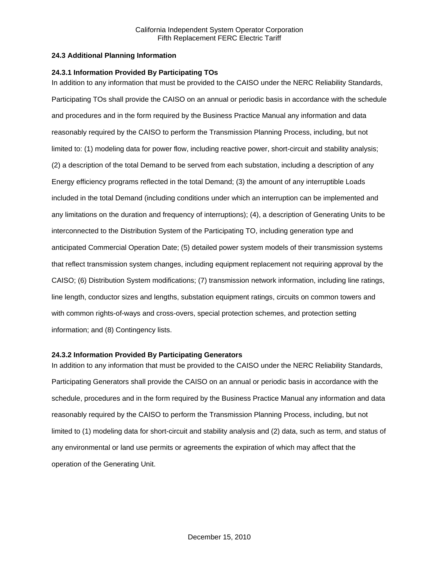# **24.3 Additional Planning Information**

### **24.3.1 Information Provided By Participating TOs**

In addition to any information that must be provided to the CAISO under the NERC Reliability Standards, Participating TOs shall provide the CAISO on an annual or periodic basis in accordance with the schedule and procedures and in the form required by the Business Practice Manual any information and data reasonably required by the CAISO to perform the Transmission Planning Process, including, but not limited to: (1) modeling data for power flow, including reactive power, short-circuit and stability analysis; (2) a description of the total Demand to be served from each substation, including a description of any Energy efficiency programs reflected in the total Demand; (3) the amount of any interruptible Loads included in the total Demand (including conditions under which an interruption can be implemented and any limitations on the duration and frequency of interruptions); (4), a description of Generating Units to be interconnected to the Distribution System of the Participating TO, including generation type and anticipated Commercial Operation Date; (5) detailed power system models of their transmission systems that reflect transmission system changes, including equipment replacement not requiring approval by the CAISO; (6) Distribution System modifications; (7) transmission network information, including line ratings, line length, conductor sizes and lengths, substation equipment ratings, circuits on common towers and with common rights-of-ways and cross-overs, special protection schemes, and protection setting information; and (8) Contingency lists.

#### **24.3.2 Information Provided By Participating Generators**

In addition to any information that must be provided to the CAISO under the NERC Reliability Standards, Participating Generators shall provide the CAISO on an annual or periodic basis in accordance with the schedule, procedures and in the form required by the Business Practice Manual any information and data reasonably required by the CAISO to perform the Transmission Planning Process, including, but not limited to (1) modeling data for short-circuit and stability analysis and (2) data, such as term, and status of any environmental or land use permits or agreements the expiration of which may affect that the operation of the Generating Unit.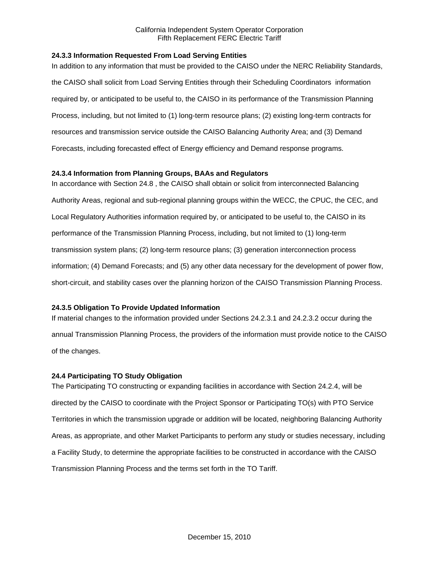# **24.3.3 Information Requested From Load Serving Entities**

In addition to any information that must be provided to the CAISO under the NERC Reliability Standards, the CAISO shall solicit from Load Serving Entities through their Scheduling Coordinators information required by, or anticipated to be useful to, the CAISO in its performance of the Transmission Planning Process, including, but not limited to (1) long-term resource plans; (2) existing long-term contracts for resources and transmission service outside the CAISO Balancing Authority Area; and (3) Demand Forecasts, including forecasted effect of Energy efficiency and Demand response programs.

### **24.3.4 Information from Planning Groups, BAAs and Regulators**

In accordance with Section 24.8 , the CAISO shall obtain or solicit from interconnected Balancing Authority Areas, regional and sub-regional planning groups within the WECC, the CPUC, the CEC, and Local Regulatory Authorities information required by, or anticipated to be useful to, the CAISO in its performance of the Transmission Planning Process, including, but not limited to (1) long-term transmission system plans; (2) long-term resource plans; (3) generation interconnection process information; (4) Demand Forecasts; and (5) any other data necessary for the development of power flow, short-circuit, and stability cases over the planning horizon of the CAISO Transmission Planning Process.

#### **24.3.5 Obligation To Provide Updated Information**

If material changes to the information provided under Sections 24.2.3.1 and 24.2.3.2 occur during the annual Transmission Planning Process, the providers of the information must provide notice to the CAISO of the changes.

#### **24.4 Participating TO Study Obligation**

The Participating TO constructing or expanding facilities in accordance with Section 24.2.4, will be directed by the CAISO to coordinate with the Project Sponsor or Participating TO(s) with PTO Service Territories in which the transmission upgrade or addition will be located, neighboring Balancing Authority Areas, as appropriate, and other Market Participants to perform any study or studies necessary, including a Facility Study, to determine the appropriate facilities to be constructed in accordance with the CAISO Transmission Planning Process and the terms set forth in the TO Tariff.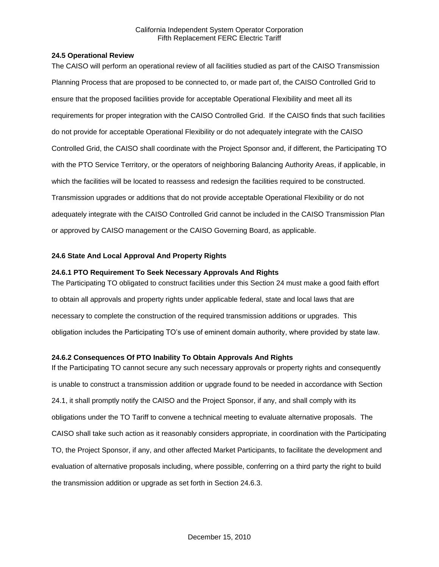## **24.5 Operational Review**

The CAISO will perform an operational review of all facilities studied as part of the CAISO Transmission Planning Process that are proposed to be connected to, or made part of, the CAISO Controlled Grid to ensure that the proposed facilities provide for acceptable Operational Flexibility and meet all its requirements for proper integration with the CAISO Controlled Grid. If the CAISO finds that such facilities do not provide for acceptable Operational Flexibility or do not adequately integrate with the CAISO Controlled Grid, the CAISO shall coordinate with the Project Sponsor and, if different, the Participating TO with the PTO Service Territory, or the operators of neighboring Balancing Authority Areas, if applicable, in which the facilities will be located to reassess and redesign the facilities required to be constructed. Transmission upgrades or additions that do not provide acceptable Operational Flexibility or do not adequately integrate with the CAISO Controlled Grid cannot be included in the CAISO Transmission Plan or approved by CAISO management or the CAISO Governing Board, as applicable.

# **24.6 State And Local Approval And Property Rights**

# **24.6.1 PTO Requirement To Seek Necessary Approvals And Rights**

The Participating TO obligated to construct facilities under this Section 24 must make a good faith effort to obtain all approvals and property rights under applicable federal, state and local laws that are necessary to complete the construction of the required transmission additions or upgrades. This obligation includes the Participating TO's use of eminent domain authority, where provided by state law.

# **24.6.2 Consequences Of PTO Inability To Obtain Approvals And Rights**

If the Participating TO cannot secure any such necessary approvals or property rights and consequently is unable to construct a transmission addition or upgrade found to be needed in accordance with Section 24.1, it shall promptly notify the CAISO and the Project Sponsor, if any, and shall comply with its obligations under the TO Tariff to convene a technical meeting to evaluate alternative proposals. The CAISO shall take such action as it reasonably considers appropriate, in coordination with the Participating TO, the Project Sponsor, if any, and other affected Market Participants, to facilitate the development and evaluation of alternative proposals including, where possible, conferring on a third party the right to build the transmission addition or upgrade as set forth in Section 24.6.3.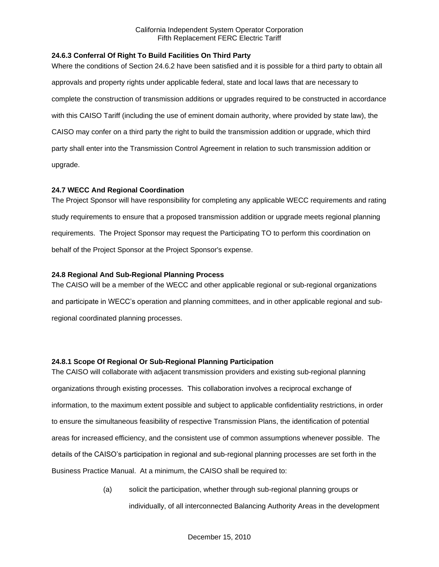# **24.6.3 Conferral Of Right To Build Facilities On Third Party**

Where the conditions of Section 24.6.2 have been satisfied and it is possible for a third party to obtain all approvals and property rights under applicable federal, state and local laws that are necessary to complete the construction of transmission additions or upgrades required to be constructed in accordance with this CAISO Tariff (including the use of eminent domain authority, where provided by state law), the CAISO may confer on a third party the right to build the transmission addition or upgrade, which third party shall enter into the Transmission Control Agreement in relation to such transmission addition or upgrade.

### **24.7 WECC And Regional Coordination**

The Project Sponsor will have responsibility for completing any applicable WECC requirements and rating study requirements to ensure that a proposed transmission addition or upgrade meets regional planning requirements. The Project Sponsor may request the Participating TO to perform this coordination on behalf of the Project Sponsor at the Project Sponsor's expense.

#### **24.8 Regional And Sub-Regional Planning Process**

The CAISO will be a member of the WECC and other applicable regional or sub-regional organizations and participate in WECC's operation and planning committees, and in other applicable regional and subregional coordinated planning processes.

# **24.8.1 Scope Of Regional Or Sub-Regional Planning Participation**

The CAISO will collaborate with adjacent transmission providers and existing sub-regional planning organizations through existing processes. This collaboration involves a reciprocal exchange of information, to the maximum extent possible and subject to applicable confidentiality restrictions, in order to ensure the simultaneous feasibility of respective Transmission Plans, the identification of potential areas for increased efficiency, and the consistent use of common assumptions whenever possible. The details of the CAISO's participation in regional and sub-regional planning processes are set forth in the Business Practice Manual. At a minimum, the CAISO shall be required to:

> (a) solicit the participation, whether through sub-regional planning groups or individually, of all interconnected Balancing Authority Areas in the development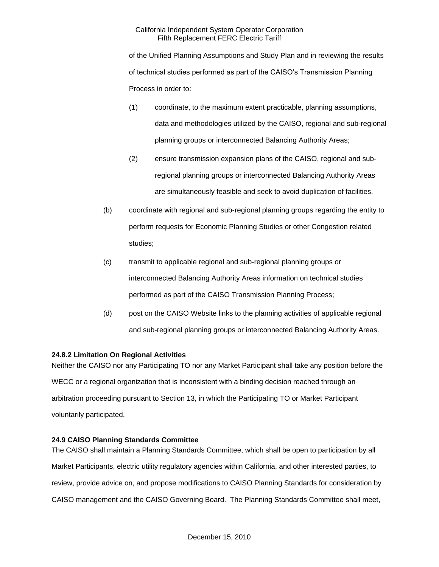of the Unified Planning Assumptions and Study Plan and in reviewing the results of technical studies performed as part of the CAISO's Transmission Planning Process in order to:

- (1) coordinate, to the maximum extent practicable, planning assumptions, data and methodologies utilized by the CAISO, regional and sub-regional planning groups or interconnected Balancing Authority Areas;
- (2) ensure transmission expansion plans of the CAISO, regional and subregional planning groups or interconnected Balancing Authority Areas are simultaneously feasible and seek to avoid duplication of facilities.
- (b) coordinate with regional and sub-regional planning groups regarding the entity to perform requests for Economic Planning Studies or other Congestion related studies;
- (c) transmit to applicable regional and sub-regional planning groups or interconnected Balancing Authority Areas information on technical studies performed as part of the CAISO Transmission Planning Process;
- (d) post on the CAISO Website links to the planning activities of applicable regional and sub-regional planning groups or interconnected Balancing Authority Areas.

# **24.8.2 Limitation On Regional Activities**

Neither the CAISO nor any Participating TO nor any Market Participant shall take any position before the WECC or a regional organization that is inconsistent with a binding decision reached through an arbitration proceeding pursuant to Section 13, in which the Participating TO or Market Participant voluntarily participated.

# **24.9 CAISO Planning Standards Committee**

The CAISO shall maintain a Planning Standards Committee, which shall be open to participation by all Market Participants, electric utility regulatory agencies within California, and other interested parties, to review, provide advice on, and propose modifications to CAISO Planning Standards for consideration by CAISO management and the CAISO Governing Board. The Planning Standards Committee shall meet,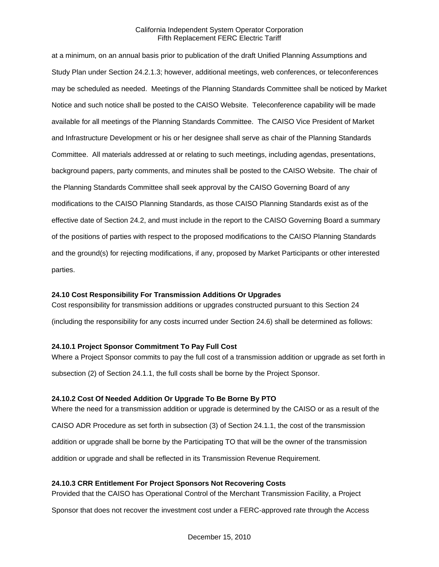at a minimum, on an annual basis prior to publication of the draft Unified Planning Assumptions and Study Plan under Section 24.2.1.3; however, additional meetings, web conferences, or teleconferences may be scheduled as needed. Meetings of the Planning Standards Committee shall be noticed by Market Notice and such notice shall be posted to the CAISO Website. Teleconference capability will be made available for all meetings of the Planning Standards Committee. The CAISO Vice President of Market and Infrastructure Development or his or her designee shall serve as chair of the Planning Standards Committee. All materials addressed at or relating to such meetings, including agendas, presentations, background papers, party comments, and minutes shall be posted to the CAISO Website. The chair of the Planning Standards Committee shall seek approval by the CAISO Governing Board of any modifications to the CAISO Planning Standards, as those CAISO Planning Standards exist as of the effective date of Section 24.2, and must include in the report to the CAISO Governing Board a summary of the positions of parties with respect to the proposed modifications to the CAISO Planning Standards and the ground(s) for rejecting modifications, if any, proposed by Market Participants or other interested parties.

#### **24.10 Cost Responsibility For Transmission Additions Or Upgrades**

Cost responsibility for transmission additions or upgrades constructed pursuant to this Section 24

(including the responsibility for any costs incurred under Section 24.6) shall be determined as follows:

#### **24.10.1 Project Sponsor Commitment To Pay Full Cost**

Where a Project Sponsor commits to pay the full cost of a transmission addition or upgrade as set forth in subsection (2) of Section 24.1.1, the full costs shall be borne by the Project Sponsor.

#### **24.10.2 Cost Of Needed Addition Or Upgrade To Be Borne By PTO**

Where the need for a transmission addition or upgrade is determined by the CAISO or as a result of the CAISO ADR Procedure as set forth in subsection (3) of Section 24.1.1, the cost of the transmission addition or upgrade shall be borne by the Participating TO that will be the owner of the transmission addition or upgrade and shall be reflected in its Transmission Revenue Requirement.

#### **24.10.3 CRR Entitlement For Project Sponsors Not Recovering Costs**

Provided that the CAISO has Operational Control of the Merchant Transmission Facility, a Project

Sponsor that does not recover the investment cost under a FERC-approved rate through the Access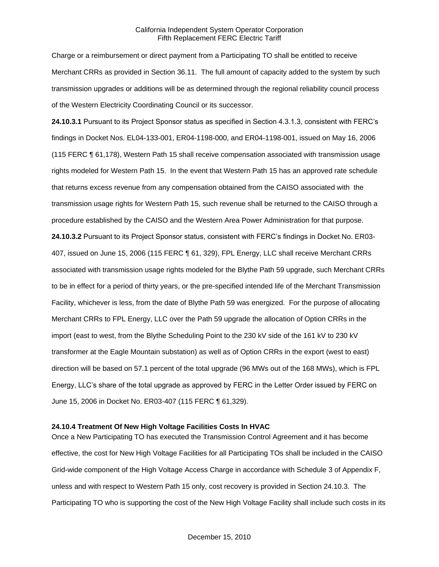Charge or a reimbursement or direct payment from a Participating TO shall be entitled to receive Merchant CRRs as provided in Section 36.11. The full amount of capacity added to the system by such transmission upgrades or additions will be as determined through the regional reliability council process of the Western Electricity Coordinating Council or its successor.

**24.10.3.1** Pursuant to its Project Sponsor status as specified in Section 4.3.1.3, consistent with FERC's findings in Docket Nos. EL04-133-001, ER04-1198-000, and ER04-1198-001, issued on May 16, 2006 (115 FERC ¶ 61,178), Western Path 15 shall receive compensation associated with transmission usage rights modeled for Western Path 15. In the event that Western Path 15 has an approved rate schedule that returns excess revenue from any compensation obtained from the CAISO associated with the transmission usage rights for Western Path 15, such revenue shall be returned to the CAISO through a procedure established by the CAISO and the Western Area Power Administration for that purpose. **24.10.3.2** Pursuant to its Project Sponsor status, consistent with FERC's findings in Docket No. ER03- 407, issued on June 15, 2006 (115 FERC ¶ 61, 329), FPL Energy, LLC shall receive Merchant CRRs associated with transmission usage rights modeled for the Blythe Path 59 upgrade, such Merchant CRRs to be in effect for a period of thirty years, or the pre-specified intended life of the Merchant Transmission Facility, whichever is less, from the date of Blythe Path 59 was energized. For the purpose of allocating Merchant CRRs to FPL Energy, LLC over the Path 59 upgrade the allocation of Option CRRs in the import (east to west, from the Blythe Scheduling Point to the 230 kV side of the 161 kV to 230 kV transformer at the Eagle Mountain substation) as well as of Option CRRs in the export (west to east) direction will be based on 57.1 percent of the total upgrade (96 MWs out of the 168 MWs), which is FPL Energy, LLC's share of the total upgrade as approved by FERC in the Letter Order issued by FERC on June 15, 2006 in Docket No. ER03-407 (115 FERC ¶ 61,329).

### **24.10.4 Treatment Of New High Voltage Facilities Costs In HVAC**

Once a New Participating TO has executed the Transmission Control Agreement and it has become effective, the cost for New High Voltage Facilities for all Participating TOs shall be included in the CAISO Grid-wide component of the High Voltage Access Charge in accordance with Schedule 3 of Appendix F, unless and with respect to Western Path 15 only, cost recovery is provided in Section 24.10.3. The Participating TO who is supporting the cost of the New High Voltage Facility shall include such costs in its